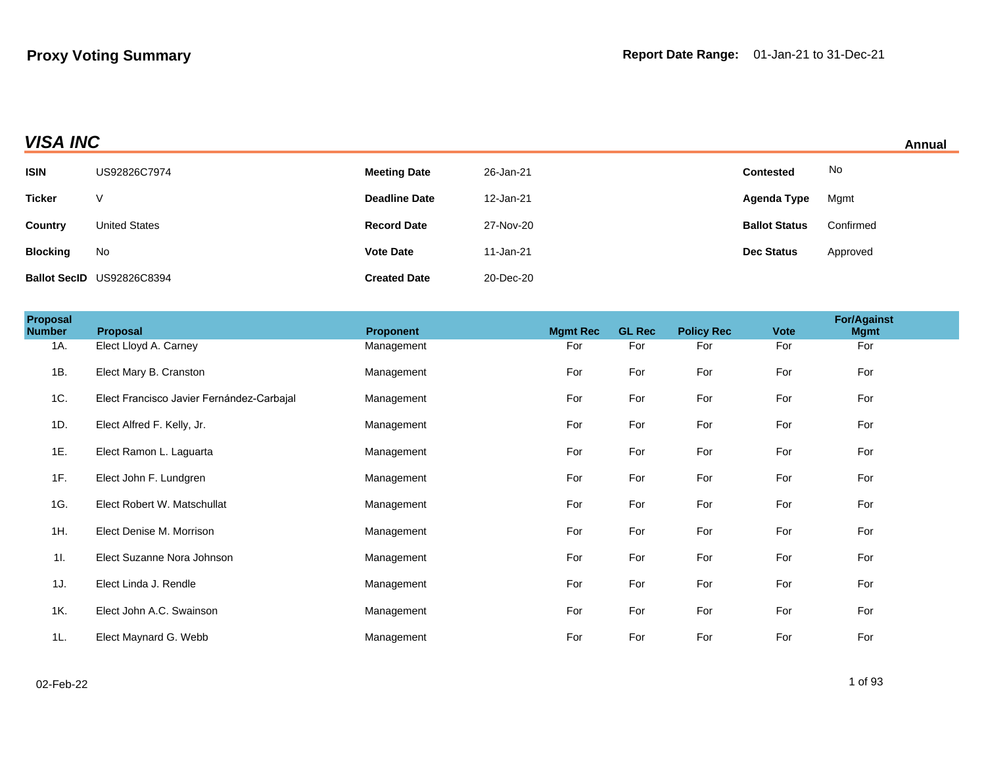## **VISA INC** Annual

| <b>ISIN</b>     | US92826C7974              | <b>Meeting Date</b>  | 26-Jan-21 | <b>Contested</b>     | No        |
|-----------------|---------------------------|----------------------|-----------|----------------------|-----------|
| <b>Ticker</b>   | V                         | <b>Deadline Date</b> | 12-Jan-21 | Agenda Type          | Mgmt      |
| Country         | <b>United States</b>      | <b>Record Date</b>   | 27-Nov-20 | <b>Ballot Status</b> | Confirmed |
| <b>Blocking</b> | No                        | <b>Vote Date</b>     | 11-Jan-21 | <b>Dec Status</b>    | Approved  |
|                 | Ballot SecID US92826C8394 | <b>Created Date</b>  | 20-Dec-20 |                      |           |

| <b>Proposal</b><br><b>Number</b> | Proposal                                  | <b>Proponent</b> | <b>Mgmt Rec</b> | <b>GL Rec</b> | <b>Policy Rec</b> | <b>Vote</b> | <b>For/Against</b><br><b>Mgmt</b> |
|----------------------------------|-------------------------------------------|------------------|-----------------|---------------|-------------------|-------------|-----------------------------------|
| 1A.                              | Elect Lloyd A. Carney                     | Management       | For             | For           | For               | For         | For                               |
| 1B.                              | Elect Mary B. Cranston                    | Management       | For             | For           | For               | For         | For                               |
| 1C.                              | Elect Francisco Javier Fernández-Carbajal | Management       | For             | For           | For               | For         | For                               |
| 1D.                              | Elect Alfred F. Kelly, Jr.                | Management       | For             | For           | For               | For         | For                               |
| 1E.                              | Elect Ramon L. Laguarta                   | Management       | For             | For           | For               | For         | For                               |
| 1F.                              | Elect John F. Lundgren                    | Management       | For             | For           | For               | For         | For                               |
| 1G.                              | Elect Robert W. Matschullat               | Management       | For             | For           | For               | For         | For                               |
| 1H.                              | Elect Denise M. Morrison                  | Management       | For             | For           | For               | For         | For                               |
| 11.                              | Elect Suzanne Nora Johnson                | Management       | For             | For           | For               | For         | For                               |
| 1J.                              | Elect Linda J. Rendle                     | Management       | For             | For           | For               | For         | For                               |
| 1K.                              | Elect John A.C. Swainson                  | Management       | For             | For           | For               | For         | For                               |
| 1L.                              | Elect Maynard G. Webb                     | Management       | For             | For           | For               | For         | For                               |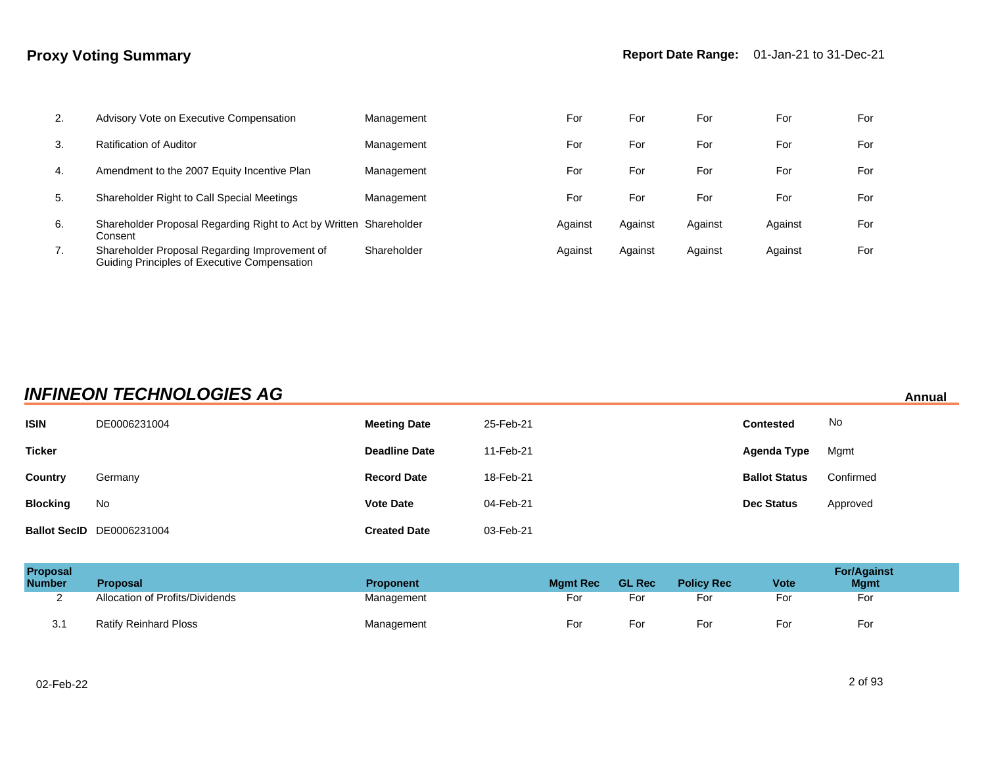| 2. | Advisory Vote on Executive Compensation                                                       | Management  | For     | For     | For     | For     | For |
|----|-----------------------------------------------------------------------------------------------|-------------|---------|---------|---------|---------|-----|
| 3. | Ratification of Auditor                                                                       | Management  | For     | For     | For     | For     | For |
| 4. | Amendment to the 2007 Equity Incentive Plan                                                   | Management  | For     | For     | For     | For     | For |
| 5. | Shareholder Right to Call Special Meetings                                                    | Management  | For     | For     | For     | For     | For |
| 6. | Shareholder Proposal Regarding Right to Act by Written Shareholder<br>Consent                 |             | Against | Against | Against | Against | For |
| 7. | Shareholder Proposal Regarding Improvement of<br>Guiding Principles of Executive Compensation | Shareholder | Against | Against | Against | Against | For |

## **INFINEON TECHNOLOGIES AG Annual**

| <b>ISIN</b>     | DE0006231004                     | <b>Meeting Date</b>  | 25-Feb-21 | <b>Contested</b>     | No        |
|-----------------|----------------------------------|----------------------|-----------|----------------------|-----------|
| <b>Ticker</b>   |                                  | <b>Deadline Date</b> | 11-Feb-21 | Agenda Type          | Mgmt      |
| Country         | Germany                          | <b>Record Date</b>   | 18-Feb-21 | <b>Ballot Status</b> | Confirmed |
| <b>Blocking</b> | No                               | <b>Vote Date</b>     | 04-Feb-21 | <b>Dec Status</b>    | Approved  |
|                 | <b>Ballot SecID</b> DE0006231004 | <b>Created Date</b>  | 03-Feb-21 |                      |           |

| <b>Proposal</b><br><b>Number</b> | <b>Proposal</b>                 | <b>Proponent</b> | <b>Mamt Rec</b> | <b>GL Rec</b> | <b>Policy Rec</b> | <b>Vote</b> | <b>For/Against</b><br><b>Mgmt</b> |
|----------------------------------|---------------------------------|------------------|-----------------|---------------|-------------------|-------------|-----------------------------------|
|                                  | Allocation of Profits/Dividends | Management       | For             | For           | For               | For         | For                               |
| 3.1                              | <b>Ratify Reinhard Ploss</b>    | Management       | For             | For           | For               | For         | For                               |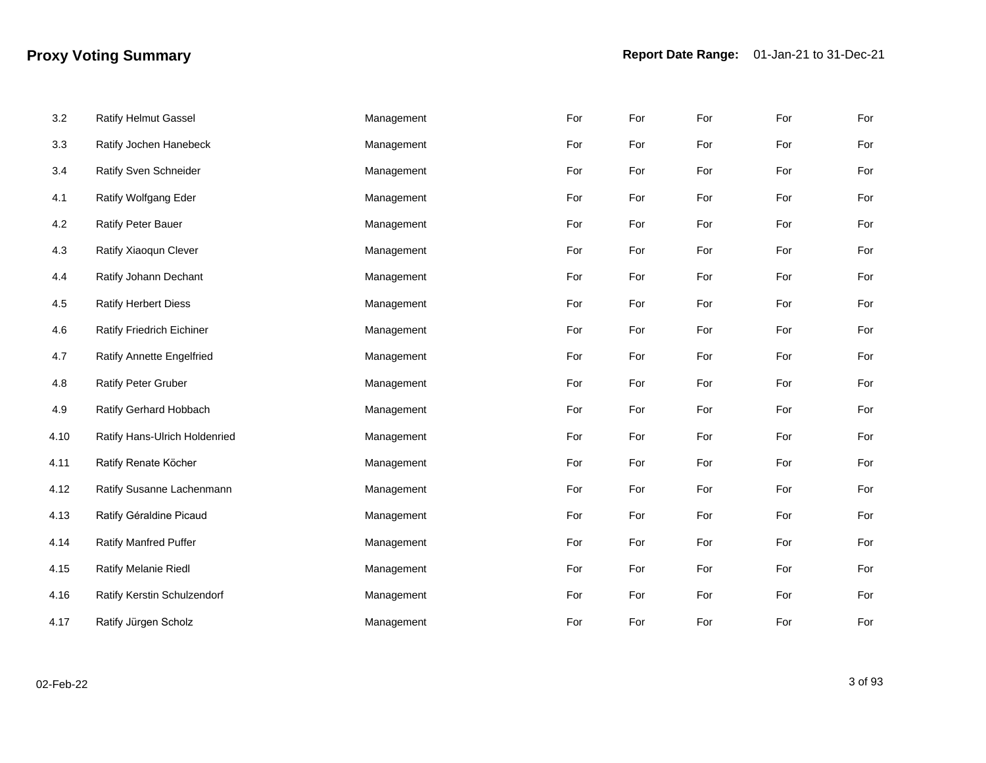| 3.2  | <b>Ratify Helmut Gassel</b>      | Management | For | For | For | For | For |
|------|----------------------------------|------------|-----|-----|-----|-----|-----|
| 3.3  | Ratify Jochen Hanebeck           | Management | For | For | For | For | For |
| 3.4  | Ratify Sven Schneider            | Management | For | For | For | For | For |
| 4.1  | Ratify Wolfgang Eder             | Management | For | For | For | For | For |
| 4.2  | Ratify Peter Bauer               | Management | For | For | For | For | For |
| 4.3  | Ratify Xiaoqun Clever            | Management | For | For | For | For | For |
| 4.4  | Ratify Johann Dechant            | Management | For | For | For | For | For |
| 4.5  | <b>Ratify Herbert Diess</b>      | Management | For | For | For | For | For |
| 4.6  | Ratify Friedrich Eichiner        | Management | For | For | For | For | For |
| 4.7  | <b>Ratify Annette Engelfried</b> | Management | For | For | For | For | For |
| 4.8  | <b>Ratify Peter Gruber</b>       | Management | For | For | For | For | For |
| 4.9  | Ratify Gerhard Hobbach           | Management | For | For | For | For | For |
| 4.10 | Ratify Hans-Ulrich Holdenried    | Management | For | For | For | For | For |
| 4.11 | Ratify Renate Köcher             | Management | For | For | For | For | For |
| 4.12 | Ratify Susanne Lachenmann        | Management | For | For | For | For | For |
| 4.13 | Ratify Géraldine Picaud          | Management | For | For | For | For | For |
| 4.14 | Ratify Manfred Puffer            | Management | For | For | For | For | For |
| 4.15 | <b>Ratify Melanie Riedl</b>      | Management | For | For | For | For | For |
| 4.16 | Ratify Kerstin Schulzendorf      | Management | For | For | For | For | For |
| 4.17 | Ratify Jürgen Scholz             | Management | For | For | For | For | For |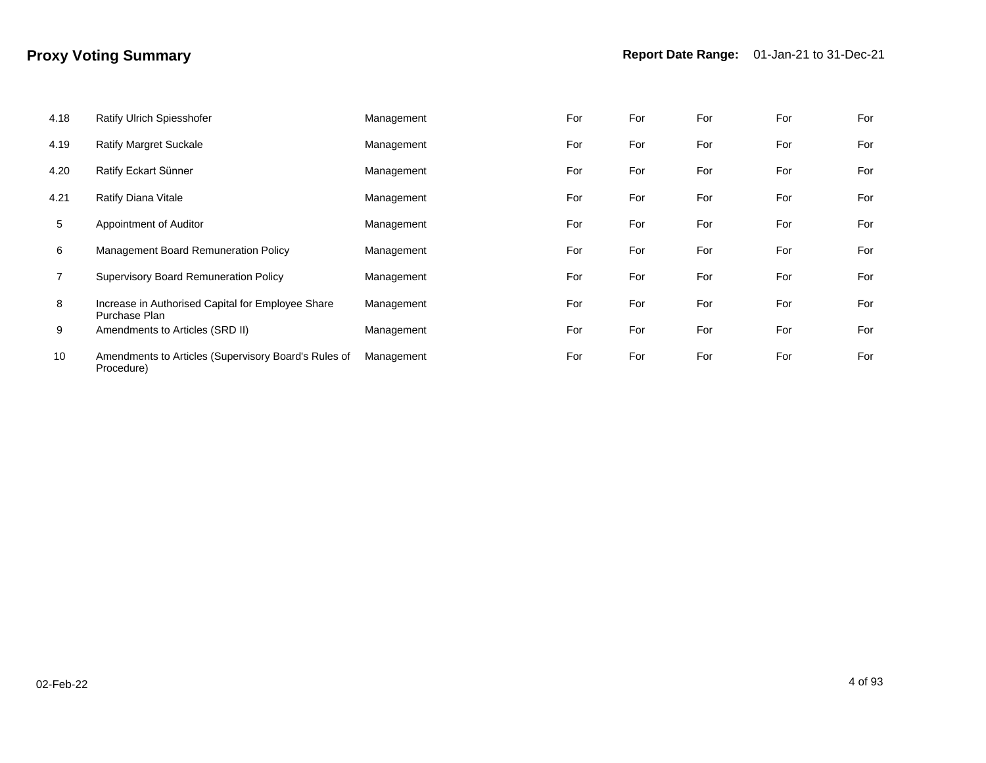| 4.18 | Ratify Ulrich Spiesshofer                                          | Management | For | For | For | For | For |
|------|--------------------------------------------------------------------|------------|-----|-----|-----|-----|-----|
| 4.19 | <b>Ratify Margret Suckale</b>                                      | Management | For | For | For | For | For |
| 4.20 | Ratify Eckart Sünner                                               | Management | For | For | For | For | For |
| 4.21 | Ratify Diana Vitale                                                | Management | For | For | For | For | For |
| 5    | Appointment of Auditor                                             | Management | For | For | For | For | For |
| 6    | Management Board Remuneration Policy                               | Management | For | For | For | For | For |
|      | Supervisory Board Remuneration Policy                              | Management | For | For | For | For | For |
| 8    | Increase in Authorised Capital for Employee Share<br>Purchase Plan | Management | For | For | For | For | For |
| 9    | Amendments to Articles (SRD II)                                    | Management | For | For | For | For | For |
| 10   | Amendments to Articles (Supervisory Board's Rules of<br>Procedure) | Management | For | For | For | For | For |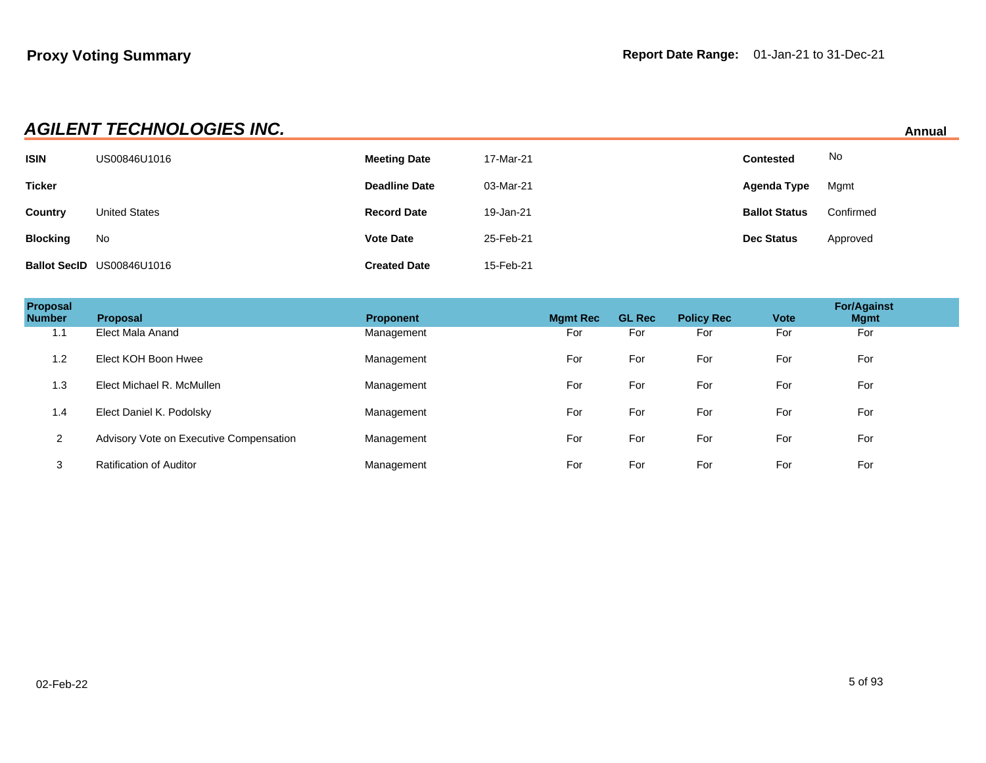| <b>AGILENT TECHNOLOGIES INC.</b> | Annual |
|----------------------------------|--------|
|                                  |        |

| <b>ISIN</b>     | US00846U1016              | <b>Meeting Date</b>  | 17-Mar-21 | <b>Contested</b>     | No        |
|-----------------|---------------------------|----------------------|-----------|----------------------|-----------|
| <b>Ticker</b>   |                           | <b>Deadline Date</b> | 03-Mar-21 | Agenda Type          | Mgmt      |
| Country         | <b>United States</b>      | <b>Record Date</b>   | 19-Jan-21 | <b>Ballot Status</b> | Confirmed |
| <b>Blocking</b> | No                        | <b>Vote Date</b>     | 25-Feb-21 | <b>Dec Status</b>    | Approved  |
|                 | Ballot SecID US00846U1016 | <b>Created Date</b>  | 15-Feb-21 |                      |           |

| Proposal<br><b>Number</b> | Proposal                                | <b>Proponent</b> | <b>Mgmt Rec</b> | <b>GL Rec</b> | <b>Policy Rec</b> | <b>Vote</b> | <b>For/Against</b><br><b>Mgmt</b> |  |
|---------------------------|-----------------------------------------|------------------|-----------------|---------------|-------------------|-------------|-----------------------------------|--|
| 1.1                       | Elect Mala Anand                        | Management       | For             | For           | For               | For         | For                               |  |
| 1.2                       | Elect KOH Boon Hwee                     | Management       | For             | For           | For               | For         | For                               |  |
| 1.3                       | Elect Michael R. McMullen               | Management       | For             | For           | For               | For         | For                               |  |
| 1.4                       | Elect Daniel K. Podolsky                | Management       | For             | For           | For               | For         | For                               |  |
| $\overline{2}$            | Advisory Vote on Executive Compensation | Management       | For             | For           | For               | For         | For                               |  |
| 3                         | <b>Ratification of Auditor</b>          | Management       | For             | For           | For               | For         | For                               |  |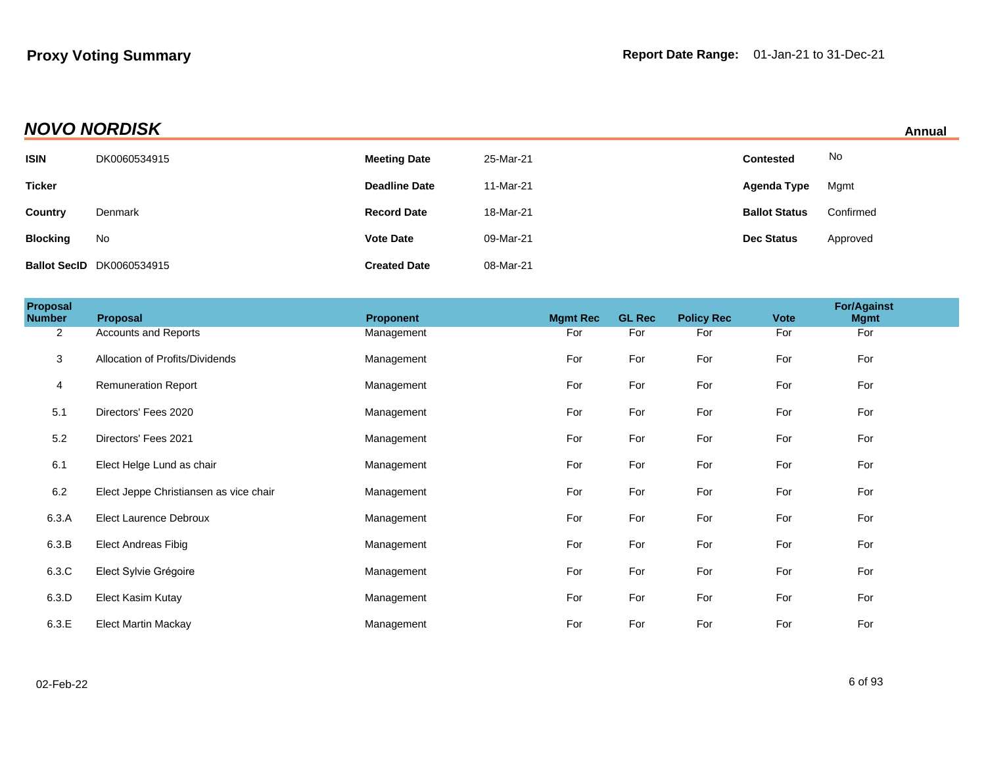| <b>NOVO NORDISK</b> | Annual |
|---------------------|--------|
|                     |        |

| Annual |
|--------|
|        |

|                 | .                                |                      |           |                      | <u>AUTOMO</u> |  |
|-----------------|----------------------------------|----------------------|-----------|----------------------|---------------|--|
| <b>ISIN</b>     | DK0060534915                     | <b>Meeting Date</b>  | 25-Mar-21 | <b>Contested</b>     | No            |  |
| <b>Ticker</b>   |                                  | <b>Deadline Date</b> | 11-Mar-21 | Agenda Type          | Mgmt          |  |
| <b>Country</b>  | Denmark                          | <b>Record Date</b>   | 18-Mar-21 | <b>Ballot Status</b> | Confirmed     |  |
| <b>Blocking</b> | No                               | <b>Vote Date</b>     | 09-Mar-21 | <b>Dec Status</b>    | Approved      |  |
|                 | <b>Ballot SecID</b> DK0060534915 | <b>Created Date</b>  | 08-Mar-21 |                      |               |  |

| Proposal<br><b>Number</b> | Proposal                               | Proponent  | <b>Mgmt Rec</b> | <b>GL Rec</b> | <b>Policy Rec</b> | <b>Vote</b> | <b>For/Against</b><br><b>Mgmt</b> |
|---------------------------|----------------------------------------|------------|-----------------|---------------|-------------------|-------------|-----------------------------------|
| $\overline{2}$            | <b>Accounts and Reports</b>            | Management | For             | For           | For               | For         | For                               |
| 3                         | Allocation of Profits/Dividends        | Management | For             | For           | For               | For         | For                               |
| 4                         | <b>Remuneration Report</b>             | Management | For             | For           | For               | For         | For                               |
| 5.1                       | Directors' Fees 2020                   | Management | For             | For           | For               | For         | For                               |
| 5.2                       | Directors' Fees 2021                   | Management | For             | For           | For               | For         | For                               |
| 6.1                       | Elect Helge Lund as chair              | Management | For             | For           | For               | For         | For                               |
| 6.2                       | Elect Jeppe Christiansen as vice chair | Management | For             | For           | For               | For         | For                               |
| 6.3.A                     | <b>Elect Laurence Debroux</b>          | Management | For             | For           | For               | For         | For                               |
| 6.3.B                     | <b>Elect Andreas Fibig</b>             | Management | For             | For           | For               | For         | For                               |
| 6.3.C                     | Elect Sylvie Grégoire                  | Management | For             | For           | For               | For         | For                               |
| 6.3.D                     | Elect Kasim Kutay                      | Management | For             | For           | For               | For         | For                               |
| 6.3.E                     | <b>Elect Martin Mackay</b>             | Management | For             | For           | For               | For         | For                               |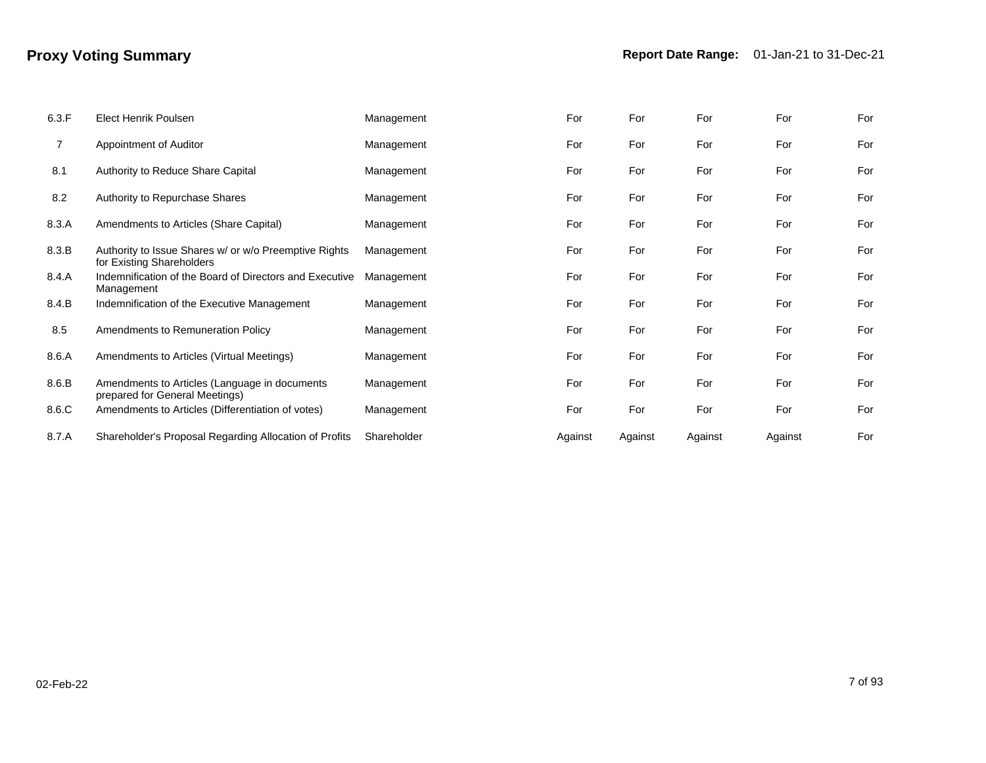| 6.3.F | <b>Elect Henrik Poulsen</b>                                                        | Management  | For     | For     | For     | For     | For |
|-------|------------------------------------------------------------------------------------|-------------|---------|---------|---------|---------|-----|
| 7     | Appointment of Auditor                                                             | Management  | For     | For     | For     | For     | For |
| 8.1   | Authority to Reduce Share Capital                                                  | Management  | For     | For     | For     | For     | For |
| 8.2   | Authority to Repurchase Shares                                                     | Management  | For     | For     | For     | For     | For |
| 8.3.A | Amendments to Articles (Share Capital)                                             | Management  | For     | For     | For     | For     | For |
| 8.3.B | Authority to Issue Shares w/ or w/o Preemptive Rights<br>for Existing Shareholders | Management  | For     | For     | For     | For     | For |
| 8.4.A | Indemnification of the Board of Directors and Executive<br>Management              | Management  | For     | For     | For     | For     | For |
| 8.4.B | Indemnification of the Executive Management                                        | Management  | For     | For     | For     | For     | For |
| 8.5   | Amendments to Remuneration Policy                                                  | Management  | For     | For     | For     | For     | For |
| 8.6.A | Amendments to Articles (Virtual Meetings)                                          | Management  | For     | For     | For     | For     | For |
| 8.6.B | Amendments to Articles (Language in documents<br>prepared for General Meetings)    | Management  | For     | For     | For     | For     | For |
| 8.6.C | Amendments to Articles (Differentiation of votes)                                  | Management  | For     | For     | For     | For     | For |
| 8.7.A | Shareholder's Proposal Regarding Allocation of Profits                             | Shareholder | Against | Against | Against | Against | For |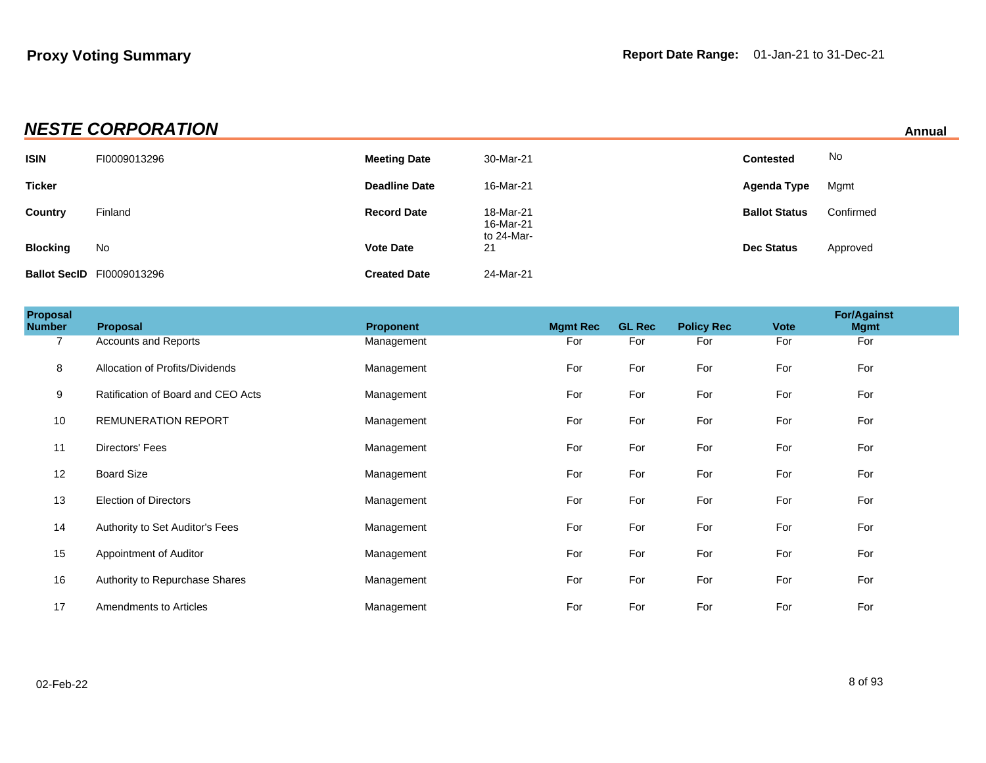# **NESTE CORPORATION** Annual

| <b>ISIN</b>     | FI0009013296                     | <b>Meeting Date</b>  | 30-Mar-21                            | <b>Contested</b>     | No        |
|-----------------|----------------------------------|----------------------|--------------------------------------|----------------------|-----------|
| <b>Ticker</b>   |                                  | <b>Deadline Date</b> | 16-Mar-21                            | Agenda Type          | Mgmt      |
| Country         | Finland                          | <b>Record Date</b>   | 18-Mar-21<br>16-Mar-21<br>to 24-Mar- | <b>Ballot Status</b> | Confirmed |
| <b>Blocking</b> | No                               | <b>Vote Date</b>     | 21                                   | <b>Dec Status</b>    | Approved  |
|                 | <b>Ballot SecID F10009013296</b> | <b>Created Date</b>  | 24-Mar-21                            |                      |           |

| Proposal<br><b>Number</b> | <b>Proposal</b>                    | <b>Proponent</b> | <b>Mgmt Rec</b> | <b>GL Rec</b> | <b>Policy Rec</b> | <b>Vote</b> | <b>For/Against</b><br><b>Mgmt</b> |  |
|---------------------------|------------------------------------|------------------|-----------------|---------------|-------------------|-------------|-----------------------------------|--|
| $\overline{7}$            | <b>Accounts and Reports</b>        | Management       | For             | For           | For               | For         | For                               |  |
| 8                         | Allocation of Profits/Dividends    | Management       | For             | For           | For               | For         | For                               |  |
| 9                         | Ratification of Board and CEO Acts | Management       | For             | For           | For               | For         | For                               |  |
| 10                        | <b>REMUNERATION REPORT</b>         | Management       | For             | For           | For               | For         | For                               |  |
| 11                        | Directors' Fees                    | Management       | For             | For           | For               | For         | For                               |  |
| 12                        | <b>Board Size</b>                  | Management       | For             | For           | For               | For         | For                               |  |
| 13                        | <b>Election of Directors</b>       | Management       | For             | For           | For               | For         | For                               |  |
| 14                        | Authority to Set Auditor's Fees    | Management       | For             | For           | For               | For         | For                               |  |
| 15                        | Appointment of Auditor             | Management       | For             | For           | For               | For         | For                               |  |
| 16                        | Authority to Repurchase Shares     | Management       | For             | For           | For               | For         | For                               |  |
| 17                        | Amendments to Articles             | Management       | For             | For           | For               | For         | For                               |  |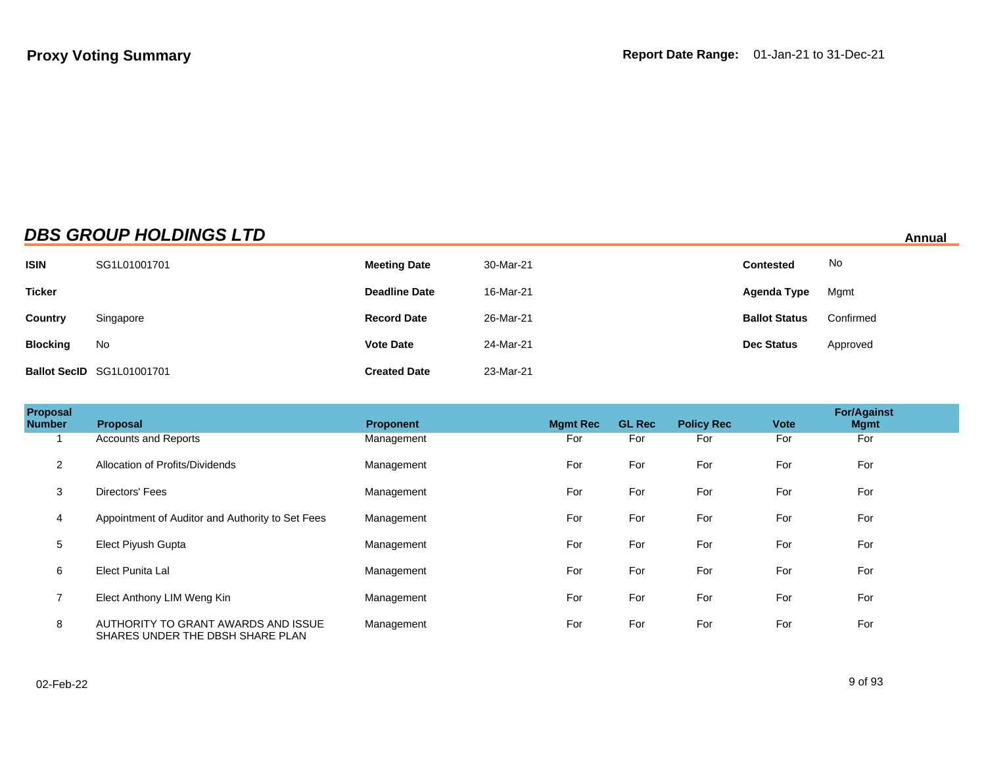## **DBS GROUP HOLDINGS LTD Annual**

| <b>ISIN</b>     | SG1L01001701              | <b>Meeting Date</b>  | 30-Mar-21 | <b>Contested</b>     | No        |
|-----------------|---------------------------|----------------------|-----------|----------------------|-----------|
| <b>Ticker</b>   |                           | <b>Deadline Date</b> | 16-Mar-21 | Agenda Type          | Mgmt      |
| <b>Country</b>  | Singapore                 | <b>Record Date</b>   | 26-Mar-21 | <b>Ballot Status</b> | Confirmed |
| <b>Blocking</b> | No                        | <b>Vote Date</b>     | 24-Mar-21 | <b>Dec Status</b>    | Approved  |
|                 | Ballot SecID SG1L01001701 | <b>Created Date</b>  | 23-Mar-21 |                      |           |

| Proposal<br><b>Number</b> | Proposal                                                                | <b>Proponent</b> | <b>Mgmt Rec</b> | <b>GL Rec</b> | <b>Policy Rec</b> | <b>Vote</b> | <b>For/Against</b><br><b>Mgmt</b> |  |
|---------------------------|-------------------------------------------------------------------------|------------------|-----------------|---------------|-------------------|-------------|-----------------------------------|--|
|                           | <b>Accounts and Reports</b>                                             | Management       | For             | For           | For               | For         | For                               |  |
| $\overline{2}$            | Allocation of Profits/Dividends                                         | Management       | For             | For           | For               | For         | For                               |  |
| 3                         | Directors' Fees                                                         | Management       | For             | For           | For               | For         | For                               |  |
| 4                         | Appointment of Auditor and Authority to Set Fees                        | Management       | For             | For           | For               | For         | For                               |  |
| 5                         | <b>Elect Piyush Gupta</b>                                               | Management       | For             | For           | For               | For         | For                               |  |
| 6                         | <b>Elect Punita Lal</b>                                                 | Management       | For             | For           | For               | For         | For                               |  |
| $\overline{7}$            | Elect Anthony LIM Weng Kin                                              | Management       | For             | For           | For               | For         | For                               |  |
| 8                         | AUTHORITY TO GRANT AWARDS AND ISSUE<br>SHARES UNDER THE DBSH SHARE PLAN | Management       | For             | For           | For               | For         | For                               |  |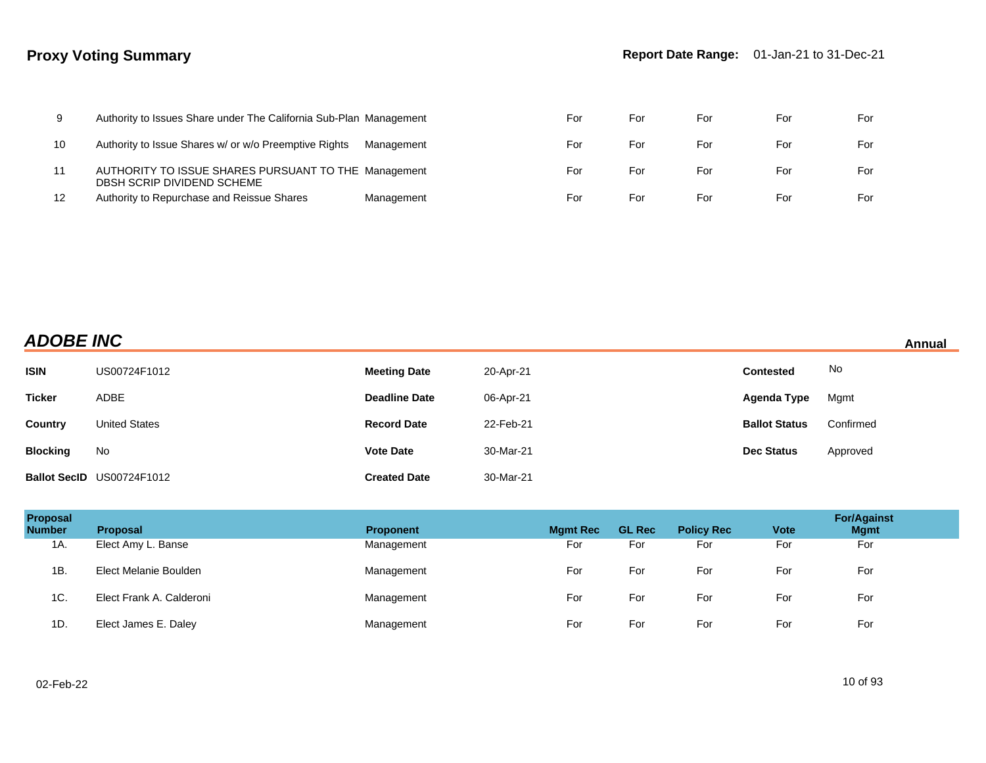| 9  | Authority to Issues Share under The California Sub-Plan Management                 |            | ⊢or | ⊦or | For | For | For |
|----|------------------------------------------------------------------------------------|------------|-----|-----|-----|-----|-----|
| 10 | Authority to Issue Shares w/ or w/o Preemptive Rights                              | Management | ⊢or | ⊦or | For | For | For |
| 11 | AUTHORITY TO ISSUE SHARES PURSUANT TO THE Management<br>DBSH SCRIP DIVIDEND SCHEME |            | For | ⊦or | For | For | For |
| 12 | Authority to Repurchase and Reissue Shares                                         | Management | For | For | For | For | For |

| <b>ADOBE INC</b> | Annual |
|------------------|--------|
|                  |        |

| <b>ISIN</b>     | US00724F1012              | <b>Meeting Date</b>  | 20-Apr-21 | <b>Contested</b>     | No        |
|-----------------|---------------------------|----------------------|-----------|----------------------|-----------|
| <b>Ticker</b>   | ADBE                      | <b>Deadline Date</b> | 06-Apr-21 | Agenda Type          | Mgmt      |
| Country         | <b>United States</b>      | <b>Record Date</b>   | 22-Feb-21 | <b>Ballot Status</b> | Confirmed |
| <b>Blocking</b> | No                        | <b>Vote Date</b>     | 30-Mar-21 | <b>Dec Status</b>    | Approved  |
|                 | Ballot SecID US00724F1012 | <b>Created Date</b>  | 30-Mar-21 |                      |           |

| Proposal<br><b>Number</b> | <b>Proposal</b>          | <b>Proponent</b> | <b>Mgmt Rec</b> | <b>GL Rec</b> | <b>Policy Rec</b> | <b>Vote</b> | <b>For/Against</b><br><b>Mgmt</b> |
|---------------------------|--------------------------|------------------|-----------------|---------------|-------------------|-------------|-----------------------------------|
| 1A.                       | Elect Amy L. Banse       | Management       | For             | For           | For               | For         | For                               |
| 1B.                       | Elect Melanie Boulden    | Management       | For             | For           | For               | For         | For                               |
| 1C.                       | Elect Frank A. Calderoni | Management       | For             | For           | For               | For         | For                               |
| 1D.                       | Elect James E. Daley     | Management       | For             | For           | For               | For         | For                               |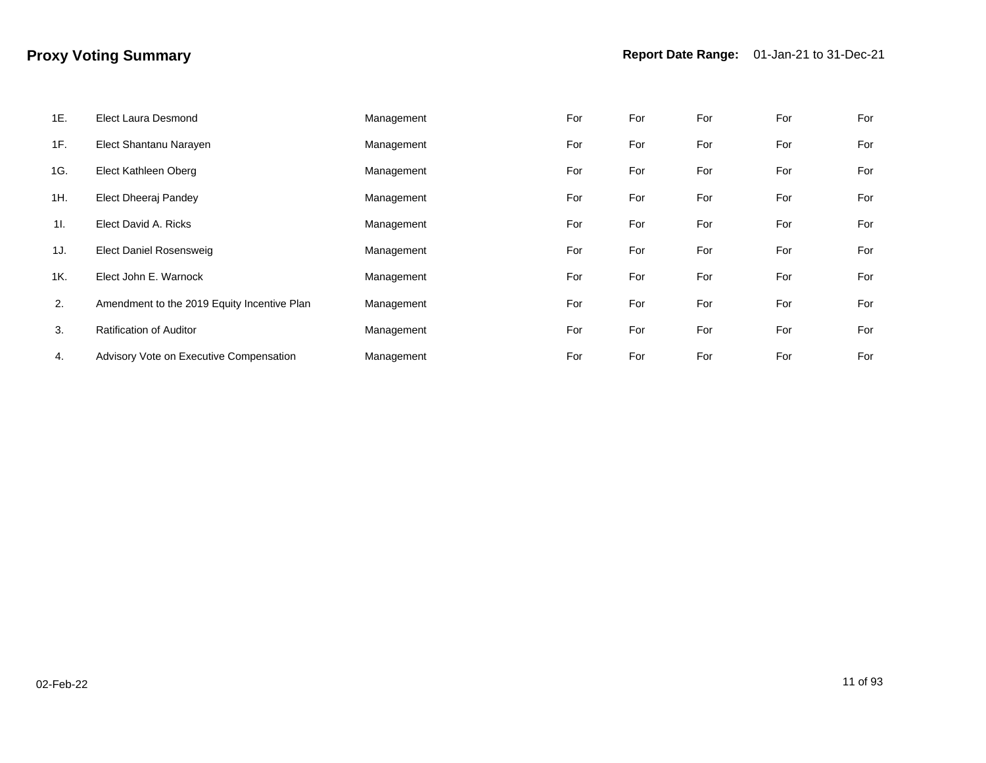| 1E. | <b>Elect Laura Desmond</b>                  | Management | For | For | For | For | For |
|-----|---------------------------------------------|------------|-----|-----|-----|-----|-----|
| 1F. | Elect Shantanu Narayen                      | Management | For | For | For | For | For |
| 1G. | Elect Kathleen Oberg                        | Management | For | For | For | For | For |
| 1H. | Elect Dheeraj Pandey                        | Management | For | For | For | For | For |
| 11. | Elect David A. Ricks                        | Management | For | For | For | For | For |
| 1J. | <b>Elect Daniel Rosensweig</b>              | Management | For | For | For | For | For |
| 1K. | Elect John E. Warnock                       | Management | For | For | For | For | For |
| 2.  | Amendment to the 2019 Equity Incentive Plan | Management | For | For | For | For | For |
| 3.  | <b>Ratification of Auditor</b>              | Management | For | For | For | For | For |
| 4.  | Advisory Vote on Executive Compensation     | Management | For | For | For | For | For |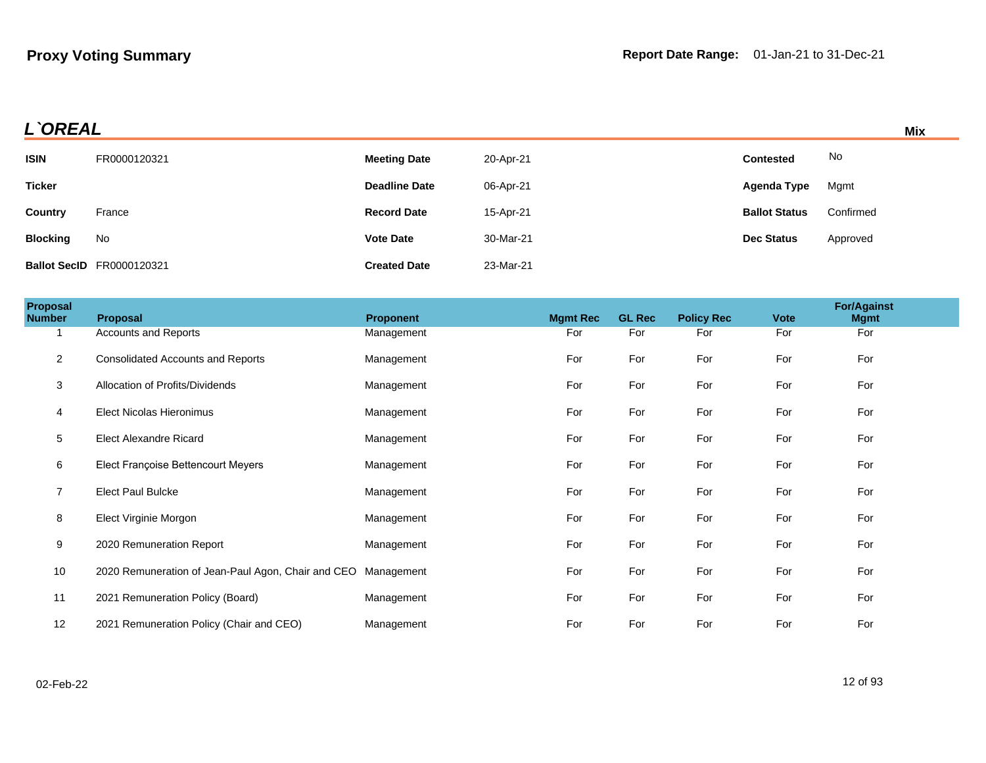| L`OREAL         |                                  |                      |           |                      |           |  |
|-----------------|----------------------------------|----------------------|-----------|----------------------|-----------|--|
| <b>ISIN</b>     | FR0000120321                     | <b>Meeting Date</b>  | 20-Apr-21 | <b>Contested</b>     | No        |  |
| <b>Ticker</b>   |                                  | <b>Deadline Date</b> | 06-Apr-21 | Agenda Type          | Mgmt      |  |
| <b>Country</b>  | France                           | <b>Record Date</b>   | 15-Apr-21 | <b>Ballot Status</b> | Confirmed |  |
| <b>Blocking</b> | No                               | <b>Vote Date</b>     | 30-Mar-21 | <b>Dec Status</b>    | Approved  |  |
|                 | <b>Ballot SecID</b> FR0000120321 | <b>Created Date</b>  | 23-Mar-21 |                      |           |  |

| <b>Proposal</b><br>Number | Proposal                                                      | <b>Proponent</b> | <b>Mgmt Rec</b> | <b>GL Rec</b> | <b>Policy Rec</b> | <b>Vote</b> | <b>For/Against</b><br><b>Mgmt</b> |
|---------------------------|---------------------------------------------------------------|------------------|-----------------|---------------|-------------------|-------------|-----------------------------------|
|                           | Accounts and Reports                                          | Management       | For             | For           | For               | For         | For                               |
| $\overline{2}$            | <b>Consolidated Accounts and Reports</b>                      | Management       | For             | For           | For               | For         | For                               |
| 3                         | Allocation of Profits/Dividends                               | Management       | For             | For           | For               | For         | For                               |
| 4                         | <b>Elect Nicolas Hieronimus</b>                               | Management       | For             | For           | For               | For         | For                               |
| $\sqrt{5}$                | <b>Elect Alexandre Ricard</b>                                 | Management       | For             | For           | For               | For         | For                               |
| 6                         | Elect Françoise Bettencourt Meyers                            | Management       | For             | For           | For               | For         | For                               |
| $\overline{7}$            | <b>Elect Paul Bulcke</b>                                      | Management       | For             | For           | For               | For         | For                               |
| 8                         | Elect Virginie Morgon                                         | Management       | For             | For           | For               | For         | For                               |
| 9                         | 2020 Remuneration Report                                      | Management       | For             | For           | For               | For         | For                               |
| 10                        | 2020 Remuneration of Jean-Paul Agon, Chair and CEO Management |                  | For             | For           | For               | For         | For                               |
| 11                        | 2021 Remuneration Policy (Board)                              | Management       | For             | For           | For               | For         | For                               |
| 12                        | 2021 Remuneration Policy (Chair and CEO)                      | Management       | For             | For           | For               | For         | For                               |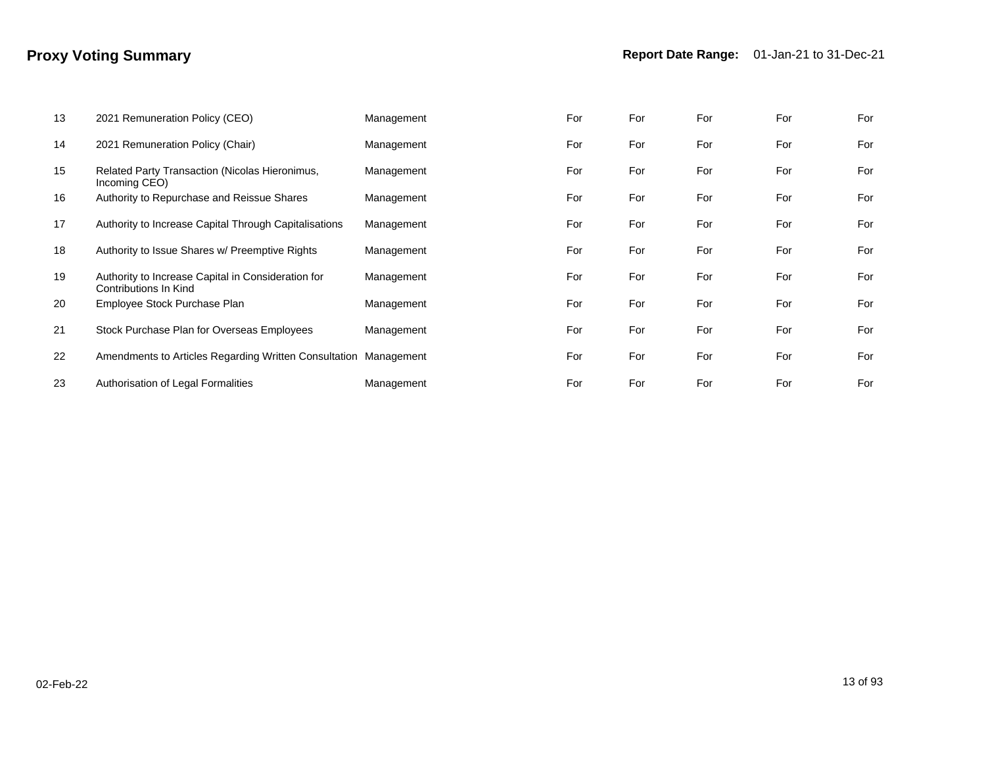| 13 | 2021 Remuneration Policy (CEO)                                              | Management | For | For | For | For | For |
|----|-----------------------------------------------------------------------------|------------|-----|-----|-----|-----|-----|
| 14 | 2021 Remuneration Policy (Chair)                                            | Management | For | For | For | For | For |
| 15 | Related Party Transaction (Nicolas Hieronimus,<br>Incoming CEO)             | Management | For | For | For | For | For |
| 16 | Authority to Repurchase and Reissue Shares                                  | Management | For | For | For | For | For |
| 17 | Authority to Increase Capital Through Capitalisations                       | Management | For | For | For | For | For |
| 18 | Authority to Issue Shares w/ Preemptive Rights                              | Management | For | For | For | For | For |
| 19 | Authority to Increase Capital in Consideration for<br>Contributions In Kind | Management | For | For | For | For | For |
| 20 | Employee Stock Purchase Plan                                                | Management | For | For | For | For | For |
| 21 | Stock Purchase Plan for Overseas Employees                                  | Management | For | For | For | For | For |
| 22 | Amendments to Articles Regarding Written Consultation Management            |            | For | For | For | For | For |
| 23 | Authorisation of Legal Formalities                                          | Management | For | For | For | For | For |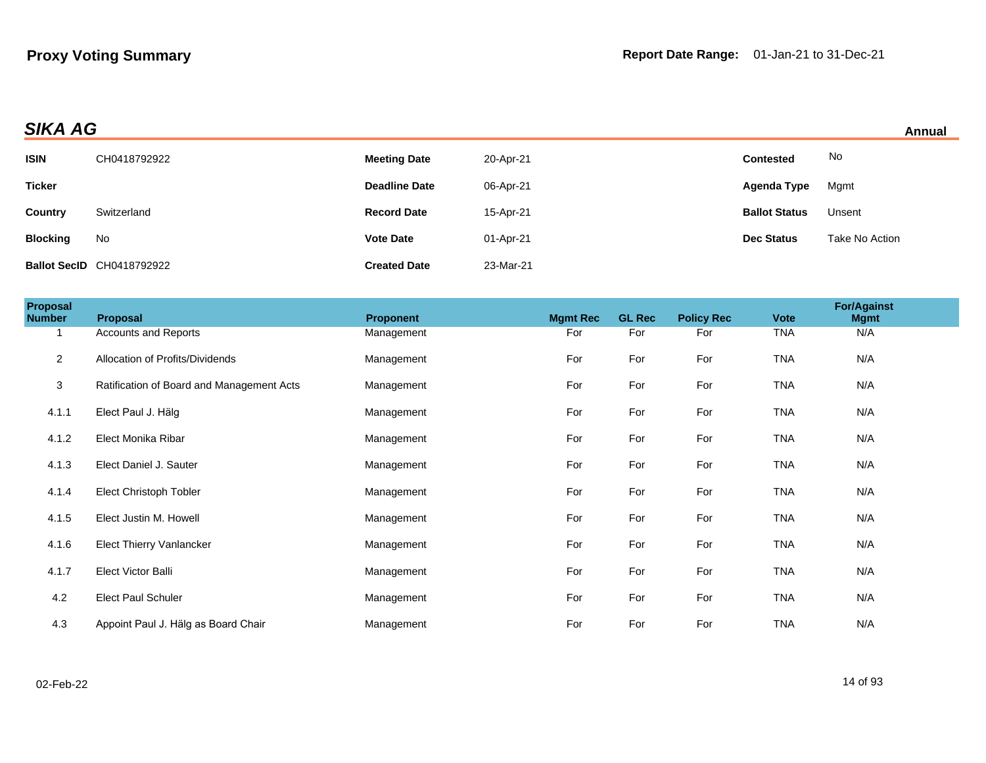| Annual |  |
|--------|--|
|        |  |

| <b>SIKA AG</b><br>Annual |                                  |                      |           |                      |                |  |
|--------------------------|----------------------------------|----------------------|-----------|----------------------|----------------|--|
| <b>ISIN</b>              | CH0418792922                     | <b>Meeting Date</b>  | 20-Apr-21 | <b>Contested</b>     | No             |  |
| <b>Ticker</b>            |                                  | <b>Deadline Date</b> | 06-Apr-21 | Agenda Type          | Mgmt           |  |
| <b>Country</b>           | Switzerland                      | <b>Record Date</b>   | 15-Apr-21 | <b>Ballot Status</b> | Unsent         |  |
| <b>Blocking</b>          | No                               | <b>Vote Date</b>     | 01-Apr-21 | <b>Dec Status</b>    | Take No Action |  |
|                          | <b>Ballot SecID CH0418792922</b> | <b>Created Date</b>  | 23-Mar-21 |                      |                |  |

| <b>Proposal</b><br><b>Number</b> | Proposal                                  | Proponent  | <b>Mgmt Rec</b> | <b>GL Rec</b> | <b>Policy Rec</b> | <b>Vote</b> | <b>For/Against</b><br><b>Mgmt</b> |  |
|----------------------------------|-------------------------------------------|------------|-----------------|---------------|-------------------|-------------|-----------------------------------|--|
| $\mathbf 1$                      | <b>Accounts and Reports</b>               | Management | For             | For           | For               | <b>TNA</b>  | N/A                               |  |
| $\overline{2}$                   | Allocation of Profits/Dividends           | Management | For             | For           | For               | <b>TNA</b>  | N/A                               |  |
| $\mathbf{3}$                     | Ratification of Board and Management Acts | Management | For             | For           | For               | <b>TNA</b>  | N/A                               |  |
| 4.1.1                            | Elect Paul J. Hälg                        | Management | For             | For           | For               | <b>TNA</b>  | N/A                               |  |
| 4.1.2                            | Elect Monika Ribar                        | Management | For             | For           | For               | <b>TNA</b>  | N/A                               |  |
| 4.1.3                            | Elect Daniel J. Sauter                    | Management | For             | For           | For               | <b>TNA</b>  | N/A                               |  |
| 4.1.4                            | Elect Christoph Tobler                    | Management | For             | For           | For               | <b>TNA</b>  | N/A                               |  |
| 4.1.5                            | Elect Justin M. Howell                    | Management | For             | For           | For               | <b>TNA</b>  | N/A                               |  |
| 4.1.6                            | <b>Elect Thierry Vanlancker</b>           | Management | For             | For           | For               | <b>TNA</b>  | N/A                               |  |
| 4.1.7                            | Elect Victor Balli                        | Management | For             | For           | For               | <b>TNA</b>  | N/A                               |  |
| 4.2                              | <b>Elect Paul Schuler</b>                 | Management | For             | For           | For               | <b>TNA</b>  | N/A                               |  |
| 4.3                              | Appoint Paul J. Hälg as Board Chair       | Management | For             | For           | For               | <b>TNA</b>  | N/A                               |  |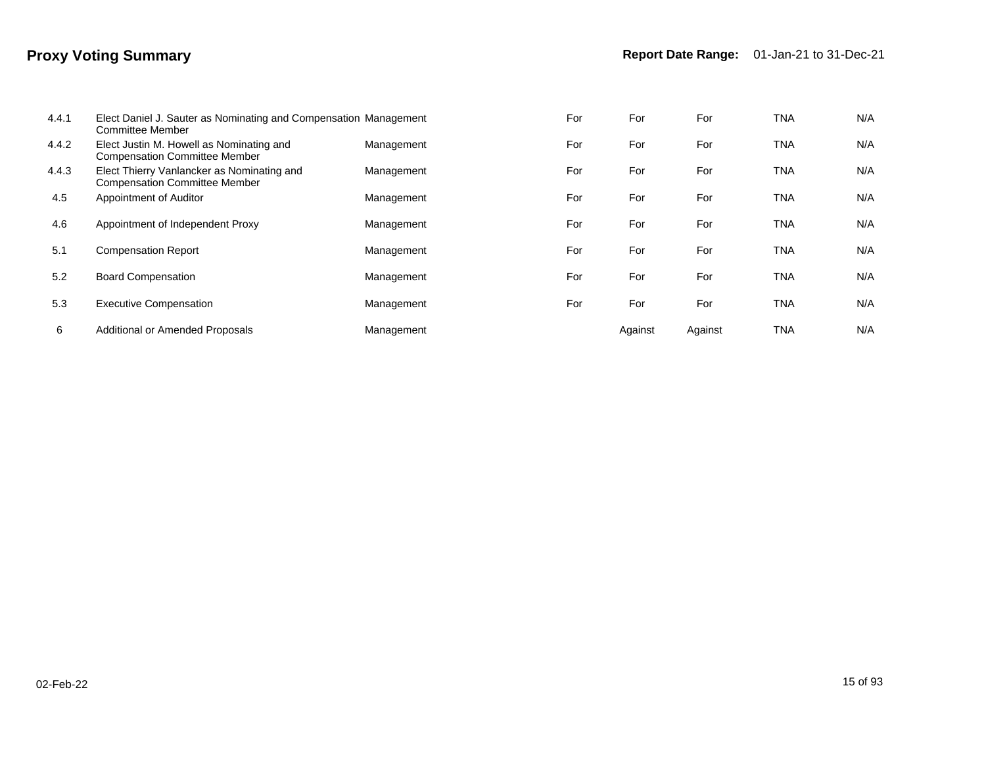| 4.4.1 | Elect Daniel J. Sauter as Nominating and Compensation Management<br>Committee Member |            | For | For     | For     | <b>TNA</b> | N/A |
|-------|--------------------------------------------------------------------------------------|------------|-----|---------|---------|------------|-----|
| 4.4.2 | Elect Justin M. Howell as Nominating and<br><b>Compensation Committee Member</b>     | Management | For | For     | For     | <b>TNA</b> | N/A |
| 4.4.3 | Elect Thierry Vanlancker as Nominating and<br><b>Compensation Committee Member</b>   | Management | For | For     | For     | <b>TNA</b> | N/A |
| 4.5   | Appointment of Auditor                                                               | Management | For | For     | For     | TNA        | N/A |
| 4.6   | Appointment of Independent Proxy                                                     | Management | For | For     | For     | TNA        | N/A |
| 5.1   | <b>Compensation Report</b>                                                           | Management | For | For     | For     | <b>TNA</b> | N/A |
| 5.2   | <b>Board Compensation</b>                                                            | Management | For | For     | For     | TNA        | N/A |
| 5.3   | <b>Executive Compensation</b>                                                        | Management | For | For     | For     | TNA        | N/A |
| 6     | Additional or Amended Proposals                                                      | Management |     | Against | Against | TNA        | N/A |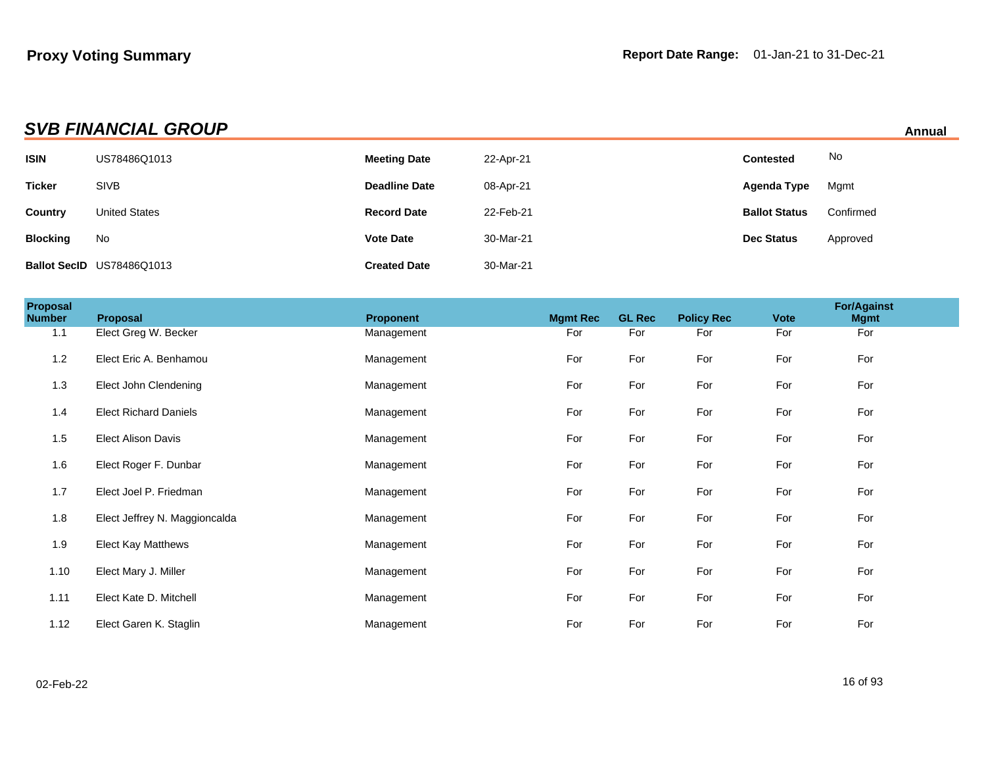| <b>SVB FINANCIAL GROUP</b><br>Annual |                           |                      |           |                      |           |  |  |
|--------------------------------------|---------------------------|----------------------|-----------|----------------------|-----------|--|--|
| <b>ISIN</b>                          | US78486Q1013              | <b>Meeting Date</b>  | 22-Apr-21 | <b>Contested</b>     | No        |  |  |
| <b>Ticker</b>                        | <b>SIVB</b>               | <b>Deadline Date</b> | 08-Apr-21 | Agenda Type          | Mgmt      |  |  |
| Country                              | <b>United States</b>      | <b>Record Date</b>   | 22-Feb-21 | <b>Ballot Status</b> | Confirmed |  |  |
| <b>Blocking</b>                      | No                        | <b>Vote Date</b>     | 30-Mar-21 | <b>Dec Status</b>    | Approved  |  |  |
|                                      | Ballot SecID US78486Q1013 | <b>Created Date</b>  | 30-Mar-21 |                      |           |  |  |

| Proposal<br><b>Number</b> | Proposal                      | <b>Proponent</b> | <b>Mgmt Rec</b> | <b>GL Rec</b> | <b>Policy Rec</b> | <b>Vote</b> | <b>For/Against</b><br><b>Mgmt</b> |  |
|---------------------------|-------------------------------|------------------|-----------------|---------------|-------------------|-------------|-----------------------------------|--|
| 1.1                       | Elect Greg W. Becker          | Management       | For             | For           | For               | For         | For                               |  |
| 1.2                       | Elect Eric A. Benhamou        | Management       | For             | For           | For               | For         | For                               |  |
| 1.3                       | Elect John Clendening         | Management       | For             | For           | For               | For         | For                               |  |
| 1.4                       | <b>Elect Richard Daniels</b>  | Management       | For             | For           | For               | For         | For                               |  |
| 1.5                       | <b>Elect Alison Davis</b>     | Management       | For             | For           | For               | For         | For                               |  |
| 1.6                       | Elect Roger F. Dunbar         | Management       | For             | For           | For               | For         | For                               |  |
| 1.7                       | Elect Joel P. Friedman        | Management       | For             | For           | For               | For         | For                               |  |
| 1.8                       | Elect Jeffrey N. Maggioncalda | Management       | For             | For           | For               | For         | For                               |  |
| 1.9                       | Elect Kay Matthews            | Management       | For             | For           | For               | For         | For                               |  |
| 1.10                      | Elect Mary J. Miller          | Management       | For             | For           | For               | For         | For                               |  |
| 1.11                      | Elect Kate D. Mitchell        | Management       | For             | For           | For               | For         | For                               |  |
| 1.12                      | Elect Garen K. Staglin        | Management       | For             | For           | For               | For         | For                               |  |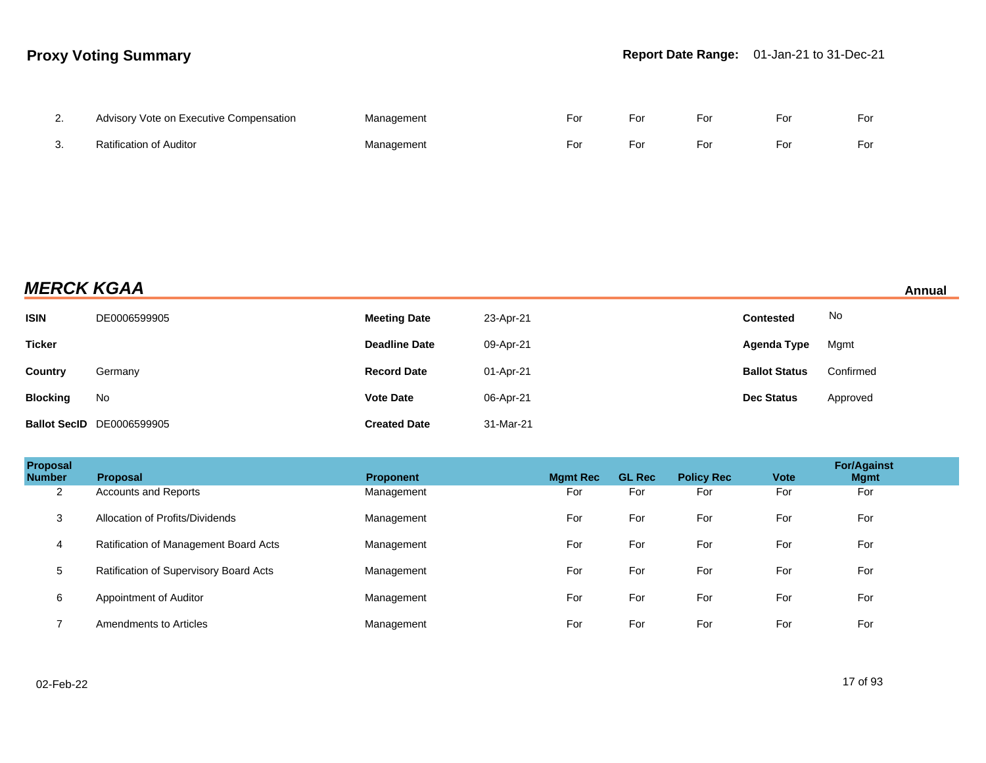| Advisory Vote on Executive Compensation | Management | For | For | For | For | For |
|-----------------------------------------|------------|-----|-----|-----|-----|-----|
| <b>Ratification of Auditor</b>          | Management | For | For | For | For | For |

# **MERCK KGAA** Annual

| <b>ISIN</b>     | DE0006599905                     | <b>Meeting Date</b>  | 23-Apr-21 | <b>Contested</b>     | No        |
|-----------------|----------------------------------|----------------------|-----------|----------------------|-----------|
| <b>Ticker</b>   |                                  | <b>Deadline Date</b> | 09-Apr-21 | Agenda Type          | Mgmt      |
| <b>Country</b>  | Germany                          | <b>Record Date</b>   | 01-Apr-21 | <b>Ballot Status</b> | Confirmed |
| <b>Blocking</b> | No                               | <b>Vote Date</b>     | 06-Apr-21 | <b>Dec Status</b>    | Approved  |
|                 | <b>Ballot SecID</b> DE0006599905 | <b>Created Date</b>  | 31-Mar-21 |                      |           |

| Proposal<br><b>Number</b> | <b>Proposal</b>                        | <b>Proponent</b> | <b>Mgmt Rec</b> | <b>GL Rec</b> | <b>Policy Rec</b> | <b>Vote</b> | <b>For/Against</b><br><b>Mgmt</b> |
|---------------------------|----------------------------------------|------------------|-----------------|---------------|-------------------|-------------|-----------------------------------|
| 2                         | Accounts and Reports                   | Management       | For             | For           | For               | For         | For                               |
| 3                         | Allocation of Profits/Dividends        | Management       | For             | For           | For               | For         | For                               |
| 4                         | Ratification of Management Board Acts  | Management       | For             | For           | For               | For         | For                               |
| 5                         | Ratification of Supervisory Board Acts | Management       | For             | For           | For               | For         | For                               |
| 6                         | Appointment of Auditor                 | Management       | For             | For           | For               | For         | For                               |
|                           | Amendments to Articles                 | Management       | For             | For           | For               | For         | For                               |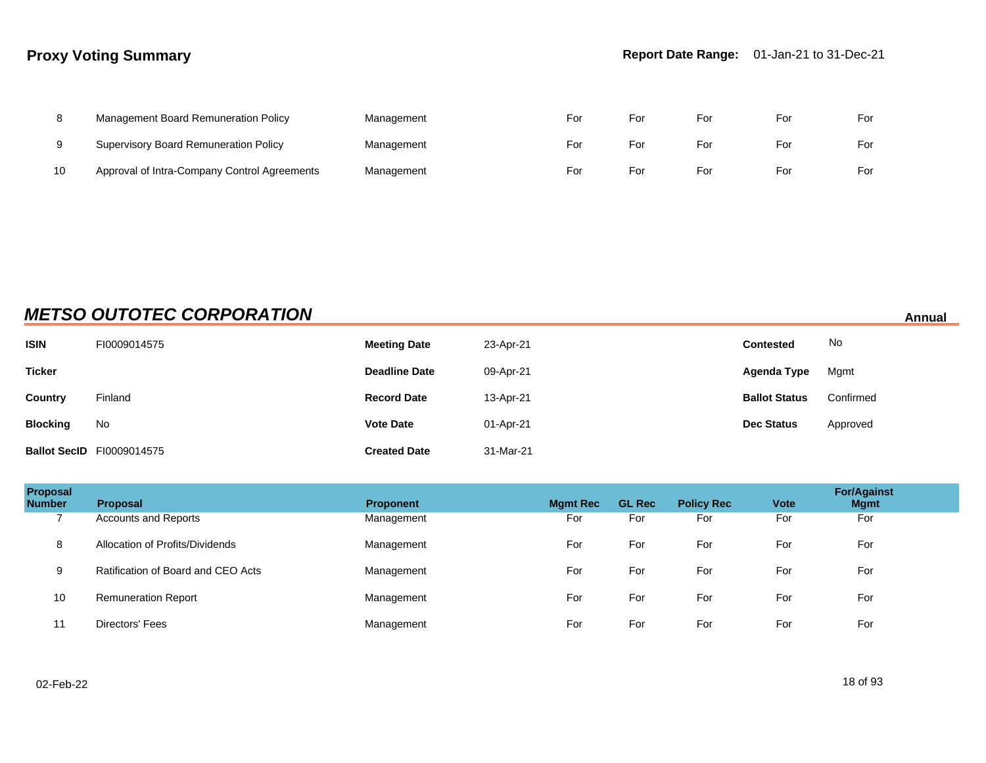|    | Management Board Remuneration Policy         | Management | ⊦or | For | For | For | For |
|----|----------------------------------------------|------------|-----|-----|-----|-----|-----|
|    | <b>Supervisory Board Remuneration Policy</b> | Management | ⊦or | For | For | For | For |
| 10 | Approval of Intra-Company Control Agreements | Management | For | For | For | For | For |

# **METSO OUTOTEC CORPORATION Annual**

| <b>ISIN</b>     | FI0009014575                     | <b>Meeting Date</b>  | 23-Apr-21 | <b>Contested</b>     | No        |
|-----------------|----------------------------------|----------------------|-----------|----------------------|-----------|
| <b>Ticker</b>   |                                  | <b>Deadline Date</b> | 09-Apr-21 | Agenda Type          | Mgmt      |
| Country         | Finland                          | <b>Record Date</b>   | 13-Apr-21 | <b>Ballot Status</b> | Confirmed |
| <b>Blocking</b> | No                               | <b>Vote Date</b>     | 01-Apr-21 | <b>Dec Status</b>    | Approved  |
|                 | <b>Ballot SecID</b> FI0009014575 | <b>Created Date</b>  | 31-Mar-21 |                      |           |

| Proposal<br><b>Number</b> | <b>Proposal</b>                    | <b>Proponent</b> | <b>Mgmt Rec</b> | <b>GL Rec</b> | <b>Policy Rec</b> | <b>Vote</b> | <b>For/Against</b><br><b>Mgmt</b> |
|---------------------------|------------------------------------|------------------|-----------------|---------------|-------------------|-------------|-----------------------------------|
|                           | <b>Accounts and Reports</b>        | Management       | For             | For           | For               | For         | For                               |
| 8                         | Allocation of Profits/Dividends    | Management       | For             | For           | For               | For         | For                               |
| 9                         | Ratification of Board and CEO Acts | Management       | For             | For           | For               | For         | For                               |
| 10                        | <b>Remuneration Report</b>         | Management       | For             | For           | For               | For         | For                               |
| 11                        | Directors' Fees                    | Management       | For             | For           | For               | For         | For                               |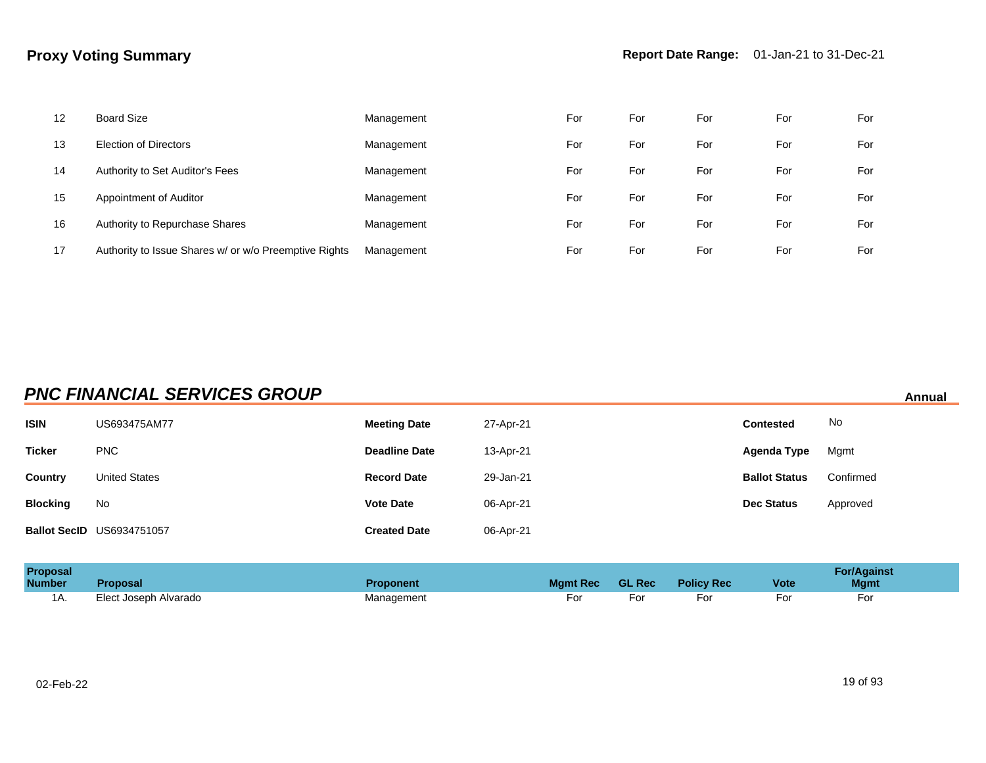| 12 | <b>Board Size</b>                                     | Management | For | For | For | For | For |
|----|-------------------------------------------------------|------------|-----|-----|-----|-----|-----|
| 13 | Election of Directors                                 | Management | For | For | For | For | For |
| 14 | Authority to Set Auditor's Fees                       | Management | For | For | For | For | For |
| 15 | Appointment of Auditor                                | Management | For | For | For | For | For |
| 16 | Authority to Repurchase Shares                        | Management | For | For | For | For | For |
| 17 | Authority to Issue Shares w/ or w/o Preemptive Rights | Management | For | For | For | For | For |

# **PNC FINANCIAL SERVICES GROUP** *Annual* **Annual**

| <b>ISIN</b>     | US693475AM77                     | <b>Meeting Date</b>  | 27-Apr-21 | <b>Contested</b>     | No.       |
|-----------------|----------------------------------|----------------------|-----------|----------------------|-----------|
| <b>Ticker</b>   | <b>PNC</b>                       | <b>Deadline Date</b> | 13-Apr-21 | Agenda Type          | Mgmt      |
| Country         | <b>United States</b>             | <b>Record Date</b>   | 29-Jan-21 | <b>Ballot Status</b> | Confirmed |
| <b>Blocking</b> | No                               | <b>Vote Date</b>     | 06-Apr-21 | <b>Dec Status</b>    | Approved  |
|                 | <b>Ballot SecID US6934751057</b> | <b>Created Date</b>  | 06-Apr-21 |                      |           |

| <b>Proposal</b><br><b>Number</b> | <b>Proposal</b>       | <b>Proponent</b> | <b>Mamt Rec</b> | GL Rec | <b>Policy Rec</b> | <b>Vote</b> | <b>For/Against</b><br><b>Mgmt</b> |
|----------------------------------|-----------------------|------------------|-----------------|--------|-------------------|-------------|-----------------------------------|
| 1A.                              | Elect Joseph Alvarado | Management       | -oı             | For    |                   |             | וט־                               |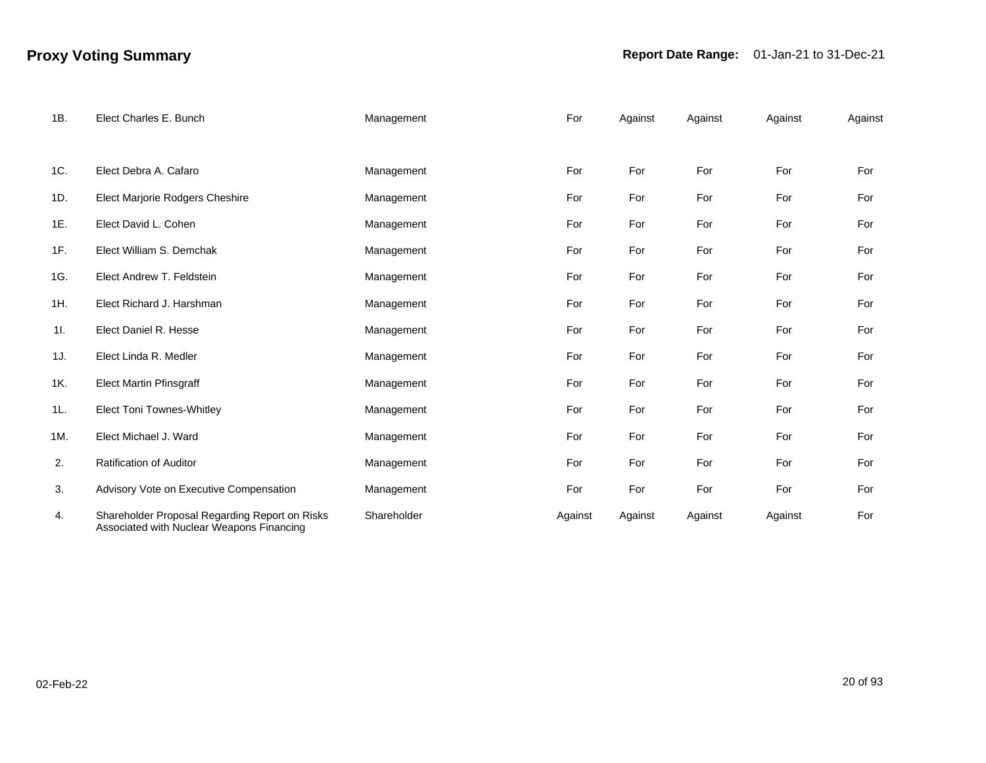| 1B. | Elect Charles E. Bunch                                                                      | Management  | For     | Against | Against | Against | Against |
|-----|---------------------------------------------------------------------------------------------|-------------|---------|---------|---------|---------|---------|
|     |                                                                                             |             |         |         |         |         |         |
| 1C. | Elect Debra A. Cafaro                                                                       | Management  | For     | For     | For     | For     | For     |
| 1D. | Elect Marjorie Rodgers Cheshire                                                             | Management  | For     | For     | For     | For     | For     |
| 1E. | Elect David L. Cohen                                                                        | Management  | For     | For     | For     | For     | For     |
| 1F. | Elect William S. Demchak                                                                    | Management  | For     | For     | For     | For     | For     |
| 1G. | Elect Andrew T. Feldstein                                                                   | Management  | For     | For     | For     | For     | For     |
| 1H. | Elect Richard J. Harshman                                                                   | Management  | For     | For     | For     | For     | For     |
| 11. | Elect Daniel R. Hesse                                                                       | Management  | For     | For     | For     | For     | For     |
| 1J. | Elect Linda R. Medler                                                                       | Management  | For     | For     | For     | For     | For     |
| 1K. | <b>Elect Martin Pfinsgraff</b>                                                              | Management  | For     | For     | For     | For     | For     |
| 1L. | Elect Toni Townes-Whitley                                                                   | Management  | For     | For     | For     | For     | For     |
| 1M. | Elect Michael J. Ward                                                                       | Management  | For     | For     | For     | For     | For     |
| 2.  | <b>Ratification of Auditor</b>                                                              | Management  | For     | For     | For     | For     | For     |
| 3.  | Advisory Vote on Executive Compensation                                                     | Management  | For     | For     | For     | For     | For     |
| 4.  | Shareholder Proposal Regarding Report on Risks<br>Associated with Nuclear Weapons Financing | Shareholder | Against | Against | Against | Against | For     |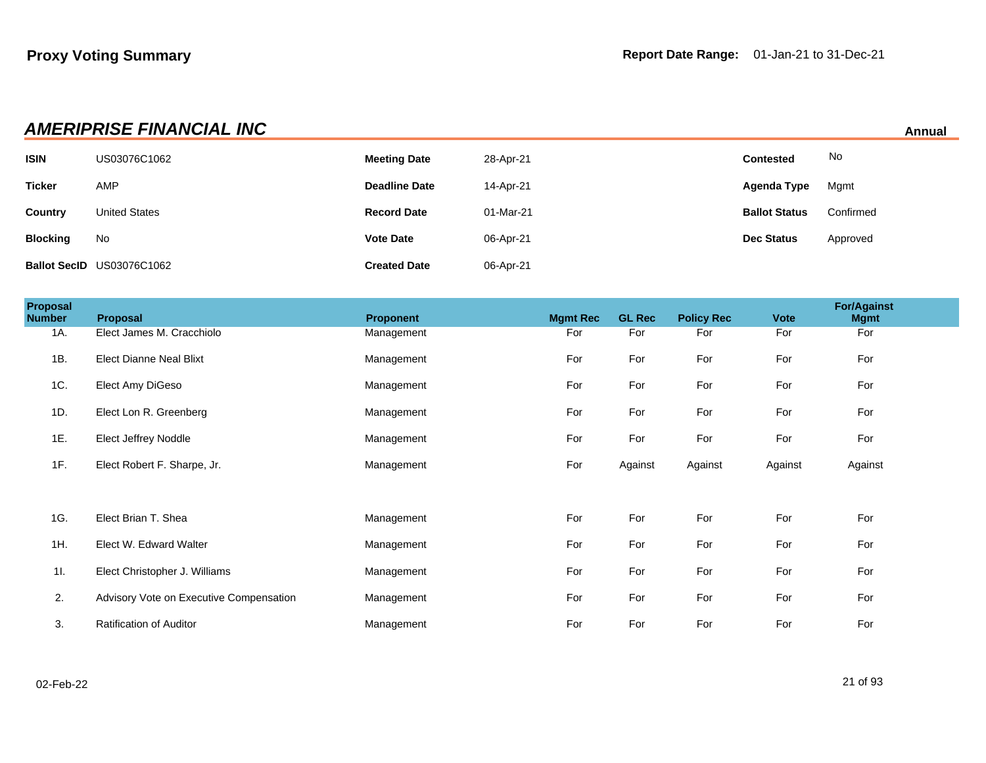| <b>AMERIPRISE FINANCIAL INC</b><br>Annual |                           |                      |           |                      |           |  |  |
|-------------------------------------------|---------------------------|----------------------|-----------|----------------------|-----------|--|--|
| <b>ISIN</b>                               | US03076C1062              | <b>Meeting Date</b>  | 28-Apr-21 | <b>Contested</b>     | No        |  |  |
| <b>Ticker</b>                             | <b>AMP</b>                | <b>Deadline Date</b> | 14-Apr-21 | Agenda Type          | Mgmt      |  |  |
| <b>Country</b>                            | <b>United States</b>      | <b>Record Date</b>   | 01-Mar-21 | <b>Ballot Status</b> | Confirmed |  |  |
| <b>Blocking</b>                           | No                        | <b>Vote Date</b>     | 06-Apr-21 | Dec Status           | Approved  |  |  |
|                                           | Ballot SecID US03076C1062 | <b>Created Date</b>  | 06-Apr-21 |                      |           |  |  |

| Proposal<br><b>Number</b> | <b>Proposal</b>                         | <b>Proponent</b> | <b>Mamt Rec</b> | <b>GL Rec</b> | <b>Policy Rec</b> | <b>Vote</b> | <b>For/Against</b><br><b>Mgmt</b> |  |
|---------------------------|-----------------------------------------|------------------|-----------------|---------------|-------------------|-------------|-----------------------------------|--|
| 1A.                       | Elect James M. Cracchiolo               | Management       | For             | For           | For               | For         | For                               |  |
| 1B.                       | <b>Elect Dianne Neal Blixt</b>          | Management       | For             | For           | For               | For         | For                               |  |
| 1C.                       | Elect Amy DiGeso                        | Management       | For             | For           | For               | For         | For                               |  |
| 1D.                       | Elect Lon R. Greenberg                  | Management       | For             | For           | For               | For         | For                               |  |
| 1E.                       | Elect Jeffrey Noddle                    | Management       | For             | For           | For               | For         | For                               |  |
| 1F.                       | Elect Robert F. Sharpe, Jr.             | Management       | For             | Against       | Against           | Against     | Against                           |  |
|                           |                                         |                  |                 |               |                   |             |                                   |  |
| 1G.                       | Elect Brian T. Shea                     | Management       | For             | For           | For               | For         | For                               |  |
| 1H.                       | Elect W. Edward Walter                  | Management       | For             | For           | For               | For         | For                               |  |
| 11.                       | Elect Christopher J. Williams           | Management       | For             | For           | For               | For         | For                               |  |
| 2.                        | Advisory Vote on Executive Compensation | Management       | For             | For           | For               | For         | For                               |  |
| 3.                        | <b>Ratification of Auditor</b>          | Management       | For             | For           | For               | For         | For                               |  |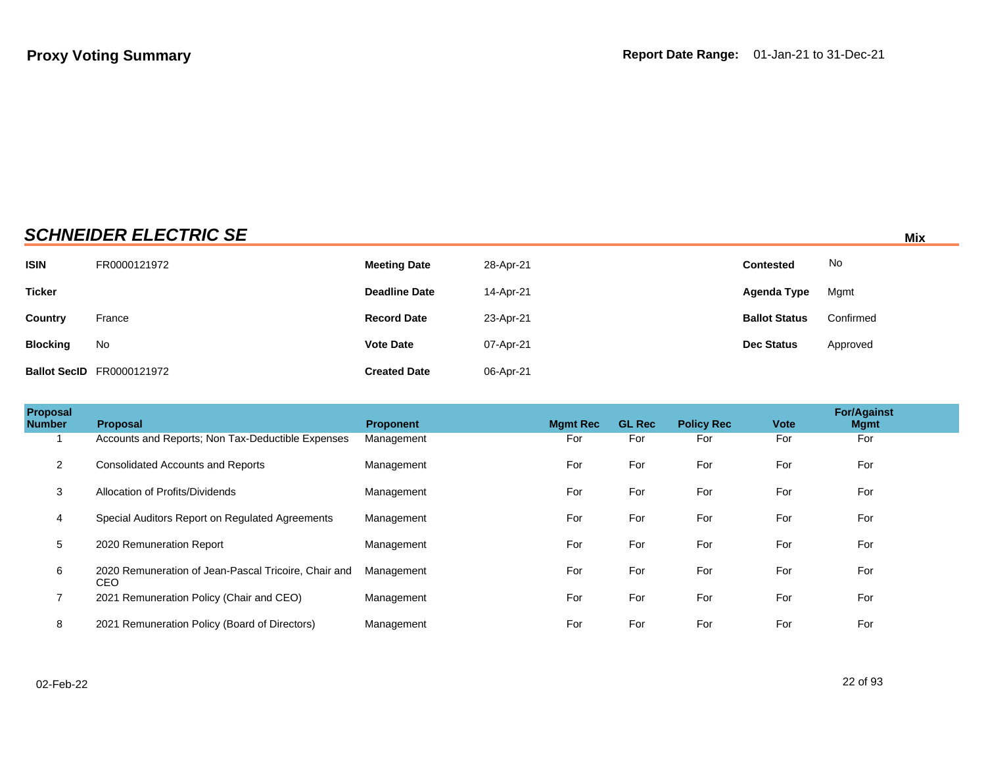# **SCHNEIDER ELECTRIC SE** Mix

| <b>ISIN</b>     | FR0000121972                     | <b>Meeting Date</b>  | 28-Apr-21 | <b>Contested</b>     | No        |
|-----------------|----------------------------------|----------------------|-----------|----------------------|-----------|
| <b>Ticker</b>   |                                  | <b>Deadline Date</b> | 14-Apr-21 | Agenda Type          | Mgmt      |
| Country         | France                           | <b>Record Date</b>   | 23-Apr-21 | <b>Ballot Status</b> | Confirmed |
| <b>Blocking</b> | No                               | <b>Vote Date</b>     | 07-Apr-21 | <b>Dec Status</b>    | Approved  |
|                 | <b>Ballot SecID</b> FR0000121972 | <b>Created Date</b>  | 06-Apr-21 |                      |           |

| Proposal<br><b>Number</b> | Proposal                                                    | <b>Proponent</b> | <b>Mamt Rec</b> | <b>GL Rec</b> | <b>Policy Rec</b> | <b>Vote</b> | <b>For/Against</b><br><b>Mgmt</b> |
|---------------------------|-------------------------------------------------------------|------------------|-----------------|---------------|-------------------|-------------|-----------------------------------|
|                           | Accounts and Reports: Non Tax-Deductible Expenses           | Management       | For             | For           | For               | For         | For                               |
| $\overline{2}$            | <b>Consolidated Accounts and Reports</b>                    | Management       | For             | For           | For               | For         | For                               |
| 3                         | Allocation of Profits/Dividends                             | Management       | For             | For           | For               | For         | For                               |
| 4                         | Special Auditors Report on Regulated Agreements             | Management       | For             | For           | For               | For         | For                               |
| 5                         | 2020 Remuneration Report                                    | Management       | For             | For           | For               | For         | For                               |
| 6                         | 2020 Remuneration of Jean-Pascal Tricoire, Chair and<br>CEO | Management       | For             | For           | For               | For         | For                               |
| $\overline{ }$            | 2021 Remuneration Policy (Chair and CEO)                    | Management       | For             | For           | For               | For         | For                               |
| 8                         | 2021 Remuneration Policy (Board of Directors)               | Management       | For             | For           | For               | For         | For                               |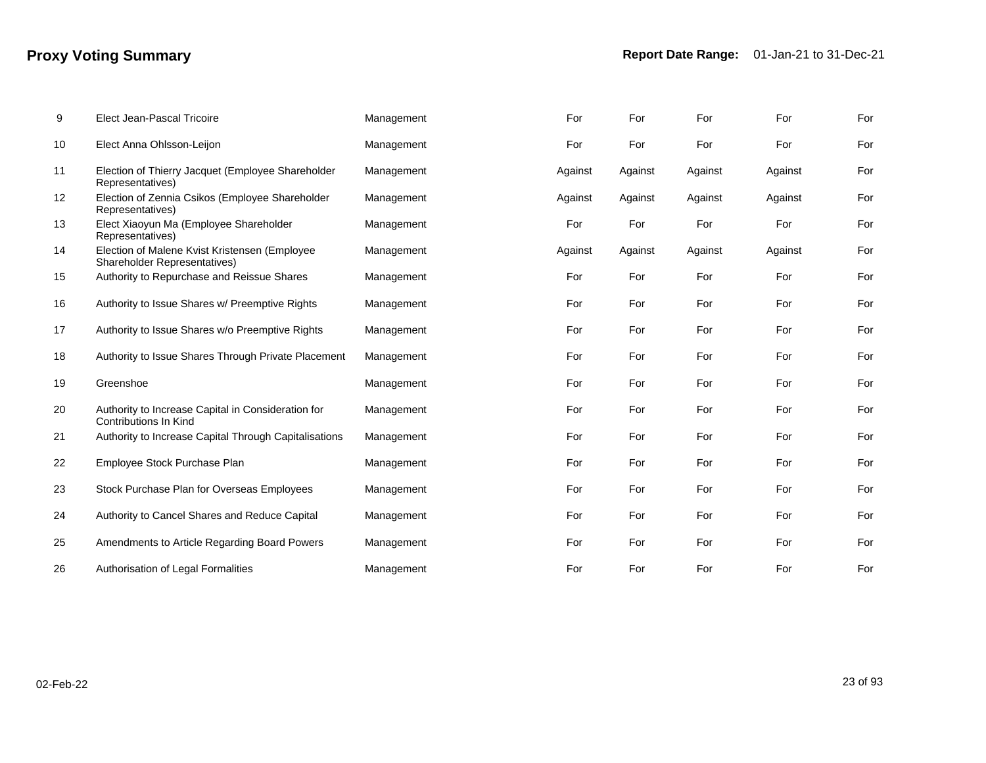| 9  | <b>Elect Jean-Pascal Tricoire</b>                                             | Management | For     | For     | For     | For     | For |
|----|-------------------------------------------------------------------------------|------------|---------|---------|---------|---------|-----|
| 10 | Elect Anna Ohlsson-Leijon                                                     | Management | For     | For     | For     | For     | For |
| 11 | Election of Thierry Jacquet (Employee Shareholder<br>Representatives)         | Management | Against | Against | Against | Against | For |
| 12 | Election of Zennia Csikos (Employee Shareholder<br>Representatives)           | Management | Against | Against | Against | Against | For |
| 13 | Elect Xiaoyun Ma (Employee Shareholder<br>Representatives)                    | Management | For     | For     | For     | For     | For |
| 14 | Election of Malene Kvist Kristensen (Employee<br>Shareholder Representatives) | Management | Against | Against | Against | Against | For |
| 15 | Authority to Repurchase and Reissue Shares                                    | Management | For     | For     | For     | For     | For |
| 16 | Authority to Issue Shares w/ Preemptive Rights                                | Management | For     | For     | For     | For     | For |
| 17 | Authority to Issue Shares w/o Preemptive Rights                               | Management | For     | For     | For     | For     | For |
| 18 | Authority to Issue Shares Through Private Placement                           | Management | For     | For     | For     | For     | For |
| 19 | Greenshoe                                                                     | Management | For     | For     | For     | For     | For |
| 20 | Authority to Increase Capital in Consideration for<br>Contributions In Kind   | Management | For     | For     | For     | For     | For |
| 21 | Authority to Increase Capital Through Capitalisations                         | Management | For     | For     | For     | For     | For |
| 22 | Employee Stock Purchase Plan                                                  | Management | For     | For     | For     | For     | For |
| 23 | Stock Purchase Plan for Overseas Employees                                    | Management | For     | For     | For     | For     | For |
| 24 | Authority to Cancel Shares and Reduce Capital                                 | Management | For     | For     | For     | For     | For |
| 25 | Amendments to Article Regarding Board Powers                                  | Management | For     | For     | For     | For     | For |
| 26 | Authorisation of Legal Formalities                                            | Management | For     | For     | For     | For     | For |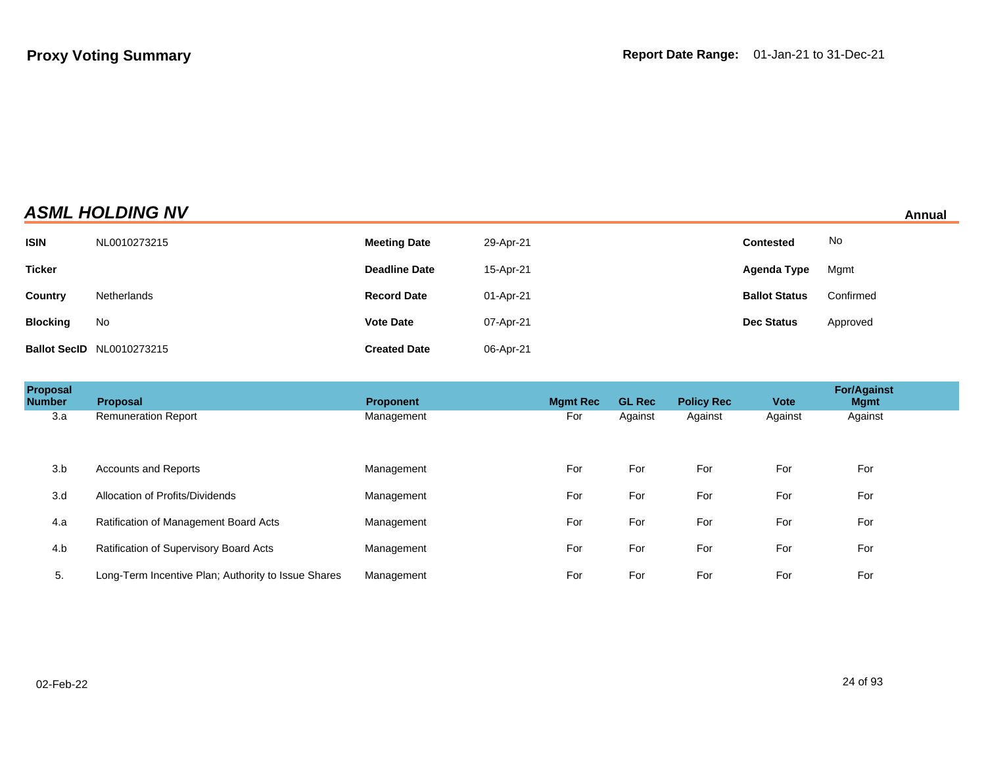| <b>ASML HOLDING NV</b> | Annual |
|------------------------|--------|
|                        |        |

| <b>ISIN</b>     | NL0010273215                     | <b>Meeting Date</b>  | 29-Apr-21 | <b>Contested</b>     | No.       |
|-----------------|----------------------------------|----------------------|-----------|----------------------|-----------|
| <b>Ticker</b>   |                                  | <b>Deadline Date</b> | 15-Apr-21 | Agenda Type          | Mgmt      |
| <b>Country</b>  | Netherlands                      | <b>Record Date</b>   | 01-Apr-21 | <b>Ballot Status</b> | Confirmed |
| <b>Blocking</b> | No                               | <b>Vote Date</b>     | 07-Apr-21 | <b>Dec Status</b>    | Approved  |
|                 | <b>Ballot SecID NL0010273215</b> | <b>Created Date</b>  | 06-Apr-21 |                      |           |

| Proposal<br><b>Number</b> | <b>Proposal</b>                                     | <b>Proponent</b> | <b>Mgmt Rec</b> | <b>GL Rec</b> | <b>Policy Rec</b> | <b>Vote</b> | <b>For/Against</b><br><b>Mgmt</b> |  |
|---------------------------|-----------------------------------------------------|------------------|-----------------|---------------|-------------------|-------------|-----------------------------------|--|
| 3.a                       | <b>Remuneration Report</b>                          | Management       | For             | Against       | Against           | Against     | Against                           |  |
|                           |                                                     |                  |                 |               |                   |             |                                   |  |
| 3.b                       | <b>Accounts and Reports</b>                         | Management       | For             | For           | For               | For         | For                               |  |
| 3.d                       | Allocation of Profits/Dividends                     | Management       | For             | For           | For               | For         | For                               |  |
| 4.a                       | Ratification of Management Board Acts               | Management       | For             | For           | For               | For         | For                               |  |
| 4.b                       | Ratification of Supervisory Board Acts              | Management       | For             | For           | For               | For         | For                               |  |
| 5.                        | Long-Term Incentive Plan; Authority to Issue Shares | Management       | For             | For           | For               | For         | For                               |  |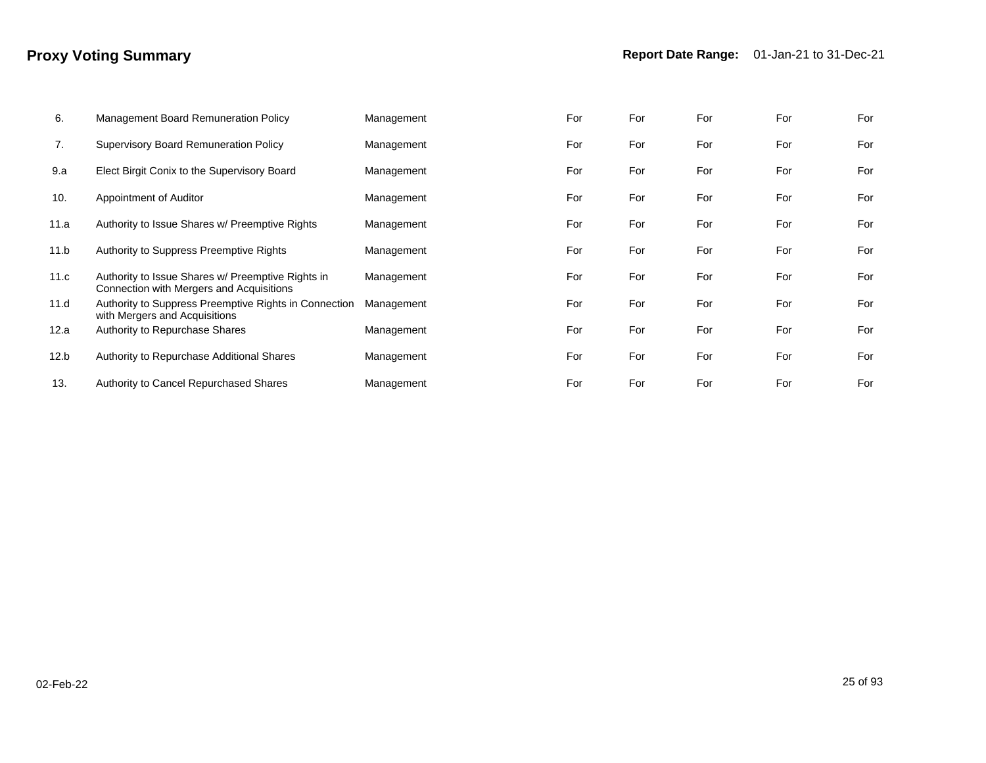| 6.   | Management Board Remuneration Policy                                                          | Management | For | For | For | For | For |
|------|-----------------------------------------------------------------------------------------------|------------|-----|-----|-----|-----|-----|
| 7.   | <b>Supervisory Board Remuneration Policy</b>                                                  | Management | For | For | For | For | For |
| 9.a  | Elect Birgit Conix to the Supervisory Board                                                   | Management | For | For | For | For | For |
| 10.  | Appointment of Auditor                                                                        | Management | For | For | For | For | For |
| 11.a | Authority to Issue Shares w/ Preemptive Rights                                                | Management | For | For | For | For | For |
| 11.b | Authority to Suppress Preemptive Rights                                                       | Management | For | For | For | For | For |
| 11.c | Authority to Issue Shares w/ Preemptive Rights in<br>Connection with Mergers and Acquisitions | Management | For | For | For | For | For |
| 11.d | Authority to Suppress Preemptive Rights in Connection<br>with Mergers and Acquisitions        | Management | For | For | For | For | For |
| 12.a | Authority to Repurchase Shares                                                                | Management | For | For | For | For | For |
| 12.b | Authority to Repurchase Additional Shares                                                     | Management | For | For | For | For | For |
| 13.  | <b>Authority to Cancel Repurchased Shares</b>                                                 | Management | For | For | For | For | For |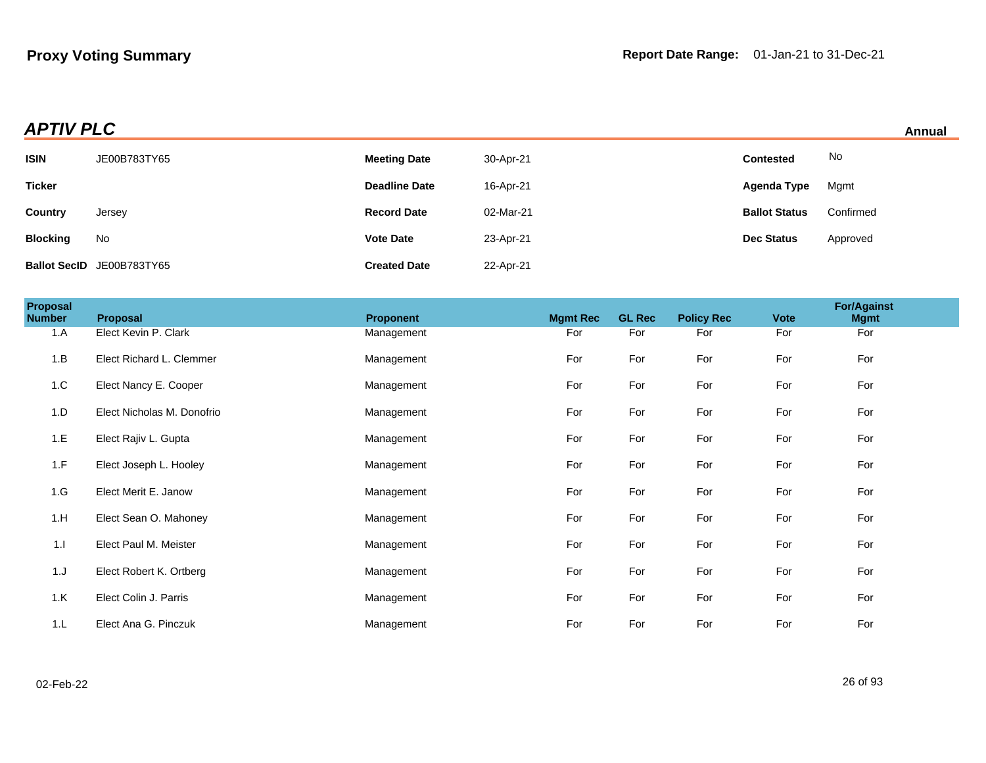|  | Annual |  |
|--|--------|--|
|  |        |  |

| <b>APTIV PLC</b> |                           |                      |           |                      |           | Annual |
|------------------|---------------------------|----------------------|-----------|----------------------|-----------|--------|
| <b>ISIN</b>      | JE00B783TY65              | <b>Meeting Date</b>  | 30-Apr-21 | <b>Contested</b>     | No        |        |
| <b>Ticker</b>    |                           | <b>Deadline Date</b> | 16-Apr-21 | Agenda Type          | Mgmt      |        |
| Country          | Jersey                    | <b>Record Date</b>   | 02-Mar-21 | <b>Ballot Status</b> | Confirmed |        |
| <b>Blocking</b>  | No                        | <b>Vote Date</b>     | 23-Apr-21 | <b>Dec Status</b>    | Approved  |        |
|                  | Ballot SecID JE00B783TY65 | <b>Created Date</b>  | 22-Apr-21 |                      |           |        |

| Proposal<br><b>Number</b> | Proposal                   | <b>Proponent</b> | <b>Mgmt Rec</b> | <b>GL Rec</b> | <b>Policy Rec</b> | <b>Vote</b> | <b>For/Against</b><br><b>Mgmt</b> |
|---------------------------|----------------------------|------------------|-----------------|---------------|-------------------|-------------|-----------------------------------|
| 1.A                       | Elect Kevin P. Clark       | Management       | For             | For           | For               | For         | For                               |
| 1.B                       | Elect Richard L. Clemmer   | Management       | For             | For           | For               | For         | For                               |
| 1.C                       | Elect Nancy E. Cooper      | Management       | For             | For           | For               | For         | For                               |
| 1.D                       | Elect Nicholas M. Donofrio | Management       | For             | For           | For               | For         | For                               |
| 1.E                       | Elect Rajiv L. Gupta       | Management       | For             | For           | For               | For         | For                               |
| 1.F                       | Elect Joseph L. Hooley     | Management       | For             | For           | For               | For         | For                               |
| 1.G                       | Elect Merit E. Janow       | Management       | For             | For           | For               | For         | For                               |
| 1.H                       | Elect Sean O. Mahoney      | Management       | For             | For           | For               | For         | For                               |
| 1.1                       | Elect Paul M. Meister      | Management       | For             | For           | For               | For         | For                               |
| 1.J                       | Elect Robert K. Ortberg    | Management       | For             | For           | For               | For         | For                               |
| 1.K                       | Elect Colin J. Parris      | Management       | For             | For           | For               | For         | For                               |
| 1.L                       | Elect Ana G. Pinczuk       | Management       | For             | For           | For               | For         | For                               |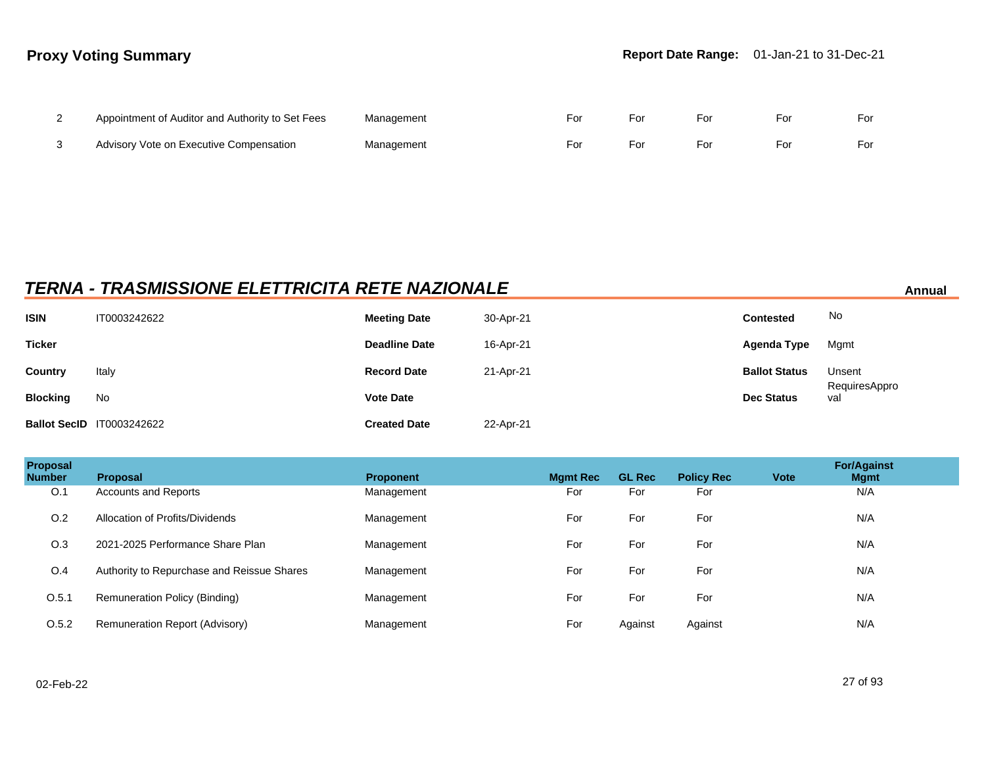| $\sim$ | Appointment of Auditor and Authority to Set Fees | Management | For | For | For | For | For |
|--------|--------------------------------------------------|------------|-----|-----|-----|-----|-----|
|        | Advisory Vote on Executive Compensation          | Management | For | For | For | ⊦or | For |

# **TERNA - TRASMISSIONE ELETTRICITA RETE NAZIONALE Annual**

| <b>ISIN</b>     | IT0003242622                     | <b>Meeting Date</b>  | 30-Apr-21 | <b>Contested</b>     | No                   |
|-----------------|----------------------------------|----------------------|-----------|----------------------|----------------------|
| <b>Ticker</b>   |                                  | <b>Deadline Date</b> | 16-Apr-21 | Agenda Type          | Mgmt                 |
| <b>Country</b>  | Italy                            | <b>Record Date</b>   | 21-Apr-21 | <b>Ballot Status</b> | Unsent               |
| <b>Blocking</b> | No                               | <b>Vote Date</b>     |           | <b>Dec Status</b>    | RequiresAppro<br>val |
|                 | <b>Ballot SecID 1T0003242622</b> | <b>Created Date</b>  | 22-Apr-21 |                      |                      |

| Proposal<br><b>Number</b> | <b>Proposal</b>                            | <b>Proponent</b> | <b>Mgmt Rec</b> | <b>GL Rec</b> | <b>Policy Rec</b> | <b>Vote</b> | <b>For/Against</b><br><b>Mgmt</b> |
|---------------------------|--------------------------------------------|------------------|-----------------|---------------|-------------------|-------------|-----------------------------------|
| O.1                       | <b>Accounts and Reports</b>                | Management       | For             | For           | For               |             | N/A                               |
| O.2                       | Allocation of Profits/Dividends            | Management       | For             | For           | For               |             | N/A                               |
| O.3                       | 2021-2025 Performance Share Plan           | Management       | For             | For           | For               |             | N/A                               |
| O.4                       | Authority to Repurchase and Reissue Shares | Management       | For             | For           | For               |             | N/A                               |
| O.5.1                     | Remuneration Policy (Binding)              | Management       | For             | For           | For               |             | N/A                               |
| O.5.2                     | Remuneration Report (Advisory)             | Management       | For             | Against       | Against           |             | N/A                               |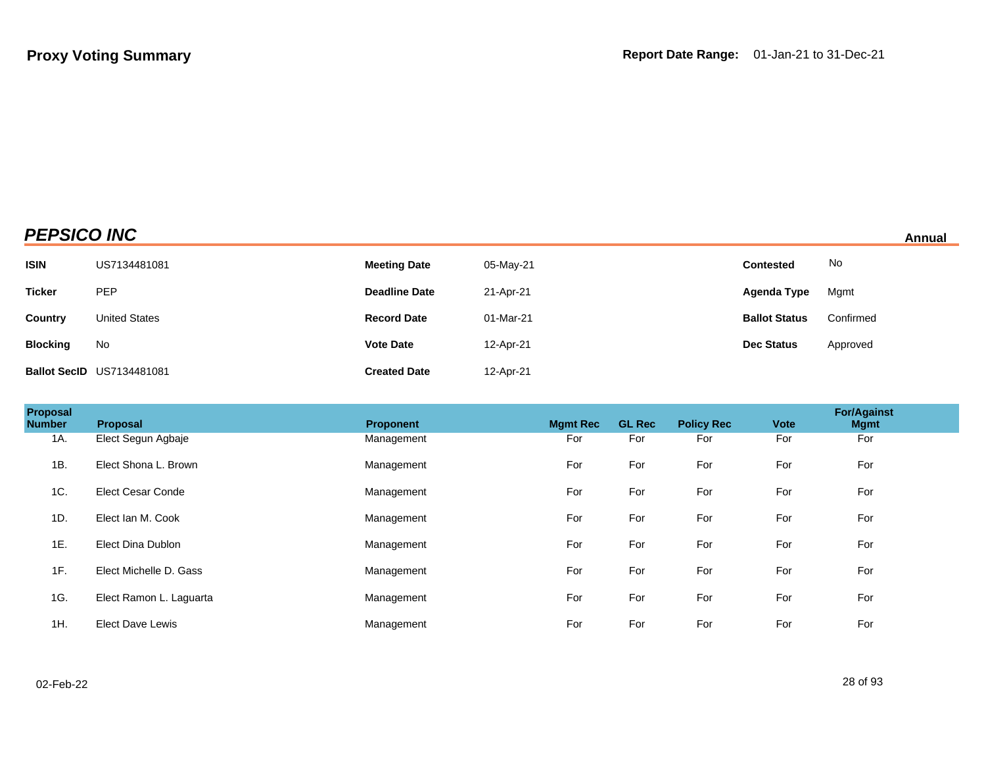# **PEPSICO INC Annual**

| <b>ISIN</b>     | US7134481081                     | <b>Meeting Date</b>  | 05-May-21 | <b>Contested</b>     | No        |
|-----------------|----------------------------------|----------------------|-----------|----------------------|-----------|
| <b>Ticker</b>   | PEP                              | <b>Deadline Date</b> | 21-Apr-21 | Agenda Type          | Mgmt      |
| Country         | <b>United States</b>             | <b>Record Date</b>   | 01-Mar-21 | <b>Ballot Status</b> | Confirmed |
| <b>Blocking</b> | No                               | <b>Vote Date</b>     | 12-Apr-21 | <b>Dec Status</b>    | Approved  |
|                 | <b>Ballot SecID US7134481081</b> | <b>Created Date</b>  | 12-Apr-21 |                      |           |

| <b>Proposal</b><br><b>Number</b> | Proposal                 | <b>Proponent</b> | <b>Mamt Rec</b> | <b>GL Rec</b> | <b>Policy Rec</b> | <b>Vote</b> | <b>For/Against</b><br><b>Mgmt</b> |  |
|----------------------------------|--------------------------|------------------|-----------------|---------------|-------------------|-------------|-----------------------------------|--|
| 1A.                              | Elect Segun Agbaje       | Management       | For             | For           | For               | For         | For                               |  |
| 1B.                              | Elect Shona L. Brown     | Management       | For             | For           | For               | For         | For                               |  |
| 1C.                              | <b>Elect Cesar Conde</b> | Management       | For             | For           | For               | For         | For                               |  |
| 1D.                              | Elect Ian M. Cook        | Management       | For             | For           | For               | For         | For                               |  |
| 1E.                              | Elect Dina Dublon        | Management       | For             | For           | For               | For         | For                               |  |
| 1F.                              | Elect Michelle D. Gass   | Management       | For             | For           | For               | For         | For                               |  |
| 1G.                              | Elect Ramon L. Laguarta  | Management       | For             | For           | For               | For         | For                               |  |
| 1H.                              | <b>Elect Dave Lewis</b>  | Management       | For             | For           | For               | For         | For                               |  |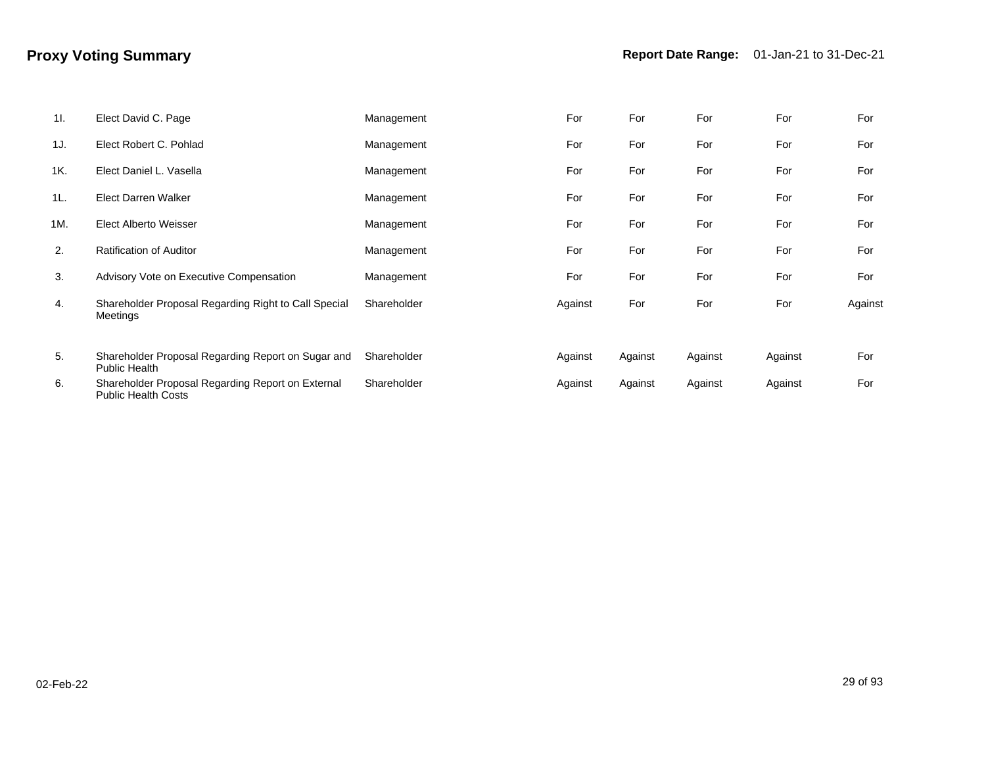| 11. | Elect David C. Page                                                             | Management  | For     | For     | For     | For     | For     |
|-----|---------------------------------------------------------------------------------|-------------|---------|---------|---------|---------|---------|
| 1J. | Elect Robert C. Pohlad                                                          | Management  | For     | For     | For     | For     | For     |
| 1K. | Elect Daniel L. Vasella                                                         | Management  | For     | For     | For     | For     | For     |
| 1L  | <b>Elect Darren Walker</b>                                                      | Management  | For     | For     | For     | For     | For     |
| 1M. | Elect Alberto Weisser                                                           | Management  | For     | For     | For     | For     | For     |
| 2.  | <b>Ratification of Auditor</b>                                                  | Management  | For     | For     | For     | For     | For     |
| 3.  | Advisory Vote on Executive Compensation                                         | Management  | For     | For     | For     | For     | For     |
| 4.  | Shareholder Proposal Regarding Right to Call Special<br>Meetings                | Shareholder | Against | For     | For     | For     | Against |
| 5.  | Shareholder Proposal Regarding Report on Sugar and<br><b>Public Health</b>      | Shareholder | Against | Against | Against | Against | For     |
| 6.  | Shareholder Proposal Regarding Report on External<br><b>Public Health Costs</b> | Shareholder | Against | Against | Against | Against | For     |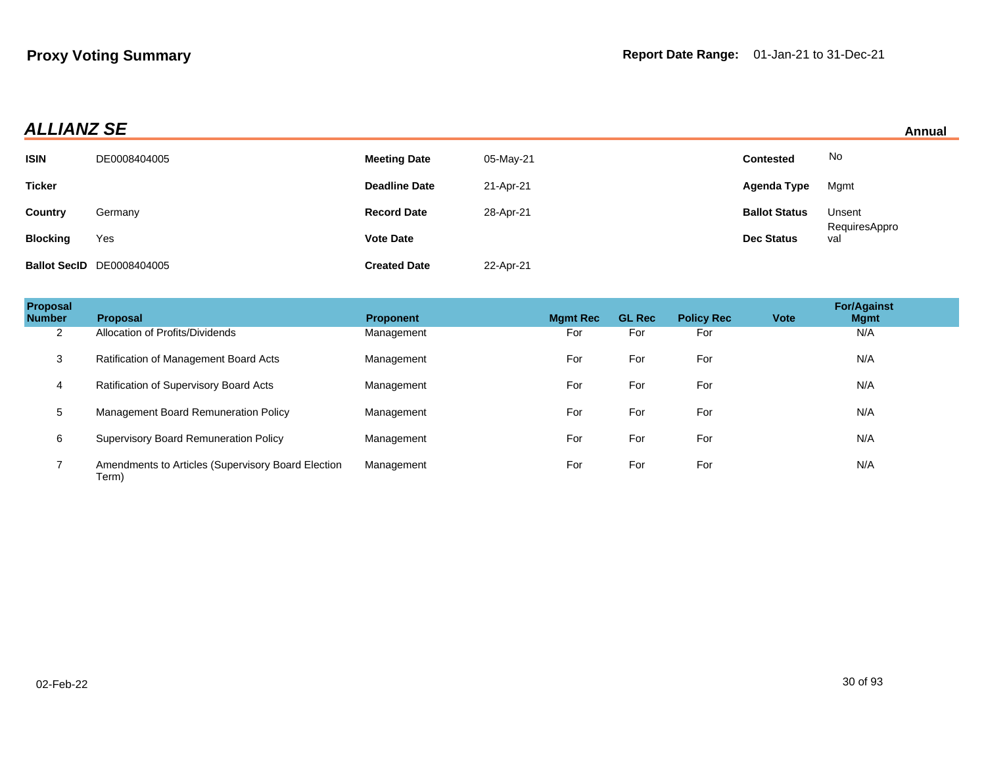## **ALLIANZ SE Annual**

| Annual |  |
|--------|--|
|        |  |

|                 |                                  |                      |           |                      | .                    |
|-----------------|----------------------------------|----------------------|-----------|----------------------|----------------------|
| <b>ISIN</b>     | DE0008404005                     | <b>Meeting Date</b>  | 05-May-21 | <b>Contested</b>     | No                   |
| <b>Ticker</b>   |                                  | <b>Deadline Date</b> | 21-Apr-21 | Agenda Type          | Mgmt                 |
| Country         | Germany                          | <b>Record Date</b>   | 28-Apr-21 | <b>Ballot Status</b> | Unsent               |
| <b>Blocking</b> | Yes                              | <b>Vote Date</b>     |           | <b>Dec Status</b>    | RequiresAppro<br>val |
|                 | <b>Ballot SecID</b> DE0008404005 | <b>Created Date</b>  | 22-Apr-21 |                      |                      |

| Proposal<br><b>Number</b> | Proposal                                                    | <b>Proponent</b> | <b>Mgmt Rec</b> | <b>GL Rec</b> | <b>Policy Rec</b> | <b>Vote</b> | <b>For/Against</b><br><b>Mgmt</b> |  |
|---------------------------|-------------------------------------------------------------|------------------|-----------------|---------------|-------------------|-------------|-----------------------------------|--|
| $\overline{2}$            | Allocation of Profits/Dividends                             | Management       | For             | For           | For               |             | N/A                               |  |
| 3                         | Ratification of Management Board Acts                       | Management       | For             | For           | For               |             | N/A                               |  |
| 4                         | Ratification of Supervisory Board Acts                      | Management       | For             | For           | For               |             | N/A                               |  |
| 5                         | Management Board Remuneration Policy                        | Management       | For             | For           | For               |             | N/A                               |  |
| 6                         | <b>Supervisory Board Remuneration Policy</b>                | Management       | For             | For           | For               |             | N/A                               |  |
|                           | Amendments to Articles (Supervisory Board Election<br>Term) | Management       | For             | For           | For               |             | N/A                               |  |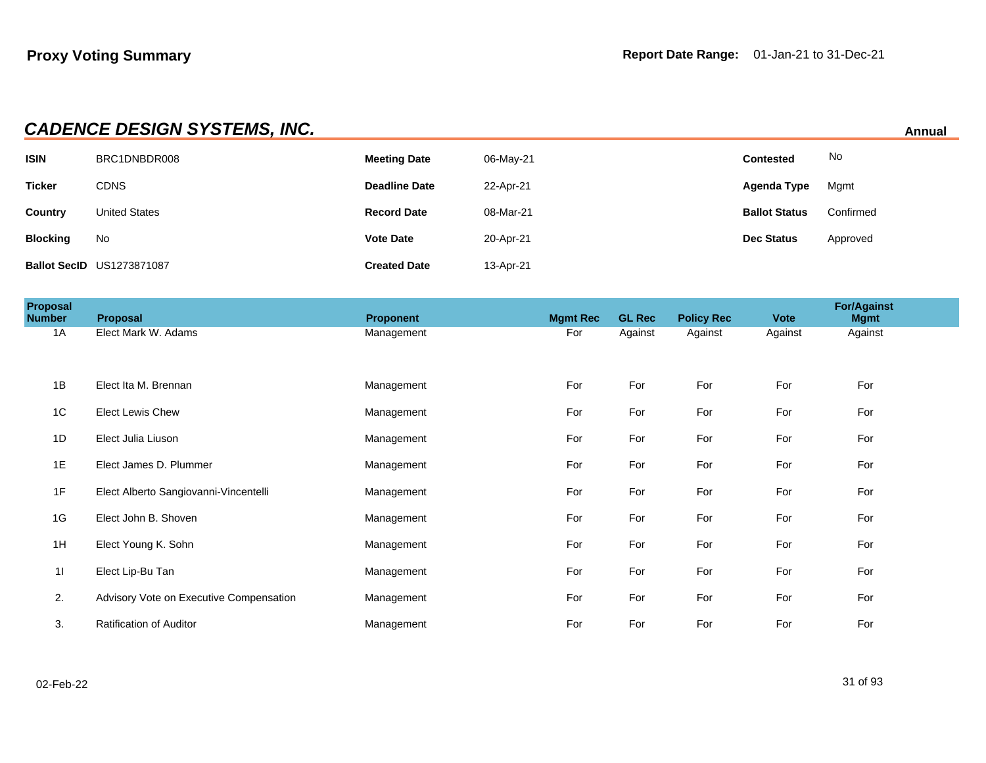| <b>CADENCE DESIGN SYSTEMS, INC.</b><br>Annual |                                  |                      |           |                      |           |  |  |
|-----------------------------------------------|----------------------------------|----------------------|-----------|----------------------|-----------|--|--|
| <b>ISIN</b>                                   | BRC1DNBDR008                     | <b>Meeting Date</b>  | 06-May-21 | Contested            | No        |  |  |
| <b>Ticker</b>                                 | <b>CDNS</b>                      | <b>Deadline Date</b> | 22-Apr-21 | Agenda Type          | Mgmt      |  |  |
| <b>Country</b>                                | <b>United States</b>             | <b>Record Date</b>   | 08-Mar-21 | <b>Ballot Status</b> | Confirmed |  |  |
| <b>Blocking</b>                               | No                               | <b>Vote Date</b>     | 20-Apr-21 | <b>Dec Status</b>    | Approved  |  |  |
|                                               | <b>Ballot SecID US1273871087</b> | <b>Created Date</b>  | 13-Apr-21 |                      |           |  |  |

| <b>Proposal</b><br>Number | Proposal                                | Proponent  | <b>Mgmt Rec</b> | <b>GL Rec</b> | <b>Policy Rec</b> | <b>Vote</b> | <b>For/Against</b><br><b>Mgmt</b> |  |
|---------------------------|-----------------------------------------|------------|-----------------|---------------|-------------------|-------------|-----------------------------------|--|
| 1A                        | Elect Mark W. Adams                     | Management | For             | Against       | Against           | Against     | Against                           |  |
|                           |                                         |            |                 |               |                   |             |                                   |  |
| 1B                        | Elect Ita M. Brennan                    | Management | For             | For           | For               | For         | For                               |  |
| 1C                        | <b>Elect Lewis Chew</b>                 | Management | For             | For           | For               | For         | For                               |  |
| 1D                        | Elect Julia Liuson                      | Management | For             | For           | For               | For         | For                               |  |
| 1E                        | Elect James D. Plummer                  | Management | For             | For           | For               | For         | For                               |  |
| 1F                        | Elect Alberto Sangiovanni-Vincentelli   | Management | For             | For           | For               | For         | For                               |  |
| 1G                        | Elect John B. Shoven                    | Management | For             | For           | For               | For         | For                               |  |
| 1H                        | Elect Young K. Sohn                     | Management | For             | For           | For               | For         | For                               |  |
| 11                        | Elect Lip-Bu Tan                        | Management | For             | For           | For               | For         | For                               |  |
| 2.                        | Advisory Vote on Executive Compensation | Management | For             | For           | For               | For         | For                               |  |
| 3.                        | <b>Ratification of Auditor</b>          | Management | For             | For           | For               | For         | For                               |  |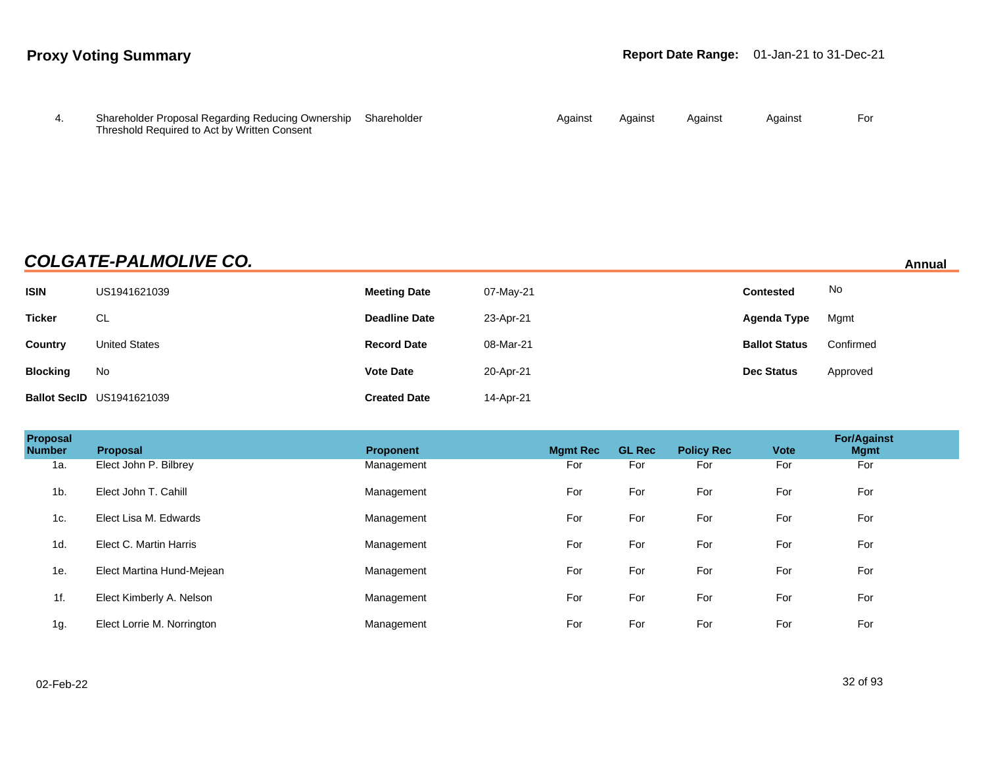| Shareholder Proposal Regarding Reducing Ownership Shareholder | Against | Against | Against | Against | For |
|---------------------------------------------------------------|---------|---------|---------|---------|-----|
| Threshold Required to Act by Written Consent                  |         |         |         |         |     |

## **COLGATE-PALMOLIVE CO. Annual**

| <b>ISIN</b>     | US1941621039                     | <b>Meeting Date</b>  | 07-May-21 | <b>Contested</b>     | No        |
|-----------------|----------------------------------|----------------------|-----------|----------------------|-----------|
| <b>Ticker</b>   | CL                               | <b>Deadline Date</b> | 23-Apr-21 | Agenda Type          | Mgmt      |
| Country         | <b>United States</b>             | <b>Record Date</b>   | 08-Mar-21 | <b>Ballot Status</b> | Confirmed |
| <b>Blocking</b> | No                               | <b>Vote Date</b>     | 20-Apr-21 | <b>Dec Status</b>    | Approved  |
|                 | <b>Ballot SecID US1941621039</b> | <b>Created Date</b>  | 14-Apr-21 |                      |           |

| Proposal<br><b>Number</b> | <b>Proposal</b>            | <b>Proponent</b> | <b>Mamt Rec</b> | <b>GL Rec</b> | <b>Policy Rec</b> | <b>Vote</b> | <b>For/Against</b><br><b>Mgmt</b> |  |
|---------------------------|----------------------------|------------------|-----------------|---------------|-------------------|-------------|-----------------------------------|--|
| 1a.                       | Elect John P. Bilbrey      | Management       | For             | For           | For               | For         | For                               |  |
| 1 <sub>b</sub>            | Elect John T. Cahill       | Management       | For             | For           | For               | For         | For                               |  |
| 1c.                       | Elect Lisa M. Edwards      | Management       | For             | For           | For               | For         | For                               |  |
| 1d.                       | Elect C. Martin Harris     | Management       | For             | For           | For               | For         | For                               |  |
| 1e.                       | Elect Martina Hund-Mejean  | Management       | For             | For           | For               | For         | For                               |  |
| 1f.                       | Elect Kimberly A. Nelson   | Management       | For             | For           | For               | For         | For                               |  |
| 1g.                       | Elect Lorrie M. Norrington | Management       | For             | For           | For               | For         | For                               |  |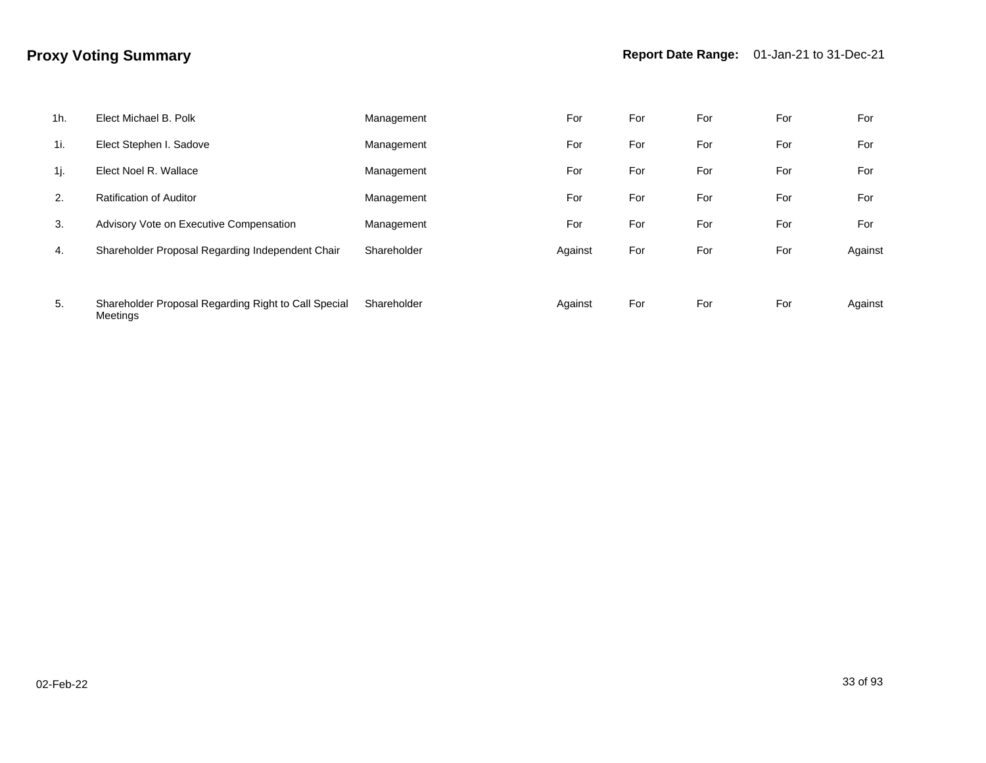| $1h$ . | Elect Michael B. Polk                                                   | Management  | For     | For | For | For | For     |
|--------|-------------------------------------------------------------------------|-------------|---------|-----|-----|-----|---------|
| 1i.    | Elect Stephen I. Sadove                                                 | Management  | For     | For | For | For | For     |
| 1j.    | Elect Noel R. Wallace                                                   | Management  | For     | For | For | For | For     |
| 2.     | <b>Ratification of Auditor</b>                                          | Management  | For     | For | For | For | For     |
| 3.     | Advisory Vote on Executive Compensation                                 | Management  | For     | For | For | For | For     |
| 4.     | Shareholder Proposal Regarding Independent Chair                        | Shareholder | Against | For | For | For | Against |
|        |                                                                         |             |         |     |     |     |         |
| 5.     | Shareholder Proposal Regarding Right to Call Special<br><b>Meetings</b> | Shareholder | Against | For | For | For | Against |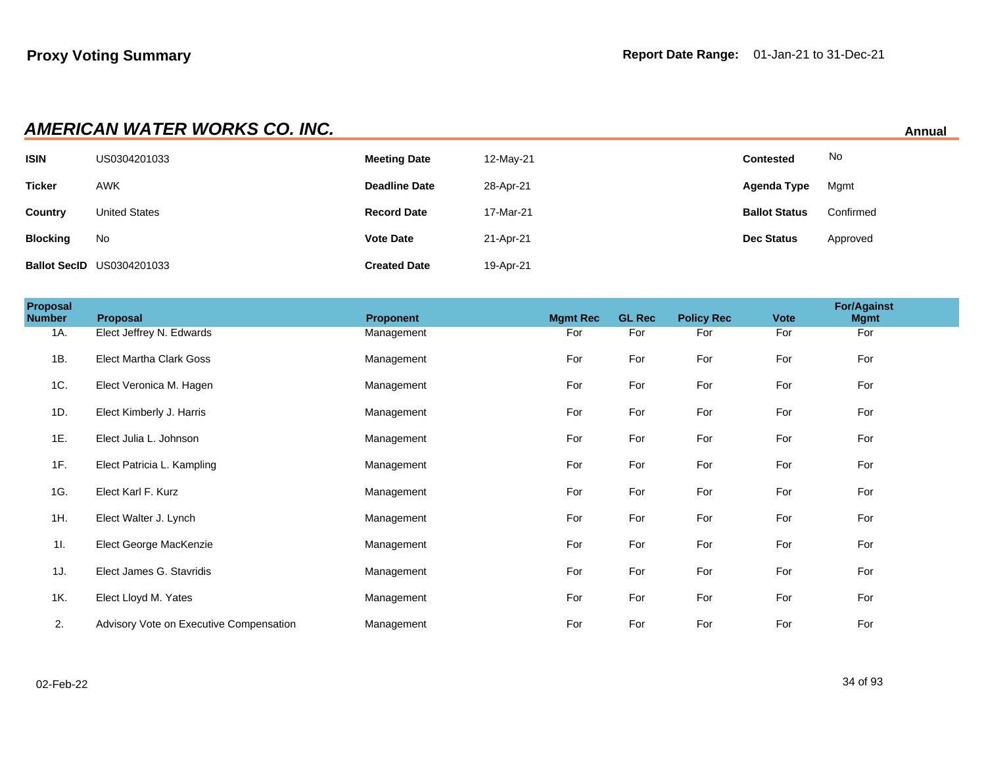|                 | <b>AMERICAN WATER WORKS CO. INC.</b><br>Annual |                      |           |                      |           |  |  |  |  |
|-----------------|------------------------------------------------|----------------------|-----------|----------------------|-----------|--|--|--|--|
| <b>ISIN</b>     | US0304201033                                   | <b>Meeting Date</b>  | 12-May-21 | Contested            | No        |  |  |  |  |
| <b>Ticker</b>   | <b>AWK</b>                                     | <b>Deadline Date</b> | 28-Apr-21 | Agenda Type          | Mgmt      |  |  |  |  |
| <b>Country</b>  | <b>United States</b>                           | <b>Record Date</b>   | 17-Mar-21 | <b>Ballot Status</b> | Confirmed |  |  |  |  |
| <b>Blocking</b> | No                                             | <b>Vote Date</b>     | 21-Apr-21 | <b>Dec Status</b>    | Approved  |  |  |  |  |
|                 | <b>Ballot SecID US0304201033</b>               | <b>Created Date</b>  | 19-Apr-21 |                      |           |  |  |  |  |

| Proposal<br><b>Number</b> | Proposal                                | <b>Proponent</b> | <b>Mgmt Rec</b> | <b>GL Rec</b> | <b>Policy Rec</b> | <b>Vote</b> | <b>For/Against</b><br><b>Mgmt</b> |  |
|---------------------------|-----------------------------------------|------------------|-----------------|---------------|-------------------|-------------|-----------------------------------|--|
| 1A.                       | Elect Jeffrey N. Edwards                | Management       | For             | For           | For               | For         | For                               |  |
| 1B.                       | <b>Elect Martha Clark Goss</b>          | Management       | For             | For           | For               | For         | For                               |  |
| 1C.                       | Elect Veronica M. Hagen                 | Management       | For             | For           | For               | For         | For                               |  |
| 1D.                       | Elect Kimberly J. Harris                | Management       | For             | For           | For               | For         | For                               |  |
| 1E.                       | Elect Julia L. Johnson                  | Management       | For             | For           | For               | For         | For                               |  |
| 1F.                       | Elect Patricia L. Kampling              | Management       | For             | For           | For               | For         | For                               |  |
| 1G.                       | Elect Karl F. Kurz                      | Management       | For             | For           | For               | For         | For                               |  |
| 1H.                       | Elect Walter J. Lynch                   | Management       | For             | For           | For               | For         | For                               |  |
| 11.                       | Elect George MacKenzie                  | Management       | For             | For           | For               | For         | For                               |  |
| 1J.                       | Elect James G. Stavridis                | Management       | For             | For           | For               | For         | For                               |  |
| 1K.                       | Elect Lloyd M. Yates                    | Management       | For             | For           | For               | For         | For                               |  |
| 2.                        | Advisory Vote on Executive Compensation | Management       | For             | For           | For               | For         | For                               |  |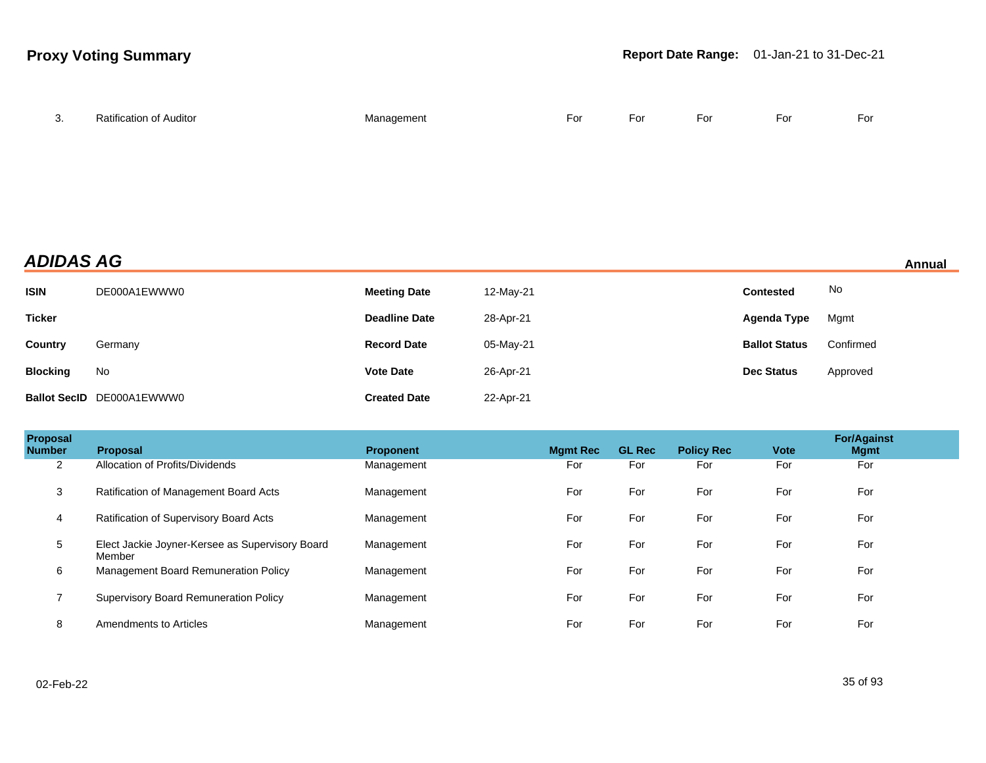| $\sim$<br>3. | Ratification of Auditor | Management | For<br>$-$ | For | For | For | For |
|--------------|-------------------------|------------|------------|-----|-----|-----|-----|
|              |                         |            |            |     |     |     |     |

## **ADIDAS AG Annual**

| <b>ISIN</b>     | DE000A1EWWW0              | <b>Meeting Date</b>  | 12-May-21 | <b>Contested</b>     | No        |
|-----------------|---------------------------|----------------------|-----------|----------------------|-----------|
| <b>Ticker</b>   |                           | <b>Deadline Date</b> | 28-Apr-21 | Agenda Type          | Mgmt      |
| Country         | Germany                   | <b>Record Date</b>   | 05-May-21 | <b>Ballot Status</b> | Confirmed |
| <b>Blocking</b> | No                        | <b>Vote Date</b>     | 26-Apr-21 | <b>Dec Status</b>    | Approved  |
|                 | Ballot SecID DE000A1EWWW0 | <b>Created Date</b>  | 22-Apr-21 |                      |           |

| Proposal<br><b>Number</b> | Proposal                                                  | <b>Proponent</b> | <b>Mgmt Rec</b> | <b>GL Rec</b> | <b>Policy Rec</b> | <b>Vote</b> | <b>For/Against</b><br><b>Mgmt</b> |  |
|---------------------------|-----------------------------------------------------------|------------------|-----------------|---------------|-------------------|-------------|-----------------------------------|--|
| $\overline{2}$            | Allocation of Profits/Dividends                           | Management       | For             | For           | For               | For         | For                               |  |
| 3                         | Ratification of Management Board Acts                     | Management       | For             | For           | For               | For         | For                               |  |
| 4                         | Ratification of Supervisory Board Acts                    | Management       | For             | For           | For               | For         | For                               |  |
| 5                         | Elect Jackie Joyner-Kersee as Supervisory Board<br>Member | Management       | For             | For           | For               | For         | For                               |  |
| 6                         | Management Board Remuneration Policy                      | Management       | For             | For           | For               | For         | For                               |  |
|                           | <b>Supervisory Board Remuneration Policy</b>              | Management       | For             | For           | For               | For         | For                               |  |
| 8                         | Amendments to Articles                                    | Management       | For             | For           | For               | For         | For                               |  |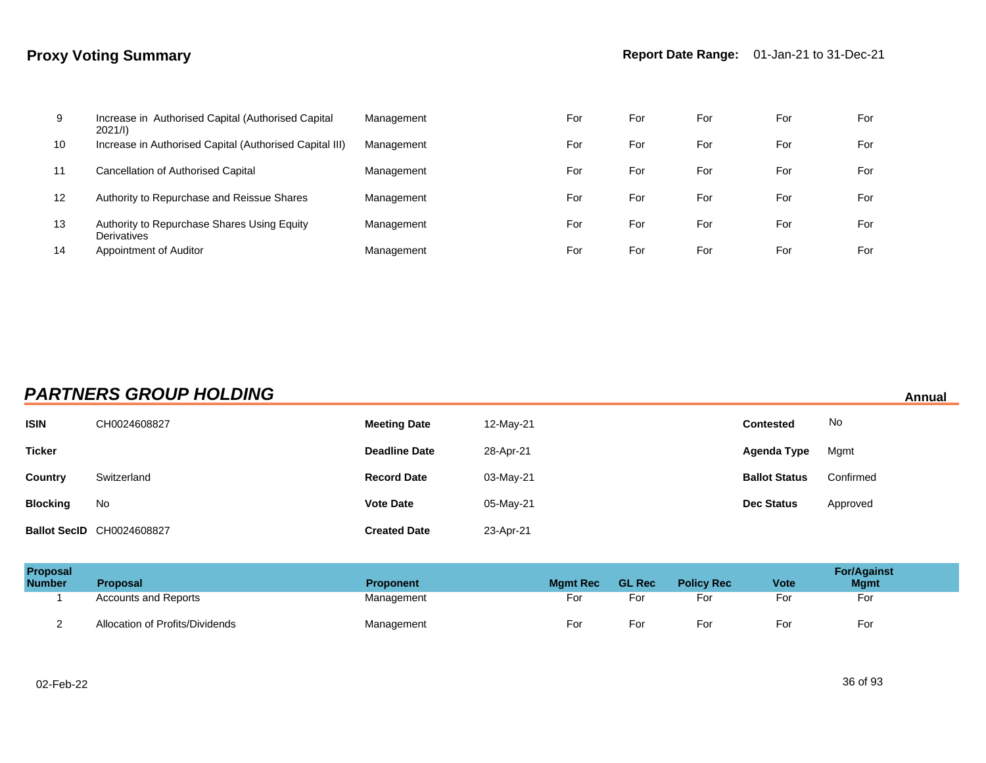| 9  | Increase in Authorised Capital (Authorised Capital<br>2021/l | Management | For | For | For | For | For |
|----|--------------------------------------------------------------|------------|-----|-----|-----|-----|-----|
| 10 | Increase in Authorised Capital (Authorised Capital III)      | Management | For | For | For | For | For |
| 11 | <b>Cancellation of Authorised Capital</b>                    | Management | For | For | For | For | For |
| 12 | Authority to Repurchase and Reissue Shares                   | Management | For | For | For | For | For |
| 13 | Authority to Repurchase Shares Using Equity<br>Derivatives   | Management | For | For | For | For | For |
| 14 | Appointment of Auditor                                       | Management | For | For | For | For | For |

## **PARTNERS GROUP HOLDING** Annual

| <b>ISIN</b>     | CH0024608827                     | <b>Meeting Date</b>  | 12-May-21 | <b>Contested</b>     | No        |
|-----------------|----------------------------------|----------------------|-----------|----------------------|-----------|
| <b>Ticker</b>   |                                  | <b>Deadline Date</b> | 28-Apr-21 | Agenda Type          | Mgmt      |
| Country         | Switzerland                      | <b>Record Date</b>   | 03-May-21 | <b>Ballot Status</b> | Confirmed |
| <b>Blocking</b> | No                               | <b>Vote Date</b>     | 05-May-21 | <b>Dec Status</b>    | Approved  |
|                 | <b>Ballot SecID CH0024608827</b> | <b>Created Date</b>  | 23-Apr-21 |                      |           |

| <b>Proposal</b><br><b>Number</b> | <b>Proposal</b>                 | <b>Proponent</b> | <b>Mamt Rec</b> | <b>GL Rec</b> | <b>Policy Rec</b> | <b>Vote</b> | <b>For/Against</b><br><b>Mgmt</b> |
|----------------------------------|---------------------------------|------------------|-----------------|---------------|-------------------|-------------|-----------------------------------|
|                                  | <b>Accounts and Reports</b>     | Management       | For             | For           | For               | For         | For                               |
|                                  | Allocation of Profits/Dividends | Management       | For             | For           | For               | For         | For                               |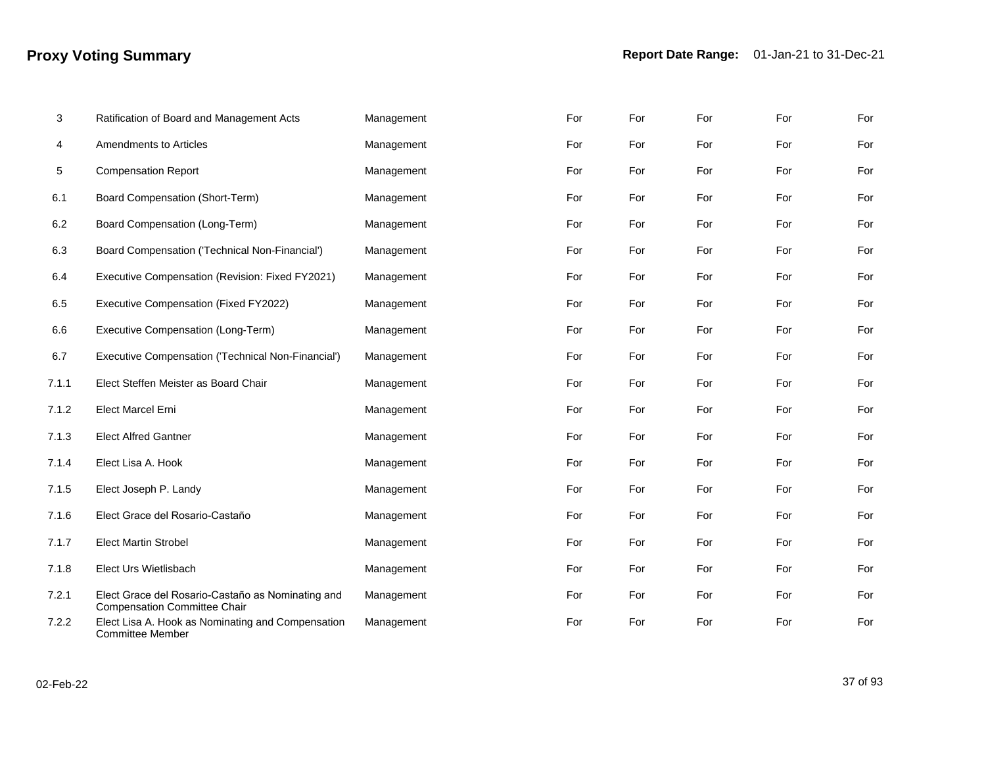| 3     | Ratification of Board and Management Acts                                                | Management | For | For | For | For | For |
|-------|------------------------------------------------------------------------------------------|------------|-----|-----|-----|-----|-----|
| 4     | Amendments to Articles                                                                   | Management | For | For | For | For | For |
| 5     | <b>Compensation Report</b>                                                               | Management | For | For | For | For | For |
| 6.1   | Board Compensation (Short-Term)                                                          | Management | For | For | For | For | For |
| 6.2   | Board Compensation (Long-Term)                                                           | Management | For | For | For | For | For |
| 6.3   | Board Compensation ('Technical Non-Financial')                                           | Management | For | For | For | For | For |
| 6.4   | Executive Compensation (Revision: Fixed FY2021)                                          | Management | For | For | For | For | For |
| 6.5   | Executive Compensation (Fixed FY2022)                                                    | Management | For | For | For | For | For |
| 6.6   | Executive Compensation (Long-Term)                                                       | Management | For | For | For | For | For |
| 6.7   | Executive Compensation ('Technical Non-Financial')                                       | Management | For | For | For | For | For |
| 7.1.1 | Elect Steffen Meister as Board Chair                                                     | Management | For | For | For | For | For |
| 7.1.2 | <b>Elect Marcel Erni</b>                                                                 | Management | For | For | For | For | For |
| 7.1.3 | <b>Elect Alfred Gantner</b>                                                              | Management | For | For | For | For | For |
| 7.1.4 | Elect Lisa A. Hook                                                                       | Management | For | For | For | For | For |
| 7.1.5 | Elect Joseph P. Landy                                                                    | Management | For | For | For | For | For |
| 7.1.6 | Elect Grace del Rosario-Castaño                                                          | Management | For | For | For | For | For |
| 7.1.7 | <b>Elect Martin Strobel</b>                                                              | Management | For | For | For | For | For |
| 7.1.8 | Elect Urs Wietlisbach                                                                    | Management | For | For | For | For | For |
| 7.2.1 | Elect Grace del Rosario-Castaño as Nominating and<br><b>Compensation Committee Chair</b> | Management | For | For | For | For | For |
| 7.2.2 | Elect Lisa A. Hook as Nominating and Compensation<br><b>Committee Member</b>             | Management | For | For | For | For | For |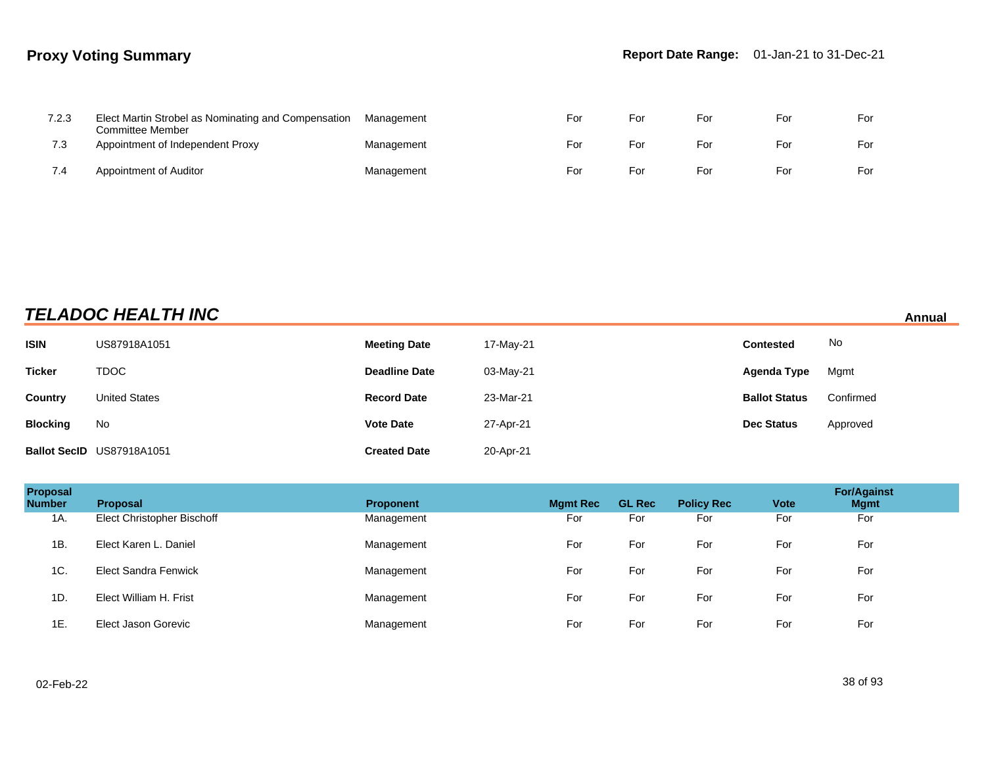| 7.2.3 | Elect Martin Strobel as Nominating and Compensation<br>Committee Member | Management | For | For | For | For | For |
|-------|-------------------------------------------------------------------------|------------|-----|-----|-----|-----|-----|
| 7.3   | Appointment of Independent Proxy                                        | Management | For | For | For | For | For |
| 7.4   | Appointment of Auditor                                                  | Management | For | For | For | For | For |

## **TELADOC HEALTH INC Annual**

| <b>ISIN</b>     | US87918A1051              | <b>Meeting Date</b>  | 17-May-21 | <b>Contested</b>     | No        |
|-----------------|---------------------------|----------------------|-----------|----------------------|-----------|
| <b>Ticker</b>   | <b>TDOC</b>               | <b>Deadline Date</b> | 03-May-21 | Agenda Type          | Mgmt      |
| Country         | <b>United States</b>      | <b>Record Date</b>   | 23-Mar-21 | <b>Ballot Status</b> | Confirmed |
| <b>Blocking</b> | No                        | <b>Vote Date</b>     | 27-Apr-21 | <b>Dec Status</b>    | Approved  |
|                 | Ballot SecID US87918A1051 | <b>Created Date</b>  | 20-Apr-21 |                      |           |

| Proposal<br><b>Number</b> | <b>Proposal</b>             | <b>Proponent</b> | <b>Mgmt Rec</b> | <b>GL Rec</b> | <b>Policy Rec</b> | <b>Vote</b> | <b>For/Against</b><br><b>Mgmt</b> |
|---------------------------|-----------------------------|------------------|-----------------|---------------|-------------------|-------------|-----------------------------------|
| 1A.                       | Elect Christopher Bischoff  | Management       | For             | For           | For               | For         | For                               |
| 1B.                       | Elect Karen L. Daniel       | Management       | For             | For           | For               | For         | For                               |
| 1C.                       | <b>Elect Sandra Fenwick</b> | Management       | For             | For           | For               | For         | For                               |
| 1D.                       | Elect William H. Frist      | Management       | For             | For           | For               | For         | For                               |
| 1E.                       | Elect Jason Gorevic         | Management       | For             | For           | For               | For         | For                               |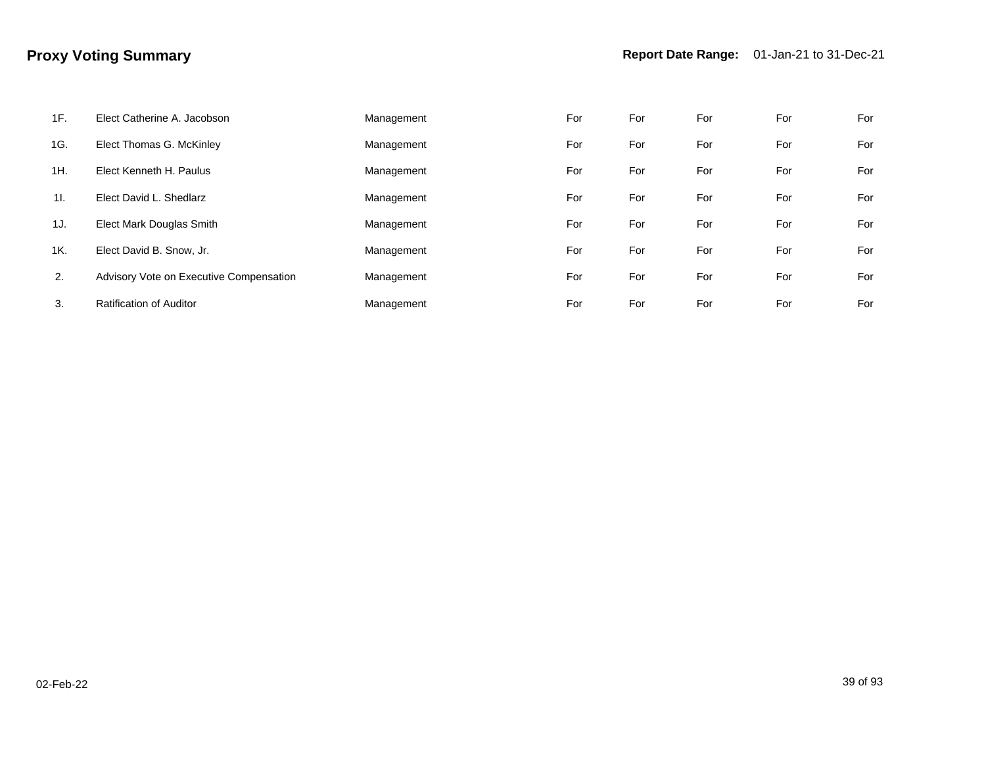| 1F. | Elect Catherine A. Jacobson             | Management | For | For | For | For | For |
|-----|-----------------------------------------|------------|-----|-----|-----|-----|-----|
| 1G. | Elect Thomas G. McKinley                | Management | For | For | For | For | For |
| 1H. | Elect Kenneth H. Paulus                 | Management | For | For | For | For | For |
| 11. | Elect David L. Shedlarz                 | Management | For | For | For | For | For |
| 1J. | Elect Mark Douglas Smith                | Management | For | For | For | For | For |
| 1K. | Elect David B. Snow, Jr.                | Management | For | For | For | For | For |
| 2.  | Advisory Vote on Executive Compensation | Management | For | For | For | For | For |
| 3.  | <b>Ratification of Auditor</b>          | Management | For | For | For | For | For |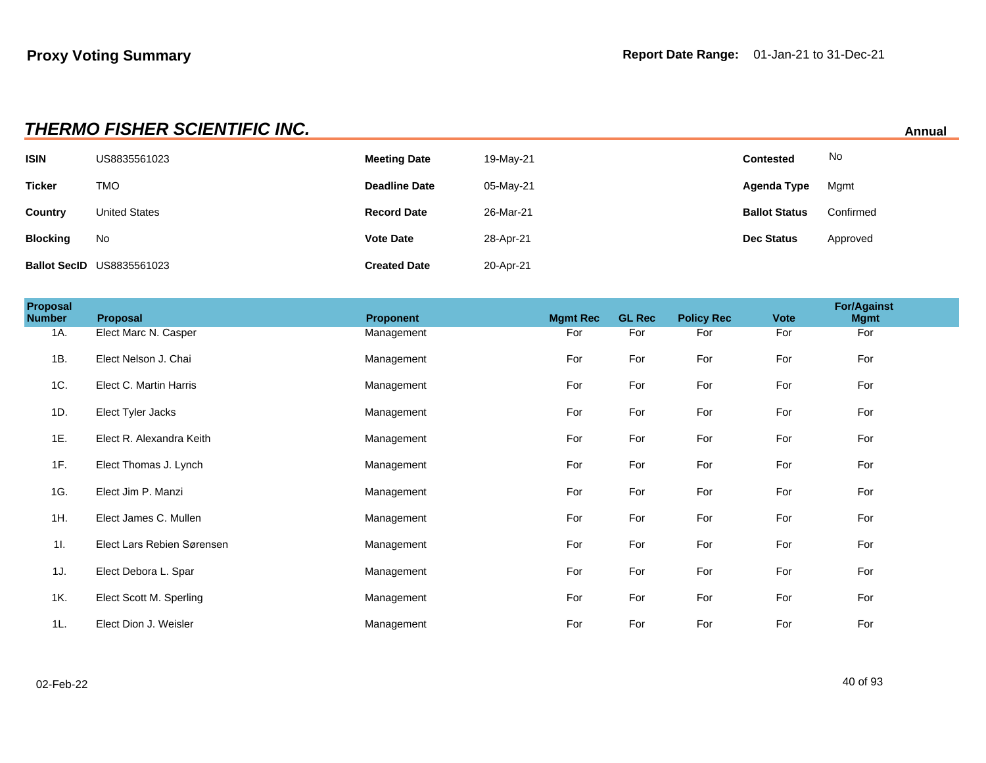|                 | <b>THERMO FISHER SCIENTIFIC INC.</b><br>Annual |                      |           |                      |           |  |  |  |
|-----------------|------------------------------------------------|----------------------|-----------|----------------------|-----------|--|--|--|
| <b>ISIN</b>     | US8835561023                                   | <b>Meeting Date</b>  | 19-May-21 | <b>Contested</b>     | No        |  |  |  |
| <b>Ticker</b>   | <b>TMO</b>                                     | <b>Deadline Date</b> | 05-May-21 | Agenda Type          | Mgmt      |  |  |  |
| Country         | <b>United States</b>                           | <b>Record Date</b>   | 26-Mar-21 | <b>Ballot Status</b> | Confirmed |  |  |  |
| <b>Blocking</b> | No                                             | <b>Vote Date</b>     | 28-Apr-21 | <b>Dec Status</b>    | Approved  |  |  |  |
|                 | <b>Ballot SecID US8835561023</b>               | <b>Created Date</b>  | 20-Apr-21 |                      |           |  |  |  |

| <b>Proposal</b><br><b>Number</b> | Proposal                   | Proponent  | <b>Mgmt Rec</b> | <b>GL Rec</b> | <b>Policy Rec</b> | <b>Vote</b> | <b>For/Against</b><br><b>Mgmt</b> |  |
|----------------------------------|----------------------------|------------|-----------------|---------------|-------------------|-------------|-----------------------------------|--|
| 1A.                              | Elect Marc N. Casper       | Management | For             | For           | For               | For         | For                               |  |
| 1B.                              | Elect Nelson J. Chai       | Management | For             | For           | For               | For         | For                               |  |
| 1C.                              | Elect C. Martin Harris     | Management | For             | For           | For               | For         | For                               |  |
| 1D.                              | Elect Tyler Jacks          | Management | For             | For           | For               | For         | For                               |  |
| 1E.                              | Elect R. Alexandra Keith   | Management | For             | For           | For               | For         | For                               |  |
| 1F.                              | Elect Thomas J. Lynch      | Management | For             | For           | For               | For         | For                               |  |
| 1G.                              | Elect Jim P. Manzi         | Management | For             | For           | For               | For         | For                               |  |
| 1H.                              | Elect James C. Mullen      | Management | For             | For           | For               | For         | For                               |  |
| 11.                              | Elect Lars Rebien Sørensen | Management | For             | For           | For               | For         | For                               |  |
| 1J.                              | Elect Debora L. Spar       | Management | For             | For           | For               | For         | For                               |  |
| 1K.                              | Elect Scott M. Sperling    | Management | For             | For           | For               | For         | For                               |  |
| 1L.                              | Elect Dion J. Weisler      | Management | For             | For           | For               | For         | For                               |  |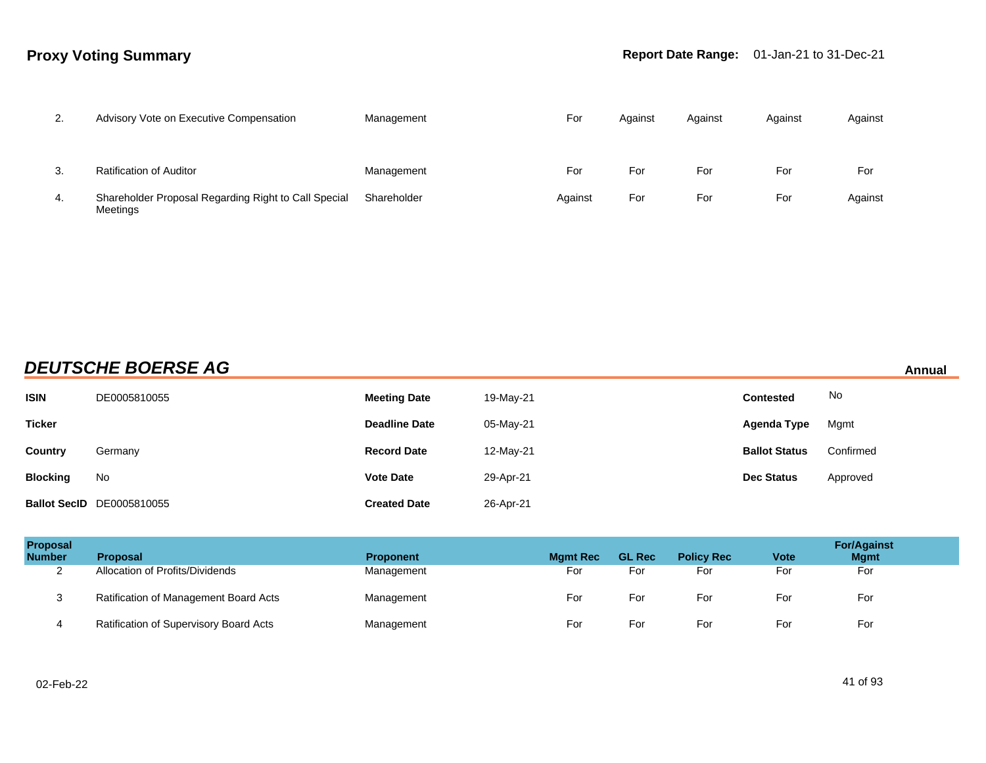| 2.  | Advisory Vote on Executive Compensation                          | Management  | For     | Against | Against | Against | Against |
|-----|------------------------------------------------------------------|-------------|---------|---------|---------|---------|---------|
|     |                                                                  |             |         |         |         |         |         |
| 3.  | <b>Ratification of Auditor</b>                                   | Management  | For     | For     | For     | For     | For     |
| -4. | Shareholder Proposal Regarding Right to Call Special<br>Meetings | Shareholder | Against | For     | For     | For     | Against |

## **DEUTSCHE BOERSE AG** Annual

| <b>ISIN</b>     | DE0005810055                     | <b>Meeting Date</b>  | 19-May-21 | <b>Contested</b>     | No        |
|-----------------|----------------------------------|----------------------|-----------|----------------------|-----------|
| <b>Ticker</b>   |                                  | <b>Deadline Date</b> | 05-May-21 | Agenda Type          | Mgmt      |
| <b>Country</b>  | Germany                          | <b>Record Date</b>   | 12-May-21 | <b>Ballot Status</b> | Confirmed |
| <b>Blocking</b> | No                               | <b>Vote Date</b>     | 29-Apr-21 | <b>Dec Status</b>    | Approved  |
|                 | <b>Ballot SecID</b> DE0005810055 | <b>Created Date</b>  | 26-Apr-21 |                      |           |

| <b>Proposal</b><br><b>Number</b> | <b>Proposal</b>                        | <b>Proponent</b> | <b>Mamt Rec</b> | <b>GL Rec</b> | <b>Policy Rec</b> | <b>Vote</b> | <b>For/Against</b><br><b>Mgmt</b> |
|----------------------------------|----------------------------------------|------------------|-----------------|---------------|-------------------|-------------|-----------------------------------|
| ◠<br>∼                           | Allocation of Profits/Dividends        | Management       | For             | For           | For               | For         | For                               |
| ັ                                | Ratification of Management Board Acts  | Management       | For             | For           | For               | For         | For                               |
|                                  | Ratification of Supervisory Board Acts | Management       | For             | For           | For               | For         | For                               |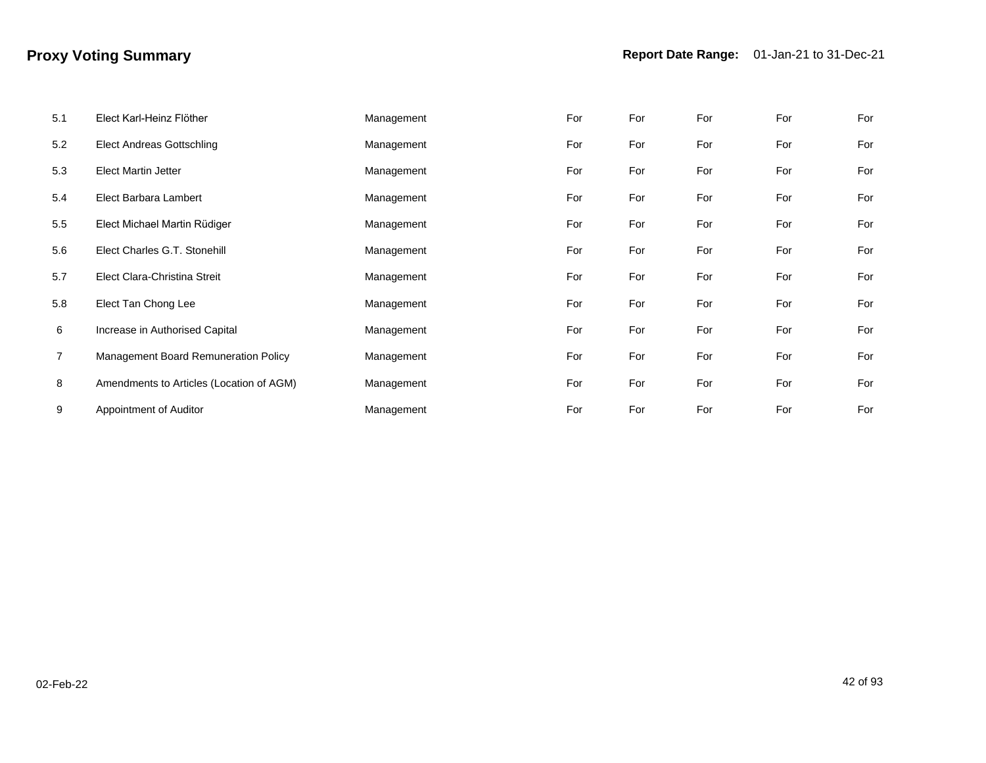| 5.1            | Elect Karl-Heinz Flöther                 | Management | For | For | For | For | For |
|----------------|------------------------------------------|------------|-----|-----|-----|-----|-----|
| 5.2            | <b>Elect Andreas Gottschling</b>         | Management | For | For | For | For | For |
| 5.3            | <b>Elect Martin Jetter</b>               | Management | For | For | For | For | For |
| 5.4            | Elect Barbara Lambert                    | Management | For | For | For | For | For |
| 5.5            | Elect Michael Martin Rüdiger             | Management | For | For | For | For | For |
| 5.6            | Elect Charles G.T. Stonehill             | Management | For | For | For | For | For |
| 5.7            | Elect Clara-Christina Streit             | Management | For | For | For | For | For |
| 5.8            | Elect Tan Chong Lee                      | Management | For | For | For | For | For |
| 6              | Increase in Authorised Capital           | Management | For | For | For | For | For |
| $\overline{7}$ | Management Board Remuneration Policy     | Management | For | For | For | For | For |
| 8              | Amendments to Articles (Location of AGM) | Management | For | For | For | For | For |
| 9              | Appointment of Auditor                   | Management | For | For | For | For | For |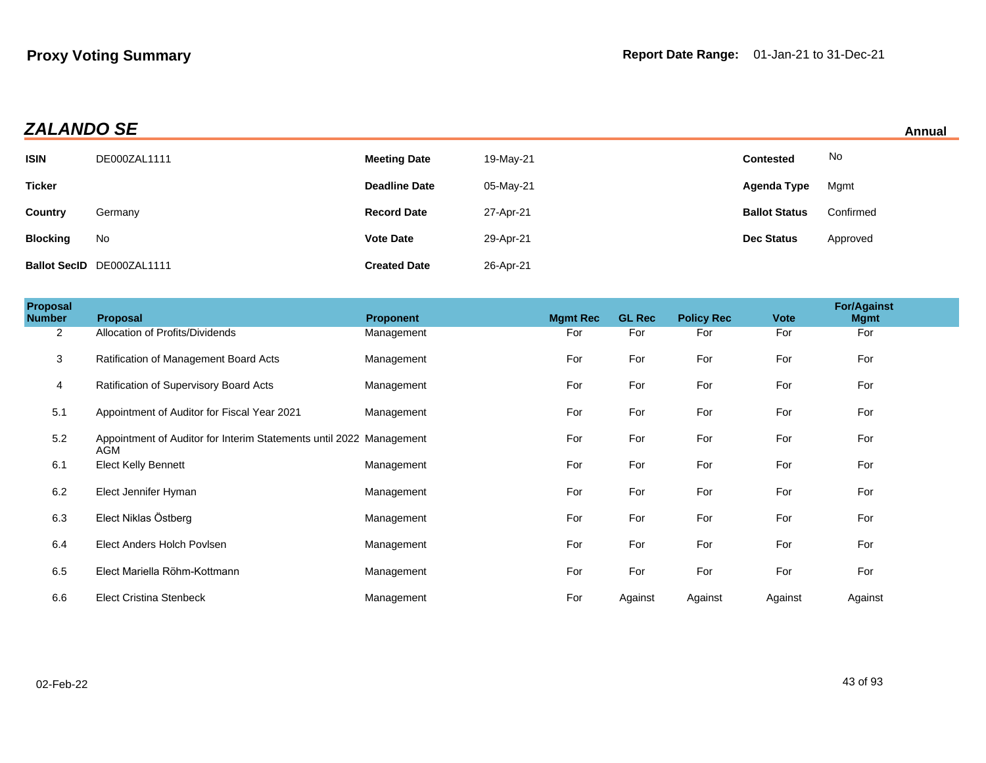## **ZALANDO SE**

|  |  | Annual |  |
|--|--|--------|--|
|  |  |        |  |

|                 |                           |                      |           |                      | .         |
|-----------------|---------------------------|----------------------|-----------|----------------------|-----------|
| <b>ISIN</b>     | DE000ZAL1111              | <b>Meeting Date</b>  | 19-May-21 | <b>Contested</b>     | No        |
| <b>Ticker</b>   |                           | <b>Deadline Date</b> | 05-May-21 | Agenda Type          | Mgmt      |
| <b>Country</b>  | Germany                   | <b>Record Date</b>   | 27-Apr-21 | <b>Ballot Status</b> | Confirmed |
| <b>Blocking</b> | No                        | <b>Vote Date</b>     | 29-Apr-21 | <b>Dec Status</b>    | Approved  |
|                 | Ballot SecID DE000ZAL1111 | <b>Created Date</b>  | 26-Apr-21 |                      |           |

| Proposal<br>Number | <b>Proposal</b>                                                            | <b>Proponent</b> | <b>Mgmt Rec</b> | <b>GL Rec</b> | <b>Policy Rec</b> | <b>Vote</b> | <b>For/Against</b><br><b>Mgmt</b> |  |
|--------------------|----------------------------------------------------------------------------|------------------|-----------------|---------------|-------------------|-------------|-----------------------------------|--|
| $\mathbf{2}$       | Allocation of Profits/Dividends                                            | Management       | For             | For           | For               | For         | For                               |  |
| 3                  | Ratification of Management Board Acts                                      | Management       | For             | For           | For               | For         | For                               |  |
| 4                  | Ratification of Supervisory Board Acts                                     | Management       | For             | For           | For               | For         | For                               |  |
| 5.1                | Appointment of Auditor for Fiscal Year 2021                                | Management       | For             | For           | For               | For         | For                               |  |
| 5.2                | Appointment of Auditor for Interim Statements until 2022 Management<br>AGM |                  | For             | For           | For               | For         | For                               |  |
| 6.1                | <b>Elect Kelly Bennett</b>                                                 | Management       | For             | For           | For               | For         | For                               |  |
| 6.2                | Elect Jennifer Hyman                                                       | Management       | For             | For           | For               | For         | For                               |  |
| 6.3                | Elect Niklas Östberg                                                       | Management       | For             | For           | For               | For         | For                               |  |
| 6.4                | Elect Anders Holch Povisen                                                 | Management       | For             | For           | For               | For         | For                               |  |
| 6.5                | Elect Mariella Röhm-Kottmann                                               | Management       | For             | For           | For               | For         | For                               |  |
| 6.6                | <b>Elect Cristina Stenbeck</b>                                             | Management       | For             | Against       | Against           | Against     | Against                           |  |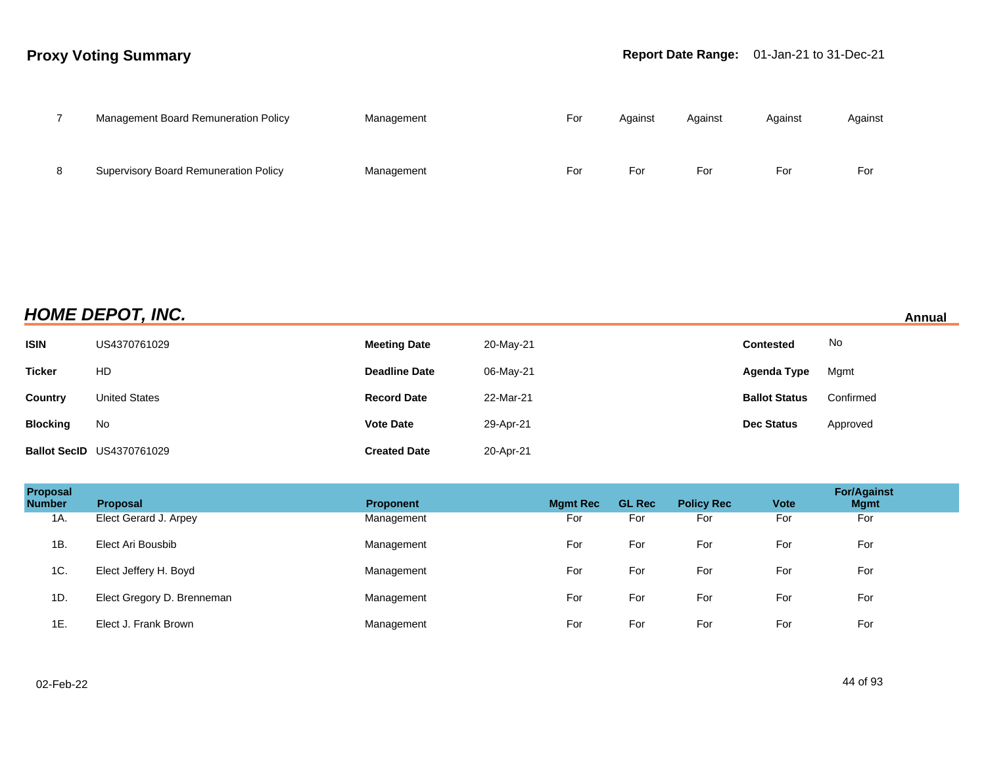|   | Management Board Remuneration Policy         | Management | For | Against | Against | Against | Against |
|---|----------------------------------------------|------------|-----|---------|---------|---------|---------|
| 8 | <b>Supervisory Board Remuneration Policy</b> | Management | For | For     | For     | For     | For     |

**HOME DEPOT, INC. Annual**

| <b>ISIN</b>     | US4370761029                     | <b>Meeting Date</b>  | 20-May-21 | <b>Contested</b>     | No        |
|-----------------|----------------------------------|----------------------|-----------|----------------------|-----------|
| <b>Ticker</b>   | HD                               | <b>Deadline Date</b> | 06-May-21 | Agenda Type          | Mgmt      |
| Country         | <b>United States</b>             | <b>Record Date</b>   | 22-Mar-21 | <b>Ballot Status</b> | Confirmed |
| <b>Blocking</b> | No                               | <b>Vote Date</b>     | 29-Apr-21 | <b>Dec Status</b>    | Approved  |
|                 | <b>Ballot SecID US4370761029</b> | <b>Created Date</b>  | 20-Apr-21 |                      |           |

| Proposal<br><b>Number</b> | <b>Proposal</b>            | <b>Proponent</b> | <b>Mgmt Rec</b> | <b>GL Rec</b> | <b>Policy Rec</b> | <b>Vote</b> | <b>For/Against</b><br><b>Mgmt</b> |
|---------------------------|----------------------------|------------------|-----------------|---------------|-------------------|-------------|-----------------------------------|
| 1A.                       | Elect Gerard J. Arpey      | Management       | For             | For           | For               | For         | For                               |
| 1B.                       | Elect Ari Bousbib          | Management       | For             | For           | For               | For         | For                               |
| 1C.                       | Elect Jeffery H. Boyd      | Management       | For             | For           | For               | For         | For                               |
| 1D.                       | Elect Gregory D. Brenneman | Management       | For             | For           | For               | For         | For                               |
| 1E.                       | Elect J. Frank Brown       | Management       | For             | For           | For               | For         | For                               |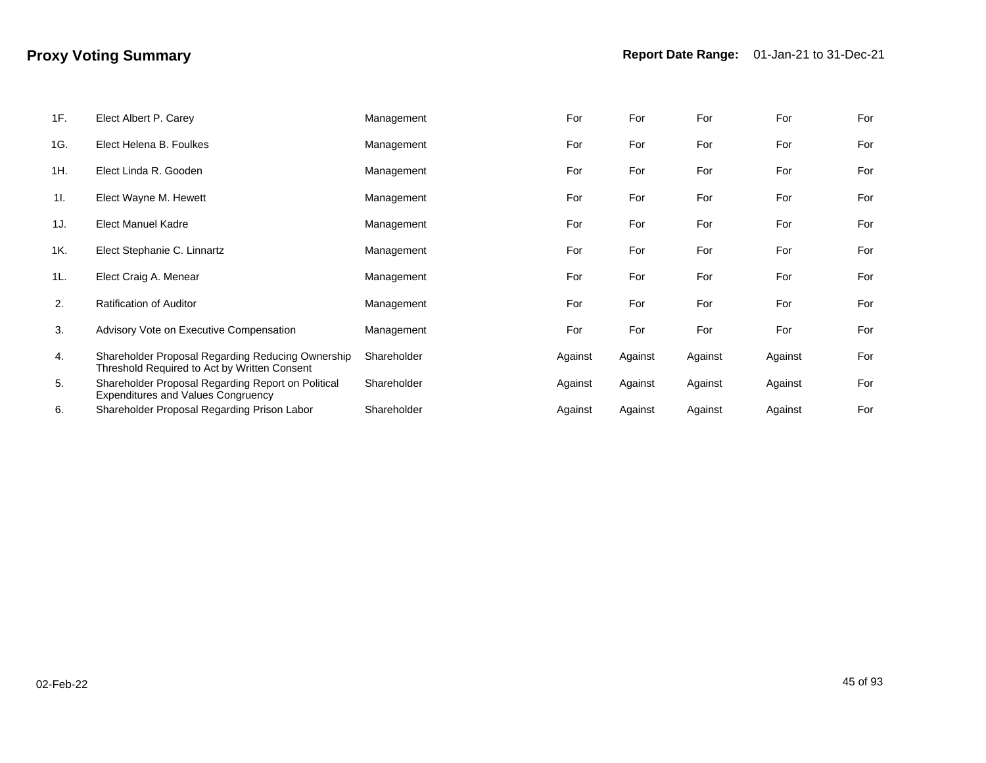| 1F. | Elect Albert P. Carey                                                                             | Management  | For     | For     | For     | For     | For |
|-----|---------------------------------------------------------------------------------------------------|-------------|---------|---------|---------|---------|-----|
| 1G. | Elect Helena B. Foulkes                                                                           | Management  | For     | For     | For     | For     | For |
| 1H. | Elect Linda R. Gooden                                                                             | Management  | For     | For     | For     | For     | For |
| 11. | Elect Wayne M. Hewett                                                                             | Management  | For     | For     | For     | For     | For |
| 1J. | Elect Manuel Kadre                                                                                | Management  | For     | For     | For     | For     | For |
| 1K. | Elect Stephanie C. Linnartz                                                                       | Management  | For     | For     | For     | For     | For |
| 1L. | Elect Craig A. Menear                                                                             | Management  | For     | For     | For     | For     | For |
| 2.  | <b>Ratification of Auditor</b>                                                                    | Management  | For     | For     | For     | For     | For |
| 3.  | Advisory Vote on Executive Compensation                                                           | Management  | For     | For     | For     | For     | For |
| 4.  | Shareholder Proposal Regarding Reducing Ownership<br>Threshold Required to Act by Written Consent | Shareholder | Against | Against | Against | Against | For |
| 5.  | Shareholder Proposal Regarding Report on Political<br><b>Expenditures and Values Congruency</b>   | Shareholder | Against | Against | Against | Against | For |
| 6.  | Shareholder Proposal Regarding Prison Labor                                                       | Shareholder | Against | Against | Against | Against | For |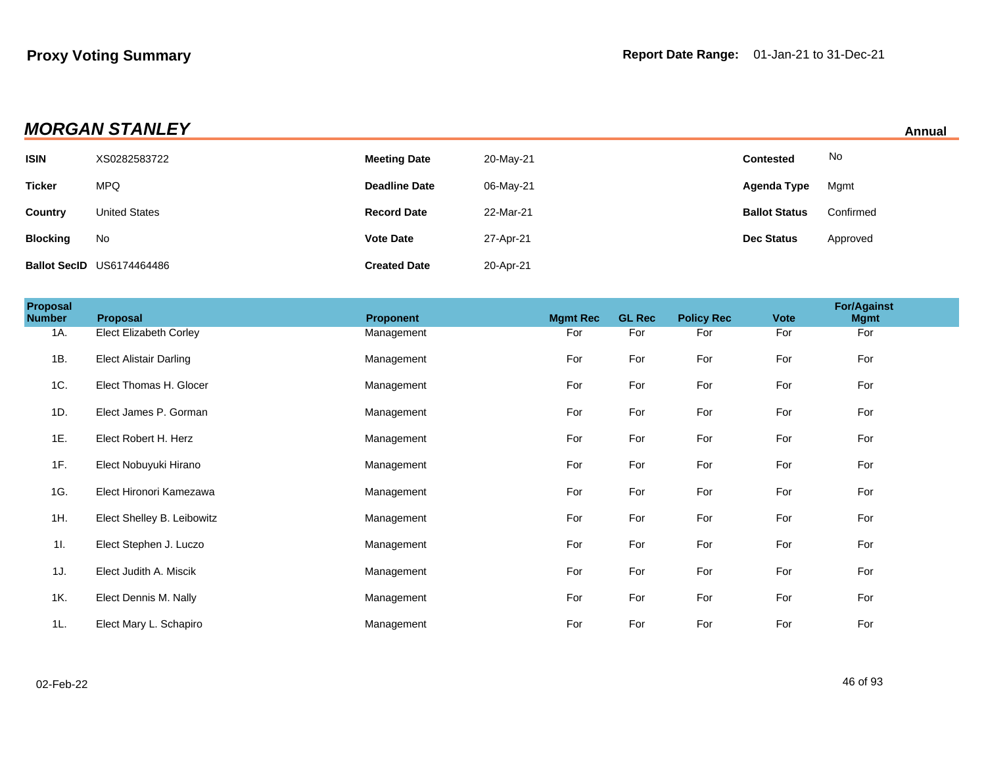| <b>MORGAN STANLEY</b><br>Annual |                                  |                      |           |                      |           |  |
|---------------------------------|----------------------------------|----------------------|-----------|----------------------|-----------|--|
| <b>ISIN</b>                     | XS0282583722                     | <b>Meeting Date</b>  | 20-May-21 | <b>Contested</b>     | No        |  |
| <b>Ticker</b>                   | <b>MPQ</b>                       | <b>Deadline Date</b> | 06-May-21 | Agenda Type          | Mgmt      |  |
| <b>Country</b>                  | <b>United States</b>             | <b>Record Date</b>   | 22-Mar-21 | <b>Ballot Status</b> | Confirmed |  |
| <b>Blocking</b>                 | No                               | <b>Vote Date</b>     | 27-Apr-21 | <b>Dec Status</b>    | Approved  |  |
|                                 | <b>Ballot SecID US6174464486</b> | <b>Created Date</b>  | 20-Apr-21 |                      |           |  |

| Proposal<br><b>Number</b> | Proposal                      | <b>Proponent</b> | <b>Mgmt Rec</b> | <b>GL Rec</b> | <b>Policy Rec</b> | <b>Vote</b> | <b>For/Against</b><br><b>Mgmt</b> |  |
|---------------------------|-------------------------------|------------------|-----------------|---------------|-------------------|-------------|-----------------------------------|--|
| 1A.                       | <b>Elect Elizabeth Corley</b> | Management       | For             | For           | For               | For         | For                               |  |
| 1B.                       | <b>Elect Alistair Darling</b> | Management       | For             | For           | For               | For         | For                               |  |
| 1C.                       | Elect Thomas H. Glocer        | Management       | For             | For           | For               | For         | For                               |  |
| 1D.                       | Elect James P. Gorman         | Management       | For             | For           | For               | For         | For                               |  |
| 1E.                       | Elect Robert H. Herz          | Management       | For             | For           | For               | For         | For                               |  |
| 1F.                       | Elect Nobuyuki Hirano         | Management       | For             | For           | For               | For         | For                               |  |
| 1G.                       | Elect Hironori Kamezawa       | Management       | For             | For           | For               | For         | For                               |  |
| 1H.                       | Elect Shelley B. Leibowitz    | Management       | For             | For           | For               | For         | For                               |  |
| 11.                       | Elect Stephen J. Luczo        | Management       | For             | For           | For               | For         | For                               |  |
| 1J.                       | Elect Judith A. Miscik        | Management       | For             | For           | For               | For         | For                               |  |
| 1K.                       | Elect Dennis M. Nally         | Management       | For             | For           | For               | For         | For                               |  |
| 1L.                       | Elect Mary L. Schapiro        | Management       | For             | For           | For               | For         | For                               |  |

02-Feb-22 46 of 93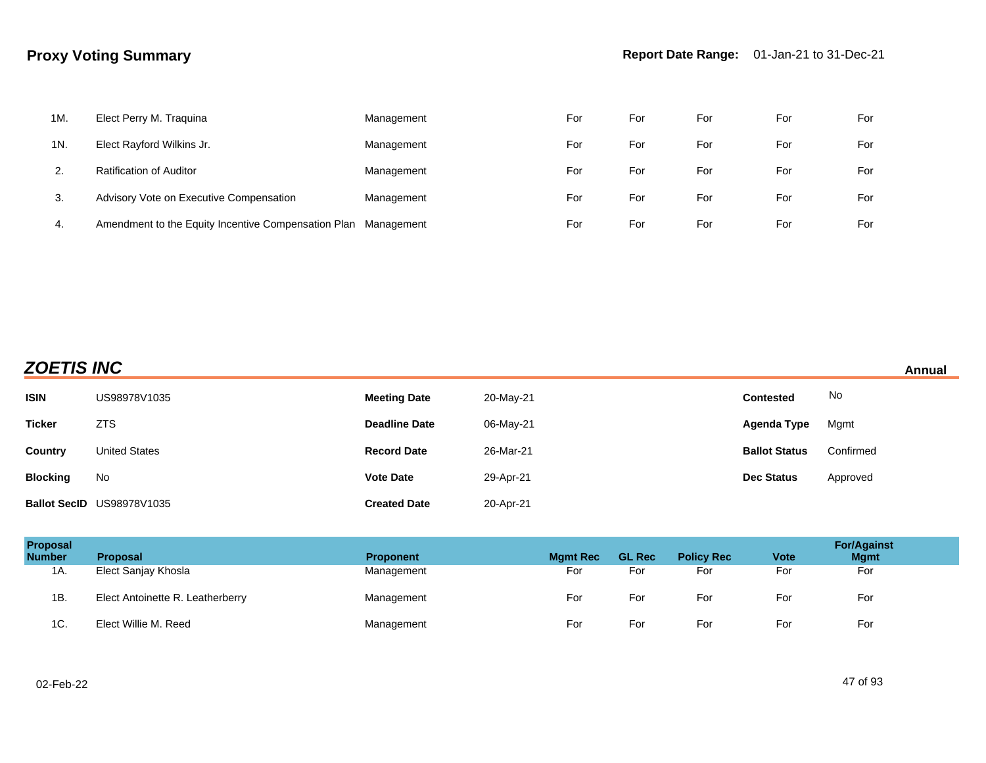| 1M. | Elect Perry M. Traquina                             | Management | For | For | For | For | For |
|-----|-----------------------------------------------------|------------|-----|-----|-----|-----|-----|
| 1N. | Elect Rayford Wilkins Jr.                           | Management | For | For | For | For | For |
|     | <b>Ratification of Auditor</b>                      | Management | For | For | For | For | For |
| 3.  | Advisory Vote on Executive Compensation             | Management | For | For | For | For | For |
| 4.  | Amendment to the Equity Incentive Compensation Plan | Management | For | For | For | For | For |

| <b>ZOETIS INC</b><br>Annual |                           |                      |           |                      |           |  |  |
|-----------------------------|---------------------------|----------------------|-----------|----------------------|-----------|--|--|
| <b>ISIN</b>                 | US98978V1035              | <b>Meeting Date</b>  | 20-May-21 | <b>Contested</b>     | No        |  |  |
| <b>Ticker</b>               | <b>ZTS</b>                | <b>Deadline Date</b> | 06-May-21 | Agenda Type          | Mgmt      |  |  |
| <b>Country</b>              | <b>United States</b>      | <b>Record Date</b>   | 26-Mar-21 | <b>Ballot Status</b> | Confirmed |  |  |
| <b>Blocking</b>             | No                        | <b>Vote Date</b>     | 29-Apr-21 | <b>Dec Status</b>    | Approved  |  |  |
|                             | Ballot SecID US98978V1035 | <b>Created Date</b>  | 20-Apr-21 |                      |           |  |  |

| Proposal<br><b>Number</b> | <b>Proposal</b>                  | <b>Proponent</b> | <b>Mgmt Rec</b> | <b>GL Rec</b> | <b>Policy Rec</b> | <b>Vote</b> | <b>For/Against</b><br><b>Mgmt</b> |
|---------------------------|----------------------------------|------------------|-----------------|---------------|-------------------|-------------|-----------------------------------|
| 1A.                       | Elect Sanjay Khosla              | Management       | For             | For           | For               | For         | For                               |
| 1B.                       | Elect Antoinette R. Leatherberry | Management       | For             | For           | For               | For         | For                               |
| 1C.                       | Elect Willie M. Reed             | Management       | For             | For           | For               | For         | For                               |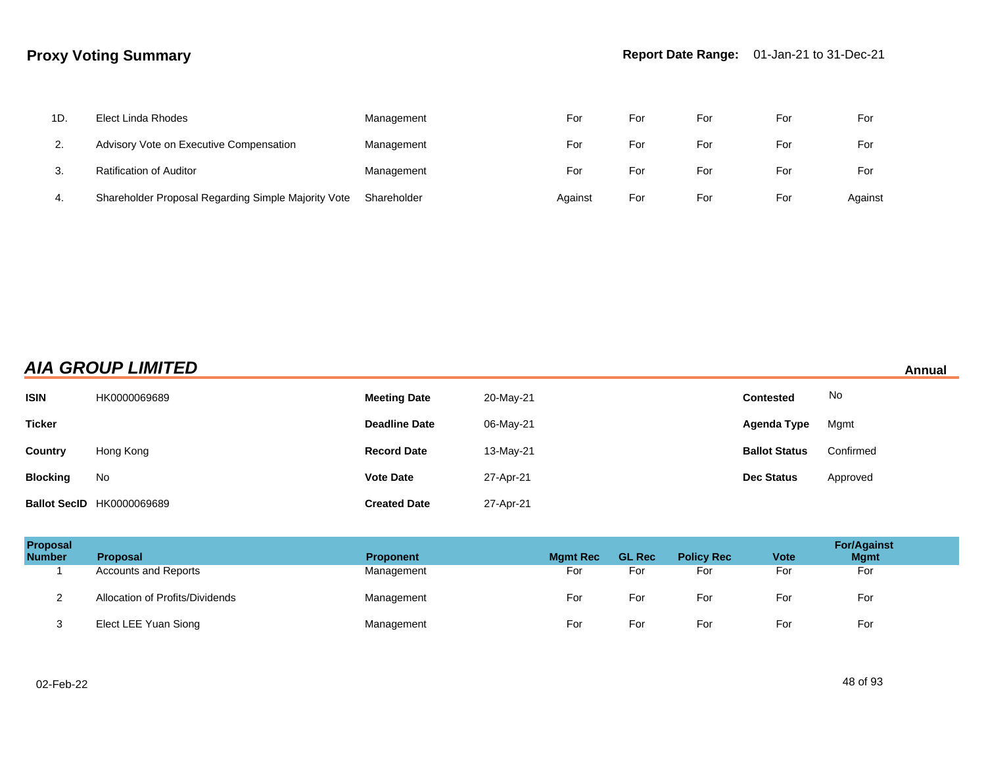| 1D. | Elect Linda Rhodes                                  | Management  | For     | For | For | For | For     |
|-----|-----------------------------------------------------|-------------|---------|-----|-----|-----|---------|
| 2.  | Advisory Vote on Executive Compensation             | Management  | For     | For | For | For | For     |
| 3.  | Ratification of Auditor                             | Management  | For     | For | For | For | For     |
| 4.  | Shareholder Proposal Regarding Simple Majority Vote | Shareholder | Against | For | For | For | Against |

## **AIA GROUP LIMITED Annual**

| <b>ISIN</b>     | HK0000069689                     | <b>Meeting Date</b>  | 20-May-21 | <b>Contested</b>     | No        |
|-----------------|----------------------------------|----------------------|-----------|----------------------|-----------|
| <b>Ticker</b>   |                                  | <b>Deadline Date</b> | 06-May-21 | Agenda Type          | Mgmt      |
| Country         | Hong Kong                        | <b>Record Date</b>   | 13-May-21 | <b>Ballot Status</b> | Confirmed |
| <b>Blocking</b> | No                               | <b>Vote Date</b>     | 27-Apr-21 | <b>Dec Status</b>    | Approved  |
|                 | <b>Ballot SecID HK0000069689</b> | <b>Created Date</b>  | 27-Apr-21 |                      |           |

| Proposal<br><b>Number</b> | <b>Proposal</b>                 | <b>Proponent</b> | <b>Mgmt Rec</b> | <b>GL Rec</b> | <b>Policy Rec</b> | <b>Vote</b> | <b>For/Against</b><br><b>Mgmt</b> |
|---------------------------|---------------------------------|------------------|-----------------|---------------|-------------------|-------------|-----------------------------------|
|                           | <b>Accounts and Reports</b>     | Management       | For             | For           | For               | For         | For                               |
|                           | Allocation of Profits/Dividends | Management       | For             | For           | For               | For         | For                               |
| دت                        | Elect LEE Yuan Siong            | Management       | For             | For           | For               | For         | For                               |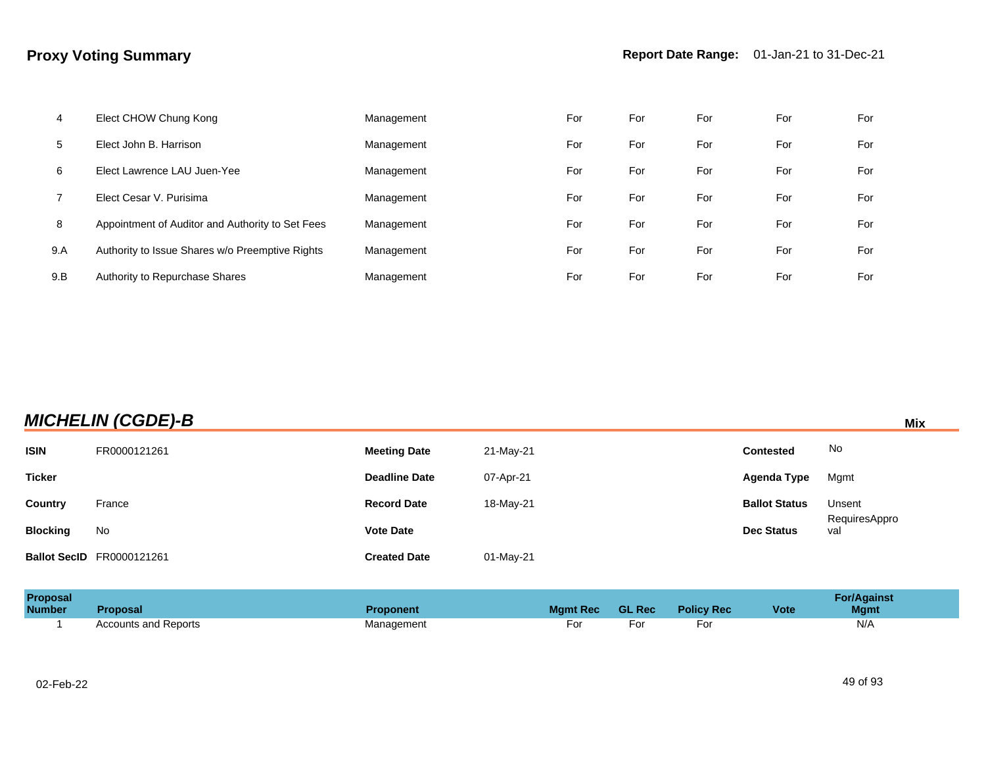| 4   | Elect CHOW Chung Kong                            | Management | For | For | For | For | For |
|-----|--------------------------------------------------|------------|-----|-----|-----|-----|-----|
| 5   | Elect John B. Harrison                           | Management | For | For | For | For | For |
| 6   | Elect Lawrence LAU Juen-Yee                      | Management | For | For | For | For | For |
|     | Elect Cesar V. Purisima                          | Management | For | For | For | For | For |
| 8   | Appointment of Auditor and Authority to Set Fees | Management | For | For | For | For | For |
| 9.A | Authority to Issue Shares w/o Preemptive Rights  | Management | For | For | For | For | For |
| 9.B | Authority to Repurchase Shares                   | Management | For | For | For | For | For |

| <b>MICHELIN (CGDE)-B</b> |  |  | Mix |
|--------------------------|--|--|-----|
|                          |  |  |     |

| <b>ISIN</b>     | FR0000121261                     | <b>Meeting Date</b>  | 21-May-21 | <b>Contested</b>     | No                   |
|-----------------|----------------------------------|----------------------|-----------|----------------------|----------------------|
| <b>Ticker</b>   |                                  | <b>Deadline Date</b> | 07-Apr-21 | Agenda Type          | Mgmt                 |
| Country         | France                           | <b>Record Date</b>   | 18-May-21 | <b>Ballot Status</b> | Unsent               |
| <b>Blocking</b> | No                               | <b>Vote Date</b>     |           | <b>Dec Status</b>    | RequiresAppro<br>val |
|                 | <b>Ballot SecID</b> FR0000121261 | <b>Created Date</b>  | 01-May-21 |                      |                      |

| <b>Proposal</b><br><b>Number</b> | <b>Proposal</b>             | Proponent  | <b>Mgmt Rec</b> | <b>GL Rec</b> | <b>Policy Rec</b> | <b>Vote</b> | <b>For/Against</b><br><b>Mgmt</b> |
|----------------------------------|-----------------------------|------------|-----------------|---------------|-------------------|-------------|-----------------------------------|
|                                  | <b>Accounts and Reports</b> | Management | For             | −or           | ۲o.               |             | N/A                               |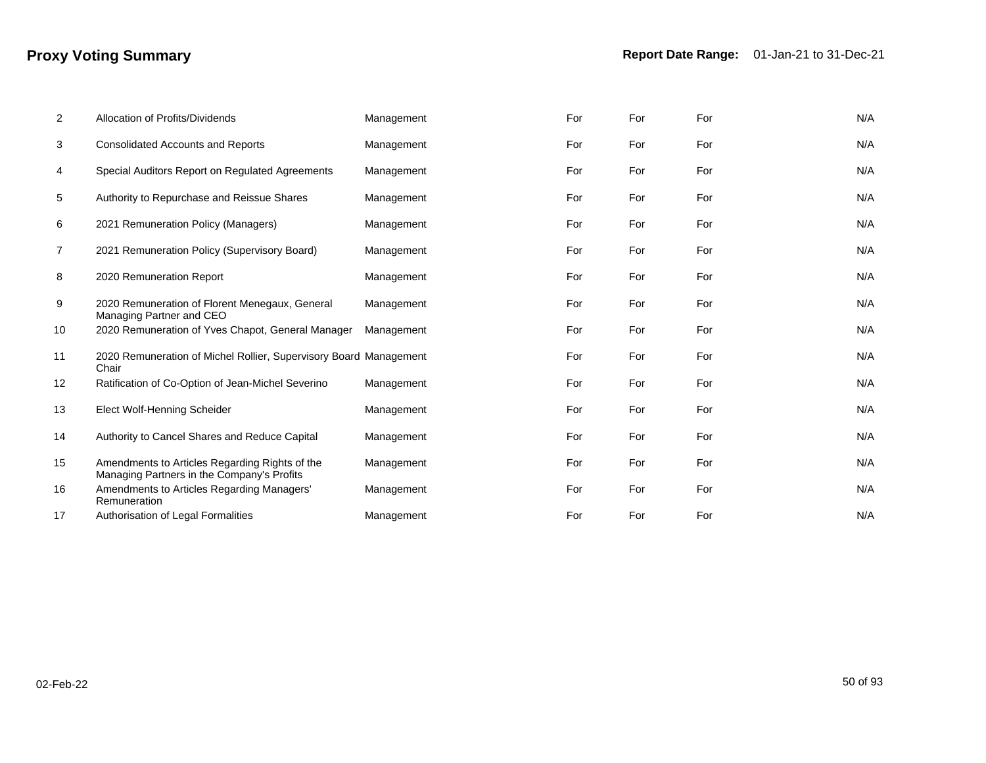| $\overline{2}$ | Allocation of Profits/Dividends                                                              | Management | For | For | For | N/A |
|----------------|----------------------------------------------------------------------------------------------|------------|-----|-----|-----|-----|
| 3              | <b>Consolidated Accounts and Reports</b>                                                     | Management | For | For | For | N/A |
| 4              | Special Auditors Report on Regulated Agreements                                              | Management | For | For | For | N/A |
| 5              | Authority to Repurchase and Reissue Shares                                                   | Management | For | For | For | N/A |
| 6              | 2021 Remuneration Policy (Managers)                                                          | Management | For | For | For | N/A |
| 7              | 2021 Remuneration Policy (Supervisory Board)                                                 | Management | For | For | For | N/A |
| 8              | 2020 Remuneration Report                                                                     | Management | For | For | For | N/A |
| 9              | 2020 Remuneration of Florent Menegaux, General<br>Managing Partner and CEO                   | Management | For | For | For | N/A |
| 10             | 2020 Remuneration of Yves Chapot, General Manager                                            | Management | For | For | For | N/A |
| 11             | 2020 Remuneration of Michel Rollier, Supervisory Board Management<br>Chair                   |            | For | For | For | N/A |
| 12             | Ratification of Co-Option of Jean-Michel Severino                                            | Management | For | For | For | N/A |
| 13             | Elect Wolf-Henning Scheider                                                                  | Management | For | For | For | N/A |
| 14             | Authority to Cancel Shares and Reduce Capital                                                | Management | For | For | For | N/A |
| 15             | Amendments to Articles Regarding Rights of the<br>Managing Partners in the Company's Profits | Management | For | For | For | N/A |
| 16             | Amendments to Articles Regarding Managers'<br>Remuneration                                   | Management | For | For | For | N/A |
| 17             | Authorisation of Legal Formalities                                                           | Management | For | For | For | N/A |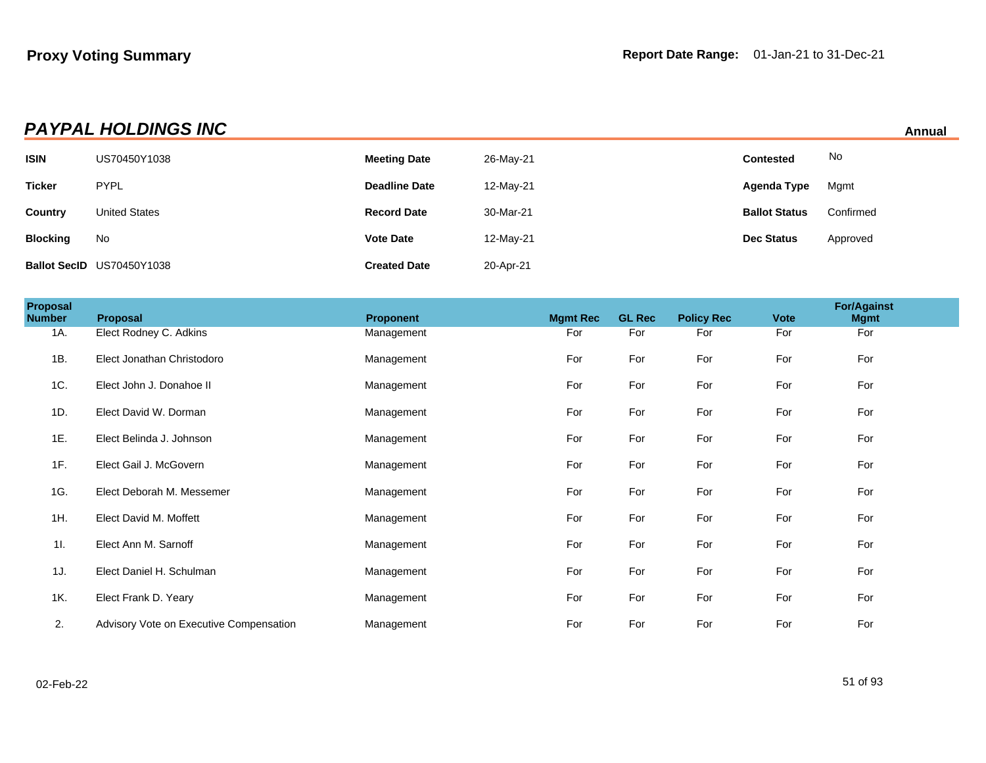|                 | <b>PAYPAL HOLDINGS INC</b><br>Annual |                      |           |                      |           |  |  |  |
|-----------------|--------------------------------------|----------------------|-----------|----------------------|-----------|--|--|--|
| <b>ISIN</b>     | US70450Y1038                         | <b>Meeting Date</b>  | 26-May-21 | <b>Contested</b>     | No        |  |  |  |
| <b>Ticker</b>   | <b>PYPL</b>                          | <b>Deadline Date</b> | 12-May-21 | Agenda Type          | Mgmt      |  |  |  |
| Country         | <b>United States</b>                 | <b>Record Date</b>   | 30-Mar-21 | <b>Ballot Status</b> | Confirmed |  |  |  |
| <b>Blocking</b> | No                                   | <b>Vote Date</b>     | 12-May-21 | <b>Dec Status</b>    | Approved  |  |  |  |
|                 | Ballot SecID US70450Y1038            | <b>Created Date</b>  | 20-Apr-21 |                      |           |  |  |  |

| Proposal<br><b>Number</b> | Proposal                                | <b>Proponent</b> | <b>Mgmt Rec</b> | <b>GL Rec</b> | <b>Policy Rec</b> | <b>Vote</b> | <b>For/Against</b><br><b>Mgmt</b> |  |
|---------------------------|-----------------------------------------|------------------|-----------------|---------------|-------------------|-------------|-----------------------------------|--|
| 1A.                       | Elect Rodney C. Adkins                  | Management       | For             | For           | For               | For         | For                               |  |
| 1B.                       | Elect Jonathan Christodoro              | Management       | For             | For           | For               | For         | For                               |  |
| 1C.                       | Elect John J. Donahoe II                | Management       | For             | For           | For               | For         | For                               |  |
| 1D.                       | Elect David W. Dorman                   | Management       | For             | For           | For               | For         | For                               |  |
| 1E.                       | Elect Belinda J. Johnson                | Management       | For             | For           | For               | For         | For                               |  |
| 1F.                       | Elect Gail J. McGovern                  | Management       | For             | For           | For               | For         | For                               |  |
| 1G.                       | Elect Deborah M. Messemer               | Management       | For             | For           | For               | For         | For                               |  |
| 1H.                       | Elect David M. Moffett                  | Management       | For             | For           | For               | For         | For                               |  |
| 11.                       | Elect Ann M. Sarnoff                    | Management       | For             | For           | For               | For         | For                               |  |
| 1J.                       | Elect Daniel H. Schulman                | Management       | For             | For           | For               | For         | For                               |  |
| 1K.                       | Elect Frank D. Yeary                    | Management       | For             | For           | For               | For         | For                               |  |
| 2.                        | Advisory Vote on Executive Compensation | Management       | For             | For           | For               | For         | For                               |  |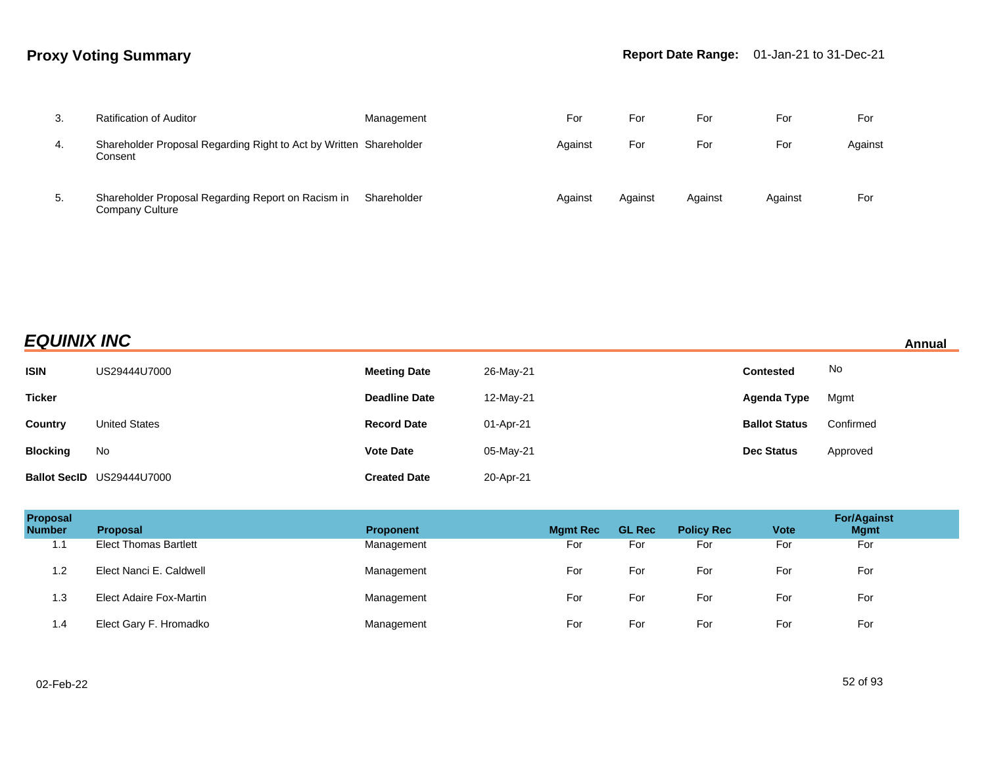| 3. | <b>Ratification of Auditor</b>                                                | Management  | For     | For     | For     | For     | For     |
|----|-------------------------------------------------------------------------------|-------------|---------|---------|---------|---------|---------|
| 4. | Shareholder Proposal Regarding Right to Act by Written Shareholder<br>Consent |             | Against | For     | For     | For     | Against |
| 5. | Shareholder Proposal Regarding Report on Racism in<br>Company Culture         | Shareholder | Against | Against | Against | Against | For     |

## **EQUINIX INC Annual**

| <b>ISIN</b>     | US29444U7000              | <b>Meeting Date</b>  | 26-May-21 | <b>Contested</b>     | No        |
|-----------------|---------------------------|----------------------|-----------|----------------------|-----------|
| <b>Ticker</b>   |                           | <b>Deadline Date</b> | 12-May-21 | Agenda Type          | Mgmt      |
| Country         | <b>United States</b>      | <b>Record Date</b>   | 01-Apr-21 | <b>Ballot Status</b> | Confirmed |
| <b>Blocking</b> | No                        | <b>Vote Date</b>     | 05-May-21 | <b>Dec Status</b>    | Approved  |
|                 | Ballot SecID US29444U7000 | <b>Created Date</b>  | 20-Apr-21 |                      |           |

| Proposal<br><b>Number</b> | <b>Proposal</b>              | <b>Proponent</b> | <b>Mgmt Rec</b> | <b>GL Rec</b> | <b>Policy Rec</b> | <b>Vote</b> | <b>For/Against</b><br><b>Mgmt</b> |
|---------------------------|------------------------------|------------------|-----------------|---------------|-------------------|-------------|-----------------------------------|
| 11<br>.                   | <b>Elect Thomas Bartlett</b> | Management       | For             | For           | For               | For         | For                               |
| 1.2                       | Elect Nanci E. Caldwell      | Management       | For             | For           | For               | For         | For                               |
| 1.3                       | Elect Adaire Fox-Martin      | Management       | For             | For           | For               | For         | For                               |
| 1.4                       | Elect Gary F. Hromadko       | Management       | For             | For           | For               | For         | For                               |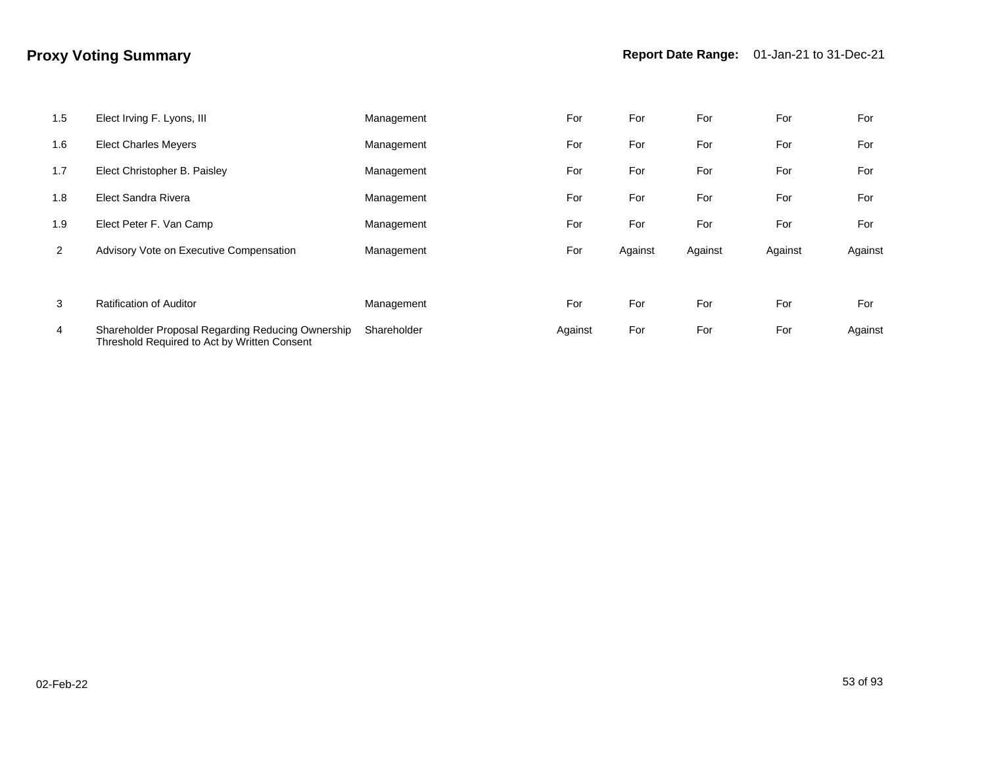| 1.5 | Elect Irving F. Lyons, III                                                                        | Management  | For     | For     | For     | For     | For     |
|-----|---------------------------------------------------------------------------------------------------|-------------|---------|---------|---------|---------|---------|
| 1.6 | <b>Elect Charles Meyers</b>                                                                       | Management  | For     | For     | For     | For     | For     |
| 1.7 | Elect Christopher B. Paisley                                                                      | Management  | For     | For     | For     | For     | For     |
| 1.8 | Elect Sandra Rivera                                                                               | Management  | For     | For     | For     | For     | For     |
| 1.9 | Elect Peter F. Van Camp                                                                           | Management  | For     | For     | For     | For     | For     |
| 2   | Advisory Vote on Executive Compensation                                                           | Management  | For     | Against | Against | Against | Against |
|     |                                                                                                   |             |         |         |         |         |         |
| 3   | <b>Ratification of Auditor</b>                                                                    | Management  | For     | For     | For     | For     | For     |
| 4   | Shareholder Proposal Regarding Reducing Ownership<br>Threshold Required to Act by Written Consent | Shareholder | Against | For     | For     | For     | Against |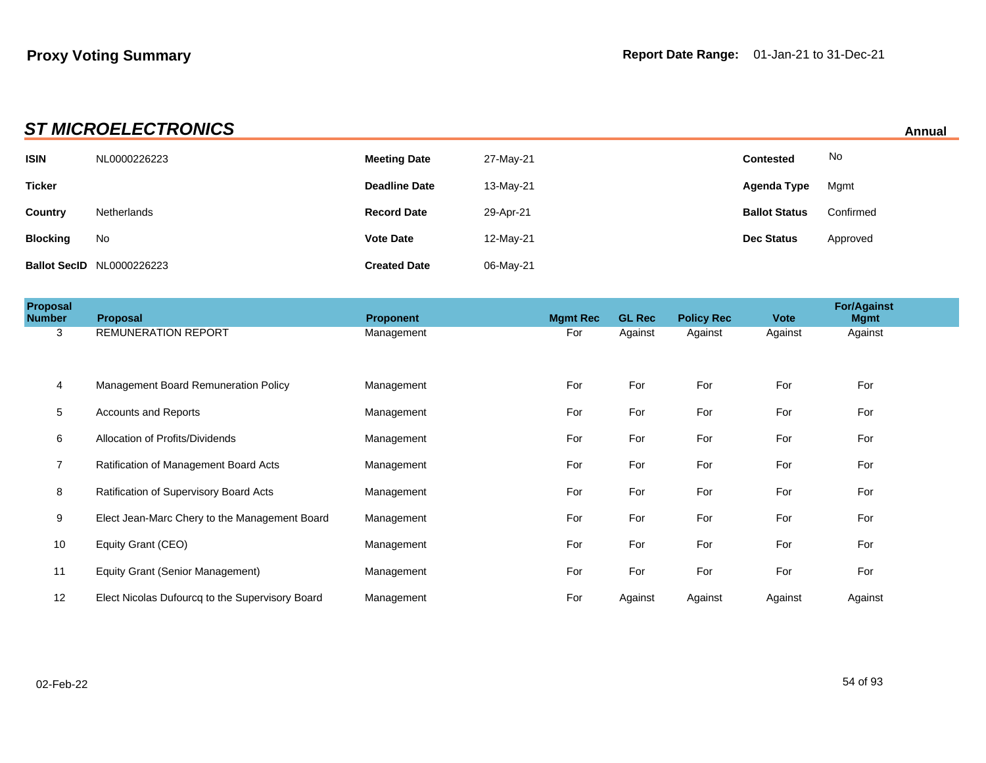| <b>ST MICROELECTRONICS</b><br><b>Annual</b> |                                  |                      |           |                      |           |  |  |  |
|---------------------------------------------|----------------------------------|----------------------|-----------|----------------------|-----------|--|--|--|
| <b>ISIN</b>                                 | NL0000226223                     | <b>Meeting Date</b>  | 27-May-21 | <b>Contested</b>     | No        |  |  |  |
| <b>Ticker</b>                               |                                  | <b>Deadline Date</b> | 13-May-21 | Agenda Type          | Mgmt      |  |  |  |
| Country                                     | Netherlands                      | <b>Record Date</b>   | 29-Apr-21 | <b>Ballot Status</b> | Confirmed |  |  |  |
| <b>Blocking</b>                             | No                               | <b>Vote Date</b>     | 12-May-21 | <b>Dec Status</b>    | Approved  |  |  |  |
|                                             | <b>Ballot SecID NL0000226223</b> | <b>Created Date</b>  | 06-May-21 |                      |           |  |  |  |

| Proposal<br><b>Number</b> | Proposal                                        | <b>Proponent</b> | <b>Mgmt Rec</b> | <b>GL Rec</b> | <b>Policy Rec</b> | <b>Vote</b> | <b>For/Against</b><br><b>Mgmt</b> |  |
|---------------------------|-------------------------------------------------|------------------|-----------------|---------------|-------------------|-------------|-----------------------------------|--|
| 3                         | <b>REMUNERATION REPORT</b>                      | Management       | For             | Against       | Against           | Against     | Against                           |  |
|                           |                                                 |                  |                 |               |                   |             |                                   |  |
| 4                         | Management Board Remuneration Policy            | Management       | For             | For           | For               | For         | For                               |  |
| 5                         | <b>Accounts and Reports</b>                     | Management       | For             | For           | For               | For         | For                               |  |
| 6                         | Allocation of Profits/Dividends                 | Management       | For             | For           | For               | For         | For                               |  |
|                           | Ratification of Management Board Acts           | Management       | For             | For           | For               | For         | For                               |  |
| 8                         | Ratification of Supervisory Board Acts          | Management       | For             | For           | For               | For         | For                               |  |
| 9                         | Elect Jean-Marc Chery to the Management Board   | Management       | For             | For           | For               | For         | For                               |  |
| 10                        | Equity Grant (CEO)                              | Management       | For             | For           | For               | For         | For                               |  |
| 11                        | Equity Grant (Senior Management)                | Management       | For             | For           | For               | For         | For                               |  |
| 12                        | Elect Nicolas Dufourcq to the Supervisory Board | Management       | For             | Against       | Against           | Against     | Against                           |  |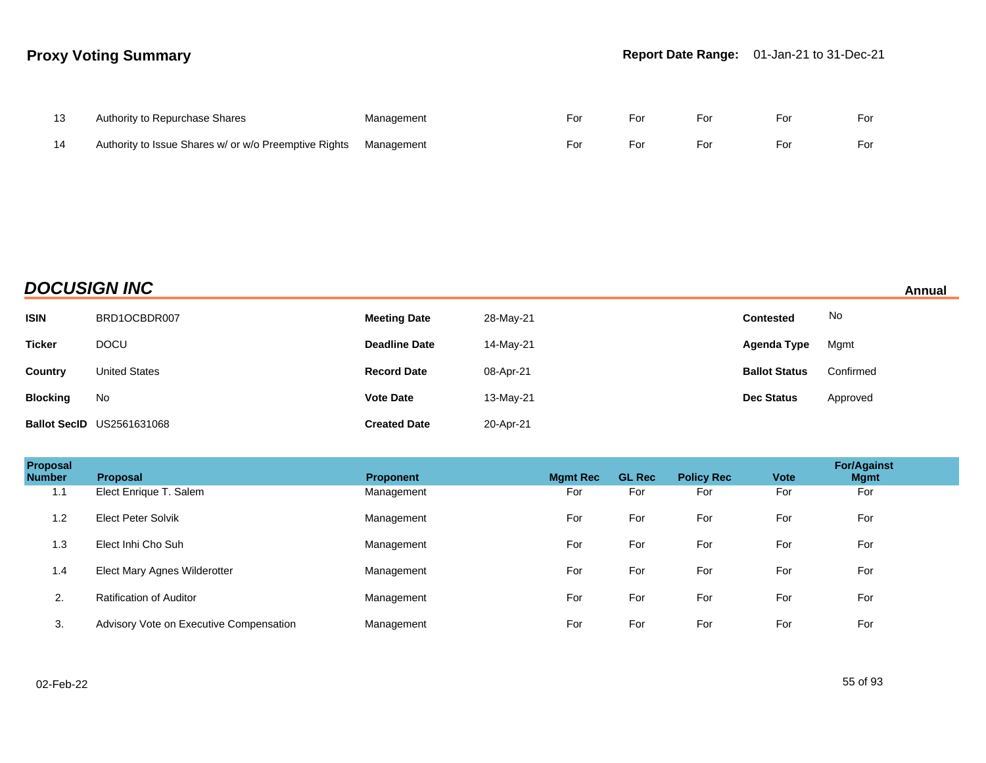| Authority to Repurchase Shares                                   | Management | For | For | For | For | For |
|------------------------------------------------------------------|------------|-----|-----|-----|-----|-----|
| Authority to Issue Shares w/ or w/o Preemptive Rights Management |            | For | For | For | For | For |

# **DOCUSIGN INC** Annual

| <b>ISIN</b>     | BRD1OCBDR007                     | <b>Meeting Date</b>  | 28-May-21 | <b>Contested</b>     | No        |
|-----------------|----------------------------------|----------------------|-----------|----------------------|-----------|
| <b>Ticker</b>   | <b>DOCU</b>                      | <b>Deadline Date</b> | 14-May-21 | Agenda Type          | Mgmt      |
| <b>Country</b>  | <b>United States</b>             | <b>Record Date</b>   | 08-Apr-21 | <b>Ballot Status</b> | Confirmed |
| <b>Blocking</b> | No                               | <b>Vote Date</b>     | 13-May-21 | <b>Dec Status</b>    | Approved  |
|                 | <b>Ballot SecID US2561631068</b> | <b>Created Date</b>  | 20-Apr-21 |                      |           |

| Proposal<br><b>Number</b> | <b>Proposal</b>                         | <b>Proponent</b> | <b>Mgmt Rec</b> | <b>GL Rec</b> | <b>Policy Rec</b> | <b>Vote</b> | <b>For/Against</b><br><b>Mgmt</b> |
|---------------------------|-----------------------------------------|------------------|-----------------|---------------|-------------------|-------------|-----------------------------------|
| 1.1                       | Elect Enrique T. Salem                  | Management       | For             | For           | For               | For         | For                               |
| 1.2                       | <b>Elect Peter Solvik</b>               | Management       | For             | For           | For               | For         | For                               |
| 1.3                       | Elect Inhi Cho Suh                      | Management       | For             | For           | For               | For         | For                               |
| 1.4                       | Elect Mary Agnes Wilderotter            | Management       | For             | For           | For               | For         | For                               |
| 2.                        | Ratification of Auditor                 | Management       | For             | For           | For               | For         | For                               |
| 3.                        | Advisory Vote on Executive Compensation | Management       | For             | For           | For               | For         | For                               |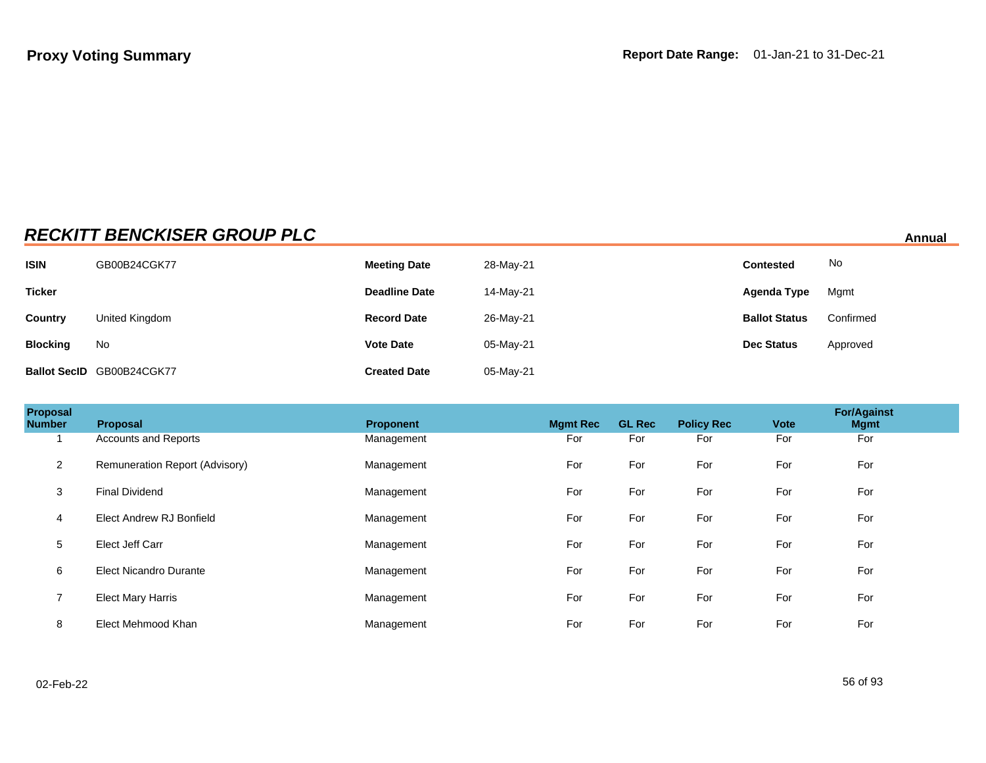# **RECKITT BENCKISER GROUP PLC** Annual

| <b>ISIN</b>     | GB00B24CGK77              | <b>Meeting Date</b>  | 28-May-21 | <b>Contested</b>     | No        |
|-----------------|---------------------------|----------------------|-----------|----------------------|-----------|
| <b>Ticker</b>   |                           | <b>Deadline Date</b> | 14-May-21 | <b>Agenda Type</b>   | Mgmt      |
| Country         | United Kingdom            | <b>Record Date</b>   | 26-May-21 | <b>Ballot Status</b> | Confirmed |
| <b>Blocking</b> | No                        | <b>Vote Date</b>     | 05-May-21 | <b>Dec Status</b>    | Approved  |
|                 | Ballot SecID GB00B24CGK77 | <b>Created Date</b>  | 05-May-21 |                      |           |

| Proposal<br><b>Number</b> | Proposal                       | <b>Proponent</b> | <b>Mgmt Rec</b> | <b>GL Rec</b> | <b>Policy Rec</b> | <b>Vote</b> | <b>For/Against</b><br><b>Mgmt</b> |  |
|---------------------------|--------------------------------|------------------|-----------------|---------------|-------------------|-------------|-----------------------------------|--|
|                           | <b>Accounts and Reports</b>    | Management       | For             | For           | For               | For         | For                               |  |
| $\overline{2}$            | Remuneration Report (Advisory) | Management       | For             | For           | For               | For         | For                               |  |
| 3                         | <b>Final Dividend</b>          | Management       | For             | For           | For               | For         | For                               |  |
| 4                         | Elect Andrew RJ Bonfield       | Management       | For             | For           | For               | For         | For                               |  |
| $\sqrt{5}$                | Elect Jeff Carr                | Management       | For             | For           | For               | For         | For                               |  |
| 6                         | Elect Nicandro Durante         | Management       | For             | For           | For               | For         | For                               |  |
| $\overline{z}$            | <b>Elect Mary Harris</b>       | Management       | For             | For           | For               | For         | For                               |  |
| 8                         | Elect Mehmood Khan             | Management       | For             | For           | For               | For         | For                               |  |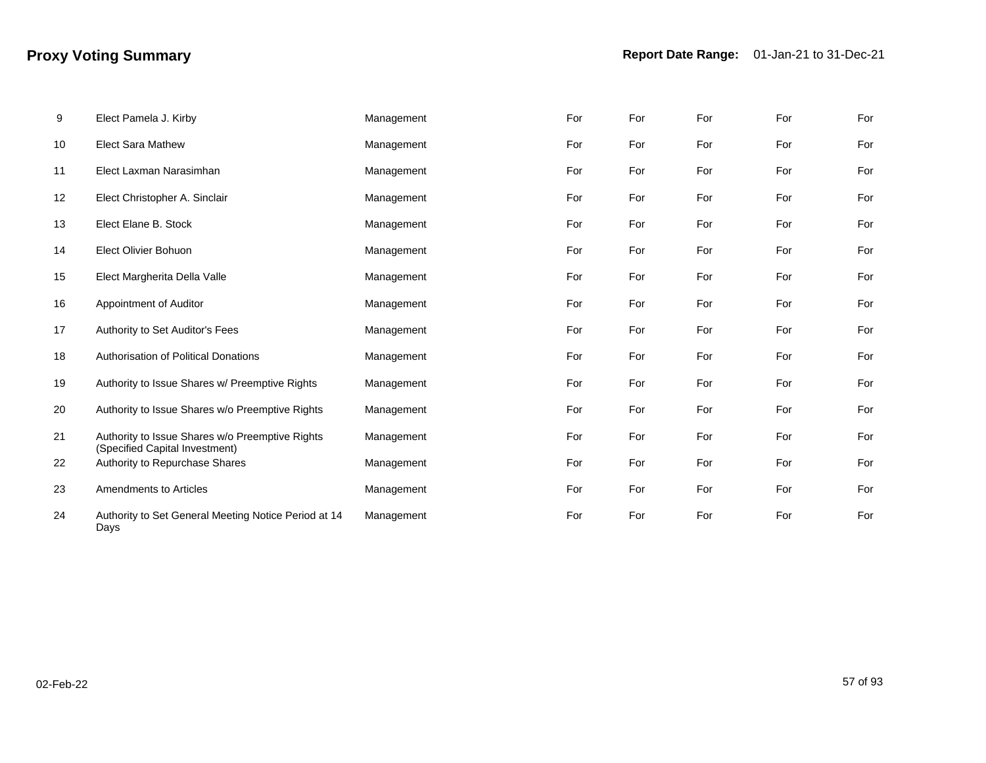| 9  | Elect Pamela J. Kirby                                                             | Management | For | For | For | For | For |
|----|-----------------------------------------------------------------------------------|------------|-----|-----|-----|-----|-----|
| 10 | <b>Elect Sara Mathew</b>                                                          | Management | For | For | For | For | For |
| 11 | Elect Laxman Narasimhan                                                           | Management | For | For | For | For | For |
| 12 | Elect Christopher A. Sinclair                                                     | Management | For | For | For | For | For |
| 13 | Elect Elane B. Stock                                                              | Management | For | For | For | For | For |
| 14 | <b>Elect Olivier Bohuon</b>                                                       | Management | For | For | For | For | For |
| 15 | Elect Margherita Della Valle                                                      | Management | For | For | For | For | For |
| 16 | Appointment of Auditor                                                            | Management | For | For | For | For | For |
| 17 | Authority to Set Auditor's Fees                                                   | Management | For | For | For | For | For |
| 18 | <b>Authorisation of Political Donations</b>                                       | Management | For | For | For | For | For |
| 19 | Authority to Issue Shares w/ Preemptive Rights                                    | Management | For | For | For | For | For |
| 20 | Authority to Issue Shares w/o Preemptive Rights                                   | Management | For | For | For | For | For |
| 21 | Authority to Issue Shares w/o Preemptive Rights<br>(Specified Capital Investment) | Management | For | For | For | For | For |
| 22 | Authority to Repurchase Shares                                                    | Management | For | For | For | For | For |
| 23 | Amendments to Articles                                                            | Management | For | For | For | For | For |
| 24 | Authority to Set General Meeting Notice Period at 14<br>Days                      | Management | For | For | For | For | For |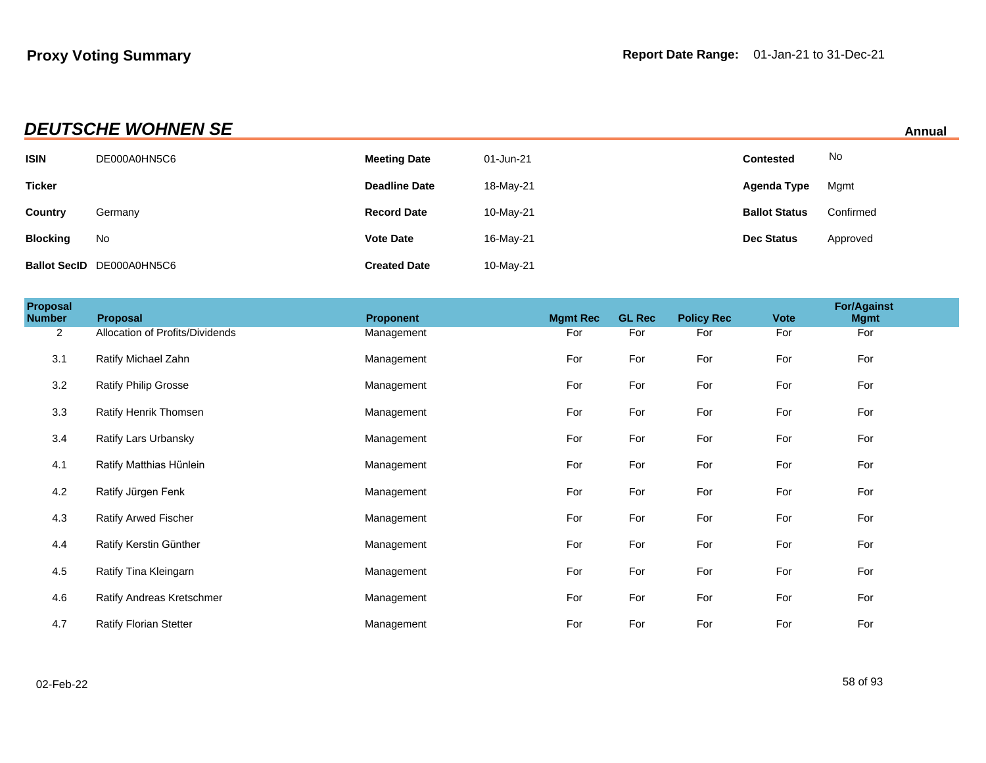| <b>DEUTSCHE WOHNEN SE</b><br>Annual |
|-------------------------------------|
|                                     |

| <b>ISIN</b>     | DE000A0HN5C6                     | <b>Meeting Date</b>  | 01-Jun-21 | <b>Contested</b>     | No        |
|-----------------|----------------------------------|----------------------|-----------|----------------------|-----------|
| <b>Ticker</b>   |                                  | <b>Deadline Date</b> | 18-May-21 | Agenda Type          | Mgmt      |
| Country         | Germany                          | <b>Record Date</b>   | 10-May-21 | <b>Ballot Status</b> | Confirmed |
| <b>Blocking</b> | No                               | <b>Vote Date</b>     | 16-May-21 | <b>Dec Status</b>    | Approved  |
|                 | <b>Ballot SecID DE000A0HN5C6</b> | <b>Created Date</b>  | 10-May-21 |                      |           |

| Proposal<br><b>Number</b> | Proposal                        | <b>Proponent</b> | <b>Mgmt Rec</b> | <b>GL Rec</b> | <b>Policy Rec</b> | <b>Vote</b> | <b>For/Against</b><br><b>Mgmt</b> |  |
|---------------------------|---------------------------------|------------------|-----------------|---------------|-------------------|-------------|-----------------------------------|--|
| $\overline{2}$            | Allocation of Profits/Dividends | Management       | For             | For           | For               | For         | For                               |  |
| 3.1                       | Ratify Michael Zahn             | Management       | For             | For           | For               | For         | For                               |  |
| 3.2                       | Ratify Philip Grosse            | Management       | For             | For           | For               | For         | For                               |  |
| 3.3                       | Ratify Henrik Thomsen           | Management       | For             | For           | For               | For         | For                               |  |
| 3.4                       | Ratify Lars Urbansky            | Management       | For             | For           | For               | For         | For                               |  |
| 4.1                       | Ratify Matthias Hünlein         | Management       | For             | For           | For               | For         | For                               |  |
| 4.2                       | Ratify Jürgen Fenk              | Management       | For             | For           | For               | For         | For                               |  |
| 4.3                       | Ratify Arwed Fischer            | Management       | For             | For           | For               | For         | For                               |  |
| 4.4                       | Ratify Kerstin Günther          | Management       | For             | For           | For               | For         | For                               |  |
| 4.5                       | Ratify Tina Kleingarn           | Management       | For             | For           | For               | For         | For                               |  |
| 4.6                       | Ratify Andreas Kretschmer       | Management       | For             | For           | For               | For         | For                               |  |
| 4.7                       | <b>Ratify Florian Stetter</b>   | Management       | For             | For           | For               | For         | For                               |  |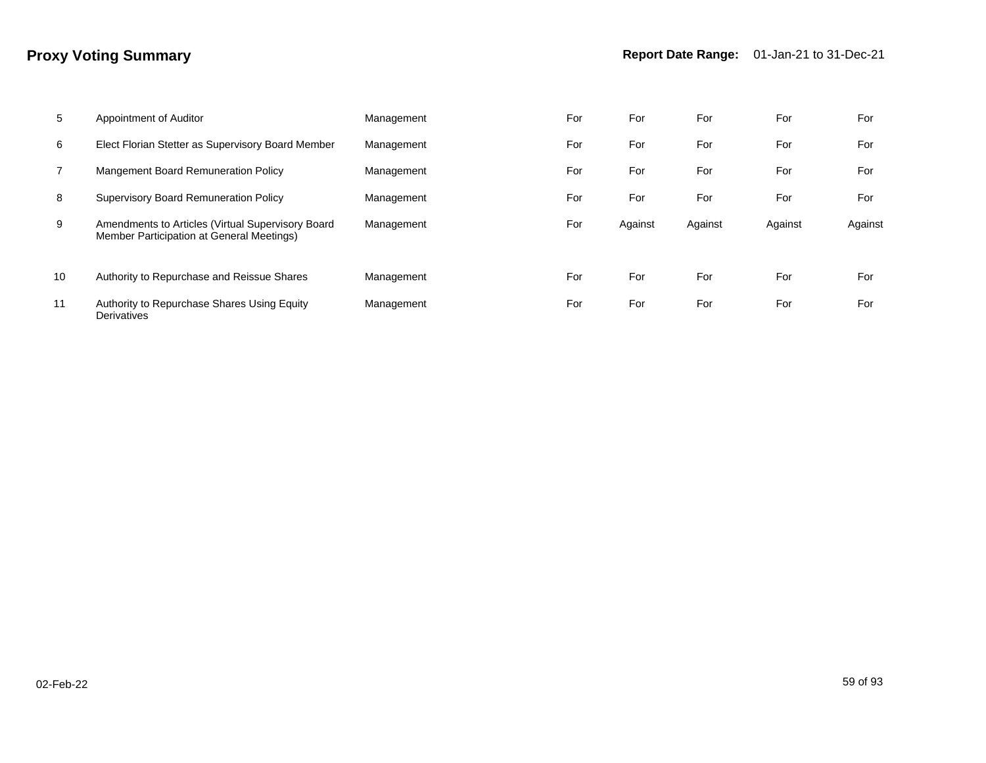| 5              | Appointment of Auditor                                                                         | Management | For | For     | For     | For     | For     |
|----------------|------------------------------------------------------------------------------------------------|------------|-----|---------|---------|---------|---------|
| 6              | Elect Florian Stetter as Supervisory Board Member                                              | Management | For | For     | For     | For     | For     |
| $\overline{7}$ | Mangement Board Remuneration Policy                                                            | Management | For | For     | For     | For     | For     |
| 8              | <b>Supervisory Board Remuneration Policy</b>                                                   | Management | For | For     | For     | For     | For     |
| 9              | Amendments to Articles (Virtual Supervisory Board<br>Member Participation at General Meetings) | Management | For | Against | Against | Against | Against |
| 10             | Authority to Repurchase and Reissue Shares                                                     | Management | For | For     | For     | For     | For     |
| 11             | Authority to Repurchase Shares Using Equity<br>Derivatives                                     | Management | For | For     | For     | For     | For     |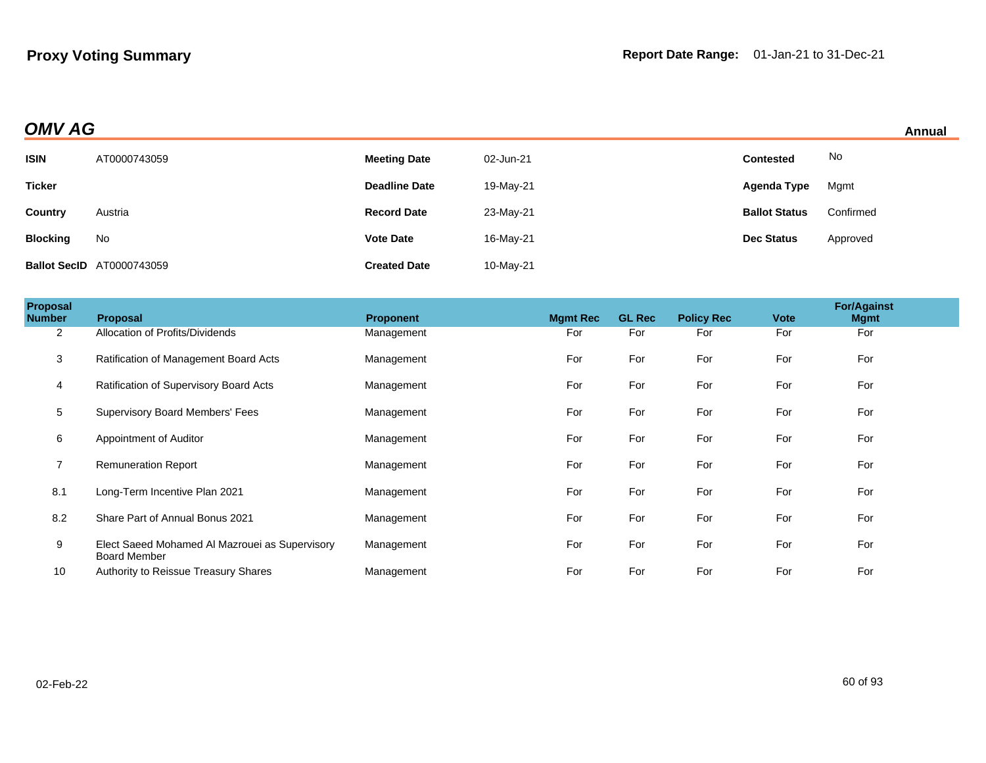| Annual |  |
|--------|--|
|        |  |

| <b>OMV AG</b>   |                                  |                      |           |                      |           | Annual |
|-----------------|----------------------------------|----------------------|-----------|----------------------|-----------|--------|
| <b>ISIN</b>     | AT0000743059                     | <b>Meeting Date</b>  | 02-Jun-21 | <b>Contested</b>     | No        |        |
| <b>Ticker</b>   |                                  | <b>Deadline Date</b> | 19-May-21 | Agenda Type          | Mgmt      |        |
| <b>Country</b>  | Austria                          | <b>Record Date</b>   | 23-May-21 | <b>Ballot Status</b> | Confirmed |        |
| <b>Blocking</b> | No                               | <b>Vote Date</b>     | 16-May-21 | <b>Dec Status</b>    | Approved  |        |
|                 | <b>Ballot SecID</b> AT0000743059 | <b>Created Date</b>  | 10-May-21 |                      |           |        |

| Proposal<br><b>Number</b> | <b>Proposal</b>                                                       | <b>Proponent</b> | <b>Mgmt Rec</b> | <b>GL Rec</b> | <b>Policy Rec</b> | <b>Vote</b> | <b>For/Against</b><br><b>Mgmt</b> |  |
|---------------------------|-----------------------------------------------------------------------|------------------|-----------------|---------------|-------------------|-------------|-----------------------------------|--|
| $\overline{2}$            | Allocation of Profits/Dividends                                       | Management       | For             | For           | For               | For         | For                               |  |
| 3                         | Ratification of Management Board Acts                                 | Management       | For             | For           | For               | For         | For                               |  |
| 4                         | Ratification of Supervisory Board Acts                                | Management       | For             | For           | For               | For         | For                               |  |
| 5                         | Supervisory Board Members' Fees                                       | Management       | For             | For           | For               | For         | For                               |  |
| 6                         | Appointment of Auditor                                                | Management       | For             | For           | For               | For         | For                               |  |
| $\overline{7}$            | <b>Remuneration Report</b>                                            | Management       | For             | For           | For               | For         | For                               |  |
| 8.1                       | Long-Term Incentive Plan 2021                                         | Management       | For             | For           | For               | For         | For                               |  |
| 8.2                       | Share Part of Annual Bonus 2021                                       | Management       | For             | For           | For               | For         | For                               |  |
| 9                         | Elect Saeed Mohamed Al Mazrouei as Supervisory<br><b>Board Member</b> | Management       | For             | For           | For               | For         | For                               |  |
| 10                        | Authority to Reissue Treasury Shares                                  | Management       | For             | For           | For               | For         | For                               |  |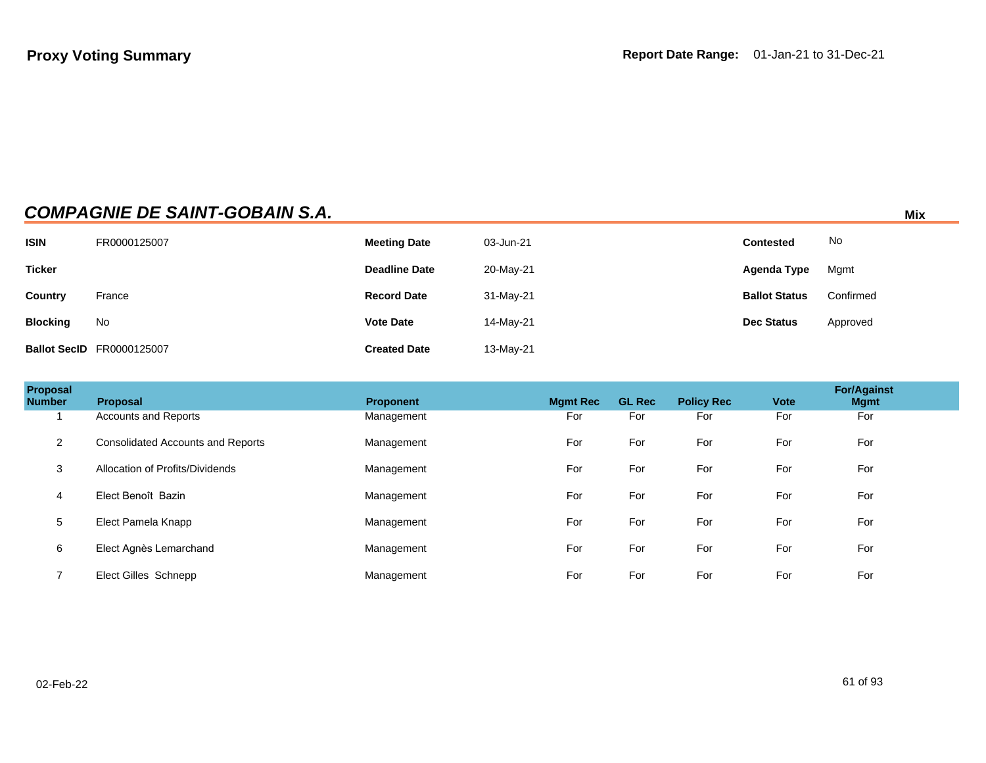|                 | <b>COMPAGNIE DE SAINT-GOBAIN S.A.</b> |                      |           |                      | Mix       |
|-----------------|---------------------------------------|----------------------|-----------|----------------------|-----------|
| <b>ISIN</b>     | FR0000125007                          | <b>Meeting Date</b>  | 03-Jun-21 | <b>Contested</b>     | No        |
| <b>Ticker</b>   |                                       | <b>Deadline Date</b> | 20-May-21 | Agenda Type          | Mgmt      |
| <b>Country</b>  | France                                | <b>Record Date</b>   | 31-May-21 | <b>Ballot Status</b> | Confirmed |
| <b>Blocking</b> | No                                    | <b>Vote Date</b>     | 14-May-21 | <b>Dec Status</b>    | Approved  |
|                 | <b>Ballot SecID</b> FR0000125007      | <b>Created Date</b>  | 13-May-21 |                      |           |

| Proposal<br><b>Number</b> | <b>Proposal</b>                          | <b>Proponent</b> | <b>Mgmt Rec</b> | <b>GL Rec</b> | <b>Policy Rec</b> | <b>Vote</b> | <b>For/Against</b><br><b>Mgmt</b> |
|---------------------------|------------------------------------------|------------------|-----------------|---------------|-------------------|-------------|-----------------------------------|
|                           | <b>Accounts and Reports</b>              | Management       | For             | For           | For               | For         | For                               |
| $\overline{2}$            | <b>Consolidated Accounts and Reports</b> | Management       | For             | For           | For               | For         | For                               |
| 3                         | Allocation of Profits/Dividends          | Management       | For             | For           | For               | For         | For                               |
| 4                         | Elect Benoît Bazin                       | Management       | For             | For           | For               | For         | For                               |
| 5                         | Elect Pamela Knapp                       | Management       | For             | For           | For               | For         | For                               |
| 6                         | Elect Agnès Lemarchand                   | Management       | For             | For           | For               | For         | For                               |
| ⇁                         | Elect Gilles Schnepp                     | Management       | For             | For           | For               | For         | For                               |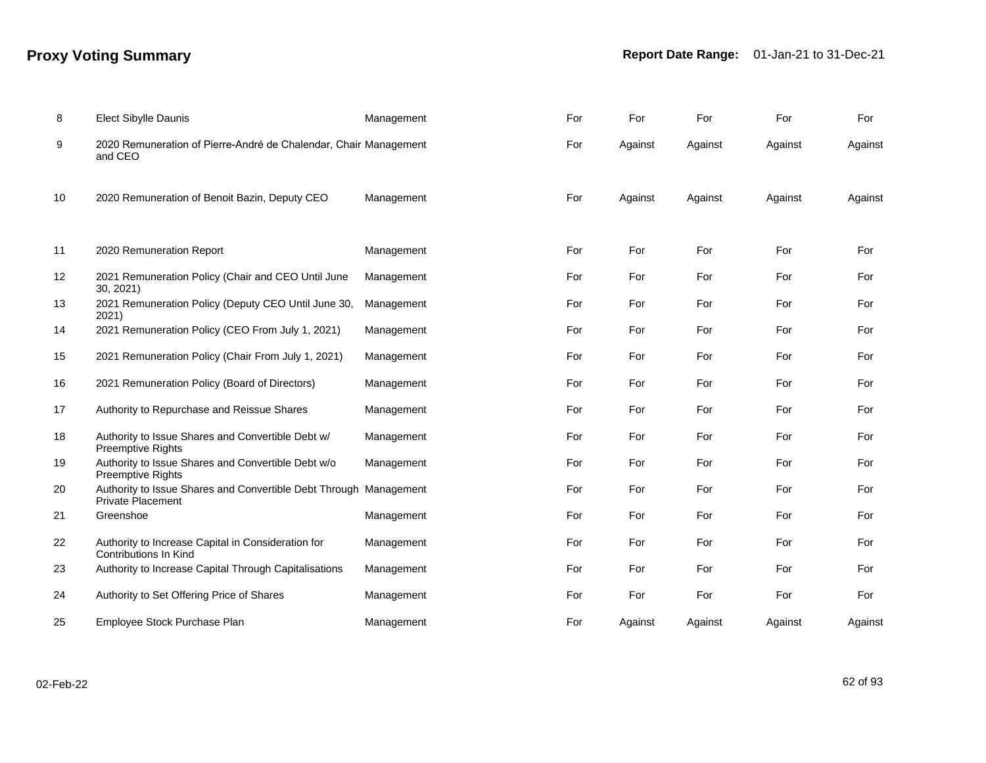# **Proxy Voting Summary Report Date Range:** 01-Jan-21 to 31-Dec-21

| 8  | <b>Elect Sibylle Daunis</b>                                                                   | Management | For | For     | For     | For     | For     |
|----|-----------------------------------------------------------------------------------------------|------------|-----|---------|---------|---------|---------|
| 9  | 2020 Remuneration of Pierre-André de Chalendar, Chair Management<br>and CEO                   |            | For | Against | Against | Against | Against |
| 10 | 2020 Remuneration of Benoit Bazin, Deputy CEO                                                 | Management | For | Against | Against | Against | Against |
| 11 | 2020 Remuneration Report                                                                      | Management | For | For     | For     | For     | For     |
| 12 | 2021 Remuneration Policy (Chair and CEO Until June<br>30, 2021                                | Management | For | For     | For     | For     | For     |
| 13 | 2021 Remuneration Policy (Deputy CEO Until June 30,<br>2021)                                  | Management | For | For     | For     | For     | For     |
| 14 | 2021 Remuneration Policy (CEO From July 1, 2021)                                              | Management | For | For     | For     | For     | For     |
| 15 | 2021 Remuneration Policy (Chair From July 1, 2021)                                            | Management | For | For     | For     | For     | For     |
| 16 | 2021 Remuneration Policy (Board of Directors)                                                 | Management | For | For     | For     | For     | For     |
| 17 | Authority to Repurchase and Reissue Shares                                                    | Management | For | For     | For     | For     | For     |
| 18 | Authority to Issue Shares and Convertible Debt w/<br>Preemptive Rights                        | Management | For | For     | For     | For     | For     |
| 19 | Authority to Issue Shares and Convertible Debt w/o<br><b>Preemptive Rights</b>                | Management | For | For     | For     | For     | For     |
| 20 | Authority to Issue Shares and Convertible Debt Through Management<br><b>Private Placement</b> |            | For | For     | For     | For     | For     |
| 21 | Greenshoe                                                                                     | Management | For | For     | For     | For     | For     |
| 22 | Authority to Increase Capital in Consideration for<br><b>Contributions In Kind</b>            | Management | For | For     | For     | For     | For     |
| 23 | Authority to Increase Capital Through Capitalisations                                         | Management | For | For     | For     | For     | For     |
| 24 | Authority to Set Offering Price of Shares                                                     | Management | For | For     | For     | For     | For     |
| 25 | Employee Stock Purchase Plan                                                                  | Management | For | Against | Against | Against | Against |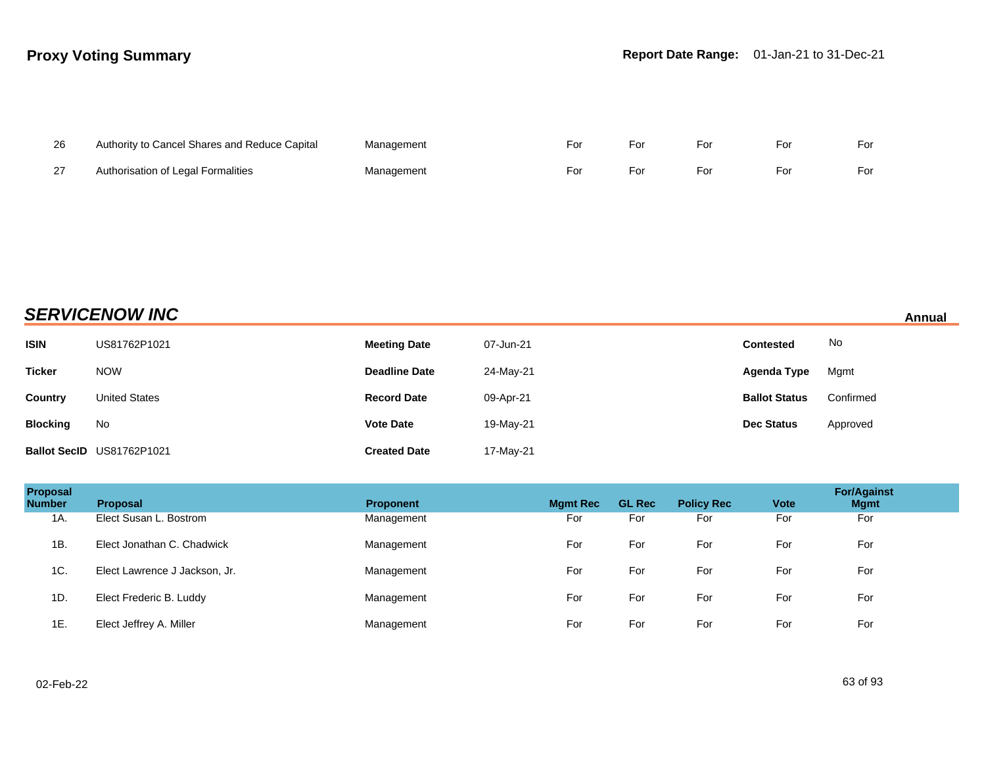| 26 | Authority to Cancel Shares and Reduce Capital | Management | For | For | For | For | For |
|----|-----------------------------------------------|------------|-----|-----|-----|-----|-----|
| 27 | Authorisation of Legal Formalities            | Management | For | For | For | For | For |

# **SERVICENOW INC** Annual

| <b>ISIN</b>     | US81762P1021              | <b>Meeting Date</b>  | 07-Jun-21 | <b>Contested</b>     | No        |
|-----------------|---------------------------|----------------------|-----------|----------------------|-----------|
| <b>Ticker</b>   | <b>NOW</b>                | <b>Deadline Date</b> | 24-May-21 | Agenda Type          | Mgmt      |
| Country         | <b>United States</b>      | <b>Record Date</b>   | 09-Apr-21 | <b>Ballot Status</b> | Confirmed |
| <b>Blocking</b> | No                        | <b>Vote Date</b>     | 19-May-21 | <b>Dec Status</b>    | Approved  |
|                 | Ballot SecID US81762P1021 | <b>Created Date</b>  | 17-May-21 |                      |           |

| Proposal<br><b>Number</b> | <b>Proposal</b>               | <b>Proponent</b> | <b>Mgmt Rec</b> | <b>GL Rec</b> | <b>Policy Rec</b> | <b>Vote</b> | <b>For/Against</b><br><b>Mgmt</b> |
|---------------------------|-------------------------------|------------------|-----------------|---------------|-------------------|-------------|-----------------------------------|
| 1A.                       | Elect Susan L. Bostrom        | Management       | For             | For           | For               | For         | For                               |
| 1B.                       | Elect Jonathan C. Chadwick    | Management       | For             | For           | For               | For         | For                               |
| 1C.                       | Elect Lawrence J Jackson, Jr. | Management       | For             | For           | For               | For         | For                               |
| 1D.                       | Elect Frederic B. Luddy       | Management       | For             | For           | For               | For         | For                               |
| 1E.                       | Elect Jeffrey A. Miller       | Management       | For             | For           | For               | For         | For                               |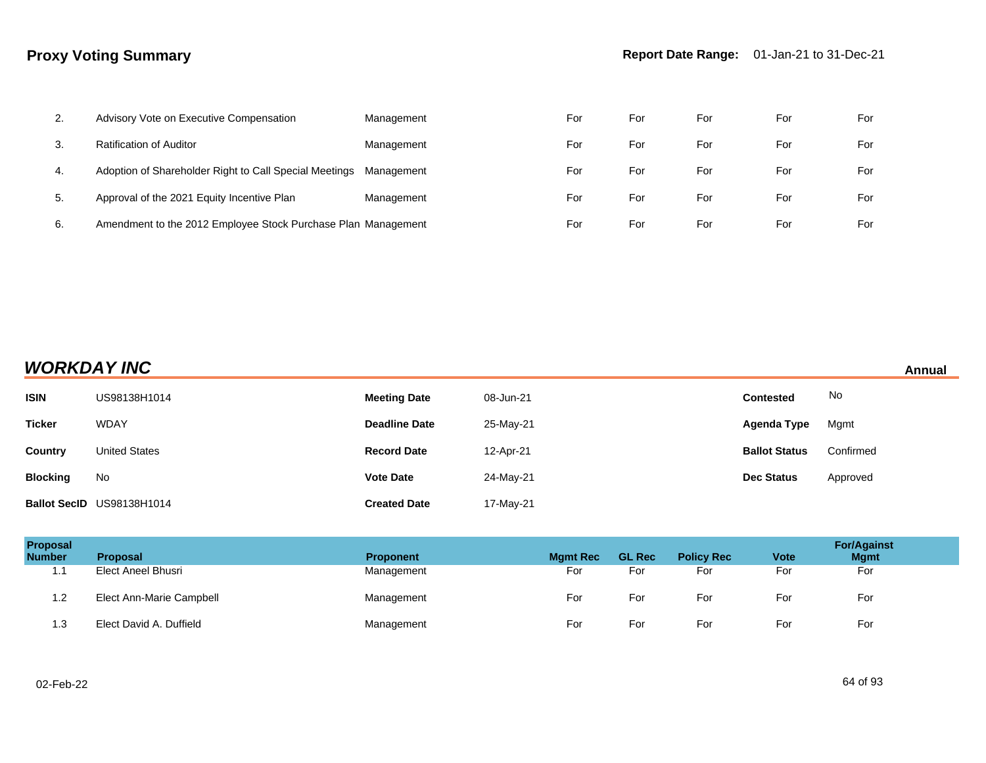| 2.  | Advisory Vote on Executive Compensation                       | Management | For | For | For | For | For |
|-----|---------------------------------------------------------------|------------|-----|-----|-----|-----|-----|
| 3.  | <b>Ratification of Auditor</b>                                | Management | For | For | For | For | For |
| -4. | Adoption of Shareholder Right to Call Special Meetings        | Management | For | For | For | For | For |
| 5.  | Approval of the 2021 Equity Incentive Plan                    | Management | For | For | For | For | For |
| 6.  | Amendment to the 2012 Employee Stock Purchase Plan Management |            | For | For | For | For | For |

| <b>WORKDAY INC</b> |  |
|--------------------|--|
|--------------------|--|

| <b>WORKDAY INC</b><br>Annual |                           |                      |           |                      |           |  |
|------------------------------|---------------------------|----------------------|-----------|----------------------|-----------|--|
| <b>ISIN</b>                  | US98138H1014              | <b>Meeting Date</b>  | 08-Jun-21 | <b>Contested</b>     | No        |  |
| <b>Ticker</b>                | <b>WDAY</b>               | <b>Deadline Date</b> | 25-May-21 | Agenda Type          | Mgmt      |  |
| Country                      | <b>United States</b>      | <b>Record Date</b>   | 12-Apr-21 | <b>Ballot Status</b> | Confirmed |  |
| <b>Blocking</b>              | No                        | <b>Vote Date</b>     | 24-May-21 | <b>Dec Status</b>    | Approved  |  |
|                              | Ballot SecID US98138H1014 | <b>Created Date</b>  | 17-May-21 |                      |           |  |

| <b>Proposal</b><br><b>Number</b> | <b>Proposal</b>          | <b>Proponent</b> | <b>Mgmt Rec</b> | <b>GL Rec</b> | <b>Policy Rec</b> | <b>Vote</b> | <b>For/Against</b><br><b>Mgmt</b> |
|----------------------------------|--------------------------|------------------|-----------------|---------------|-------------------|-------------|-----------------------------------|
| 4.4<br>. .                       | Elect Aneel Bhusri       | Management       | For             | For           | For               | For         | For                               |
| 1.2                              | Elect Ann-Marie Campbell | Management       | For             | For           | For               | For         | For                               |
| 1.3                              | Elect David A. Duffield  | Management       | For             | For           | For               | For         | For                               |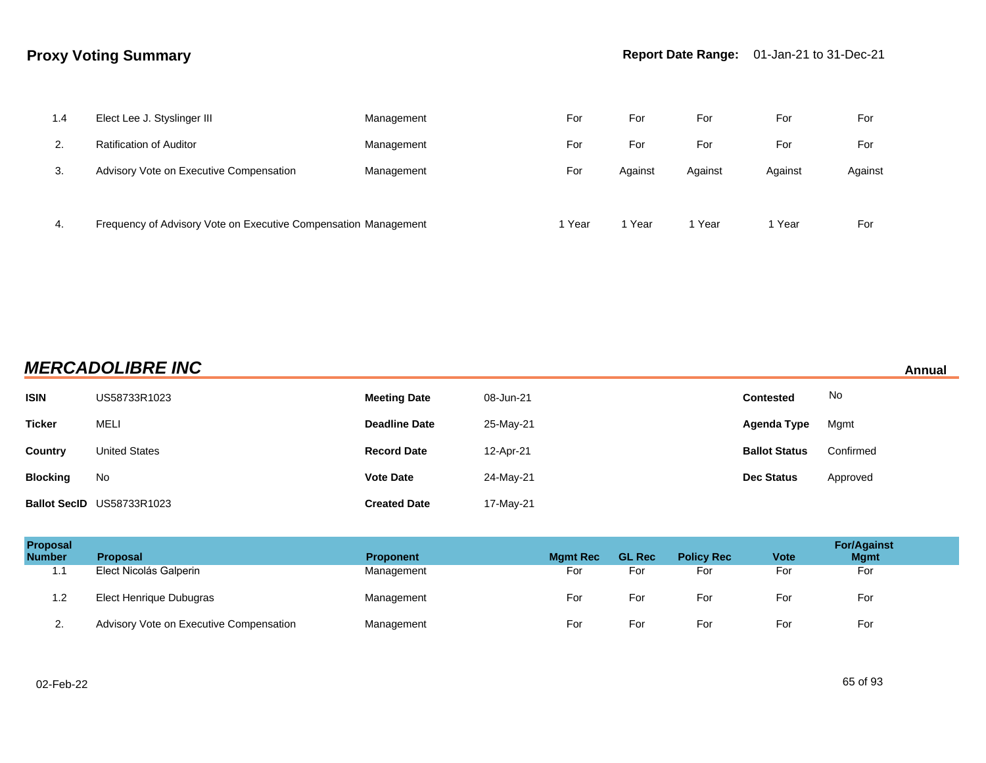| 1.4 | Elect Lee J. Styslinger III                                     | Management | For    | For     | For     | For     | For     |
|-----|-----------------------------------------------------------------|------------|--------|---------|---------|---------|---------|
| 2.  | <b>Ratification of Auditor</b>                                  | Management | For    | For     | For     | For     | For     |
| 3.  | Advisory Vote on Executive Compensation                         | Management | For    | Against | Against | Against | Against |
|     |                                                                 |            |        |         |         |         |         |
| 4.  | Frequency of Advisory Vote on Executive Compensation Management |            | 1 Year | Year    | Year    | 1 Year  | For     |

# **MERCADOLIBRE INC Annual**

| <b>ISIN</b>     | US58733R1023              | <b>Meeting Date</b>  | 08-Jun-21 | <b>Contested</b>     | No        |
|-----------------|---------------------------|----------------------|-----------|----------------------|-----------|
| <b>Ticker</b>   | <b>MELI</b>               | <b>Deadline Date</b> | 25-May-21 | Agenda Type          | Mgmt      |
| Country         | <b>United States</b>      | <b>Record Date</b>   | 12-Apr-21 | <b>Ballot Status</b> | Confirmed |
| <b>Blocking</b> | No                        | <b>Vote Date</b>     | 24-May-21 | <b>Dec Status</b>    | Approved  |
|                 | Ballot SecID US58733R1023 | <b>Created Date</b>  | 17-May-21 |                      |           |

| <b>Proposal</b><br><b>Number</b> | <b>Proposal</b>                         | <b>Proponent</b> | <b>Mgmt Rec</b> | <b>GL Rec</b> | <b>Policy Rec</b> | <b>Vote</b> | <b>For/Against</b><br><b>Mgmt</b> |
|----------------------------------|-----------------------------------------|------------------|-----------------|---------------|-------------------|-------------|-----------------------------------|
| 1.1                              | Elect Nicolás Galperin                  | Management       | For             | For           | For               | For         | For                               |
| 1.2                              | Elect Henrique Dubugras                 | Management       | For             | For           | For               | For         | For                               |
| <u>.</u>                         | Advisory Vote on Executive Compensation | Management       | For             | For           | For               | For         | For                               |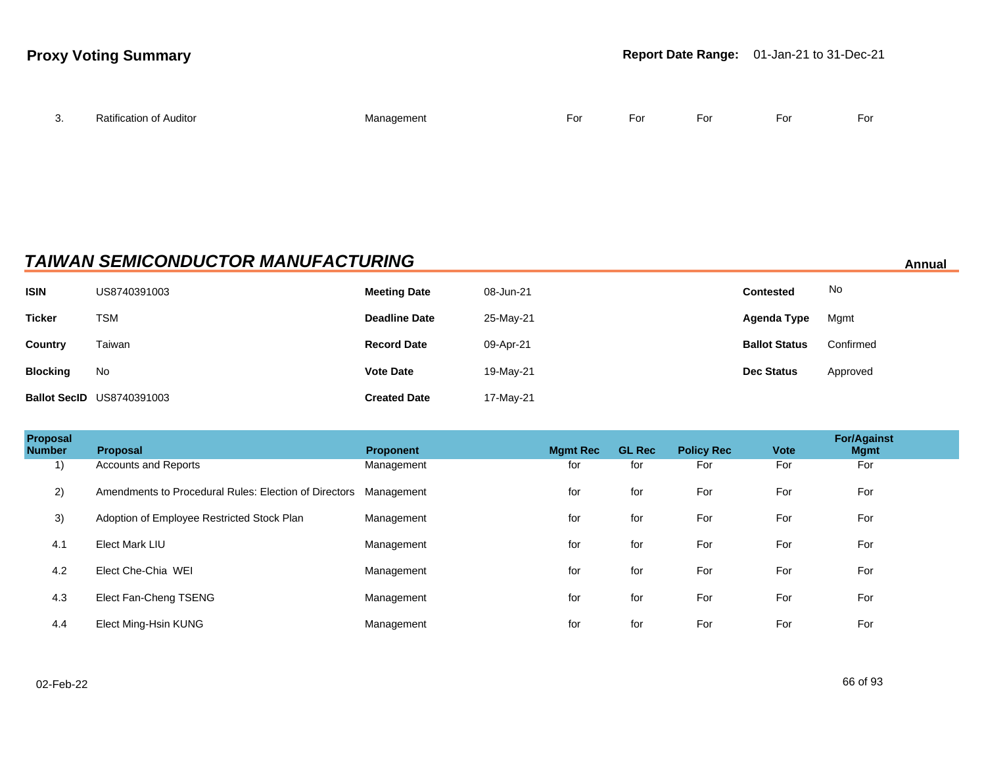| J. | <b>Ratification of Auditor</b> | Manaαement<br>$\sim$ $\sim$ | $E_{\alpha r}$<br>-υι | ∙or | ÷or | -<br>For | $F_{\text{O}}$ |
|----|--------------------------------|-----------------------------|-----------------------|-----|-----|----------|----------------|
|    |                                |                             |                       |     |     |          |                |

## **TAIWAN SEMICONDUCTOR MANUFACTURING Annual Annual Annual Annual Annual**

| <b>ISIN</b>     | US8740391003                     | <b>Meeting Date</b>  | 08-Jun-21 | <b>Contested</b>     | No        |
|-----------------|----------------------------------|----------------------|-----------|----------------------|-----------|
| <b>Ticker</b>   | TSM                              | <b>Deadline Date</b> | 25-May-21 | Agenda Type          | Mgmt      |
| <b>Country</b>  | Taiwan                           | <b>Record Date</b>   | 09-Apr-21 | <b>Ballot Status</b> | Confirmed |
| <b>Blocking</b> | No                               | <b>Vote Date</b>     | 19-May-21 | <b>Dec Status</b>    | Approved  |
|                 | <b>Ballot SecID US8740391003</b> | <b>Created Date</b>  | 17-May-21 |                      |           |

| <b>Proposal</b><br><b>Number</b> | <b>Proposal</b>                                                  | <b>Proponent</b> | <b>Mamt Rec</b> | <b>GL Rec</b> | <b>Policy Rec</b> | <b>Vote</b> | <b>For/Against</b><br><b>Mgmt</b> |  |
|----------------------------------|------------------------------------------------------------------|------------------|-----------------|---------------|-------------------|-------------|-----------------------------------|--|
| 1)                               | <b>Accounts and Reports</b>                                      | Management       | for             | for           | For               | For         | For                               |  |
| 2)                               | Amendments to Procedural Rules: Election of Directors Management |                  | for             | for           | For               | For         | For                               |  |
| 3)                               | Adoption of Employee Restricted Stock Plan                       | Management       | for             | for           | For               | For         | For                               |  |
| 4.1                              | <b>Elect Mark LIU</b>                                            | Management       | for             | for           | For               | For         | For                               |  |
| 4.2                              | Elect Che-Chia WEI                                               | Management       | for             | for           | For               | For         | For                               |  |
| 4.3                              | Elect Fan-Cheng TSENG                                            | Management       | for             | for           | For               | For         | For                               |  |
| 4.4                              | Elect Ming-Hsin KUNG                                             | Management       | for             | for           | For               | For         | For                               |  |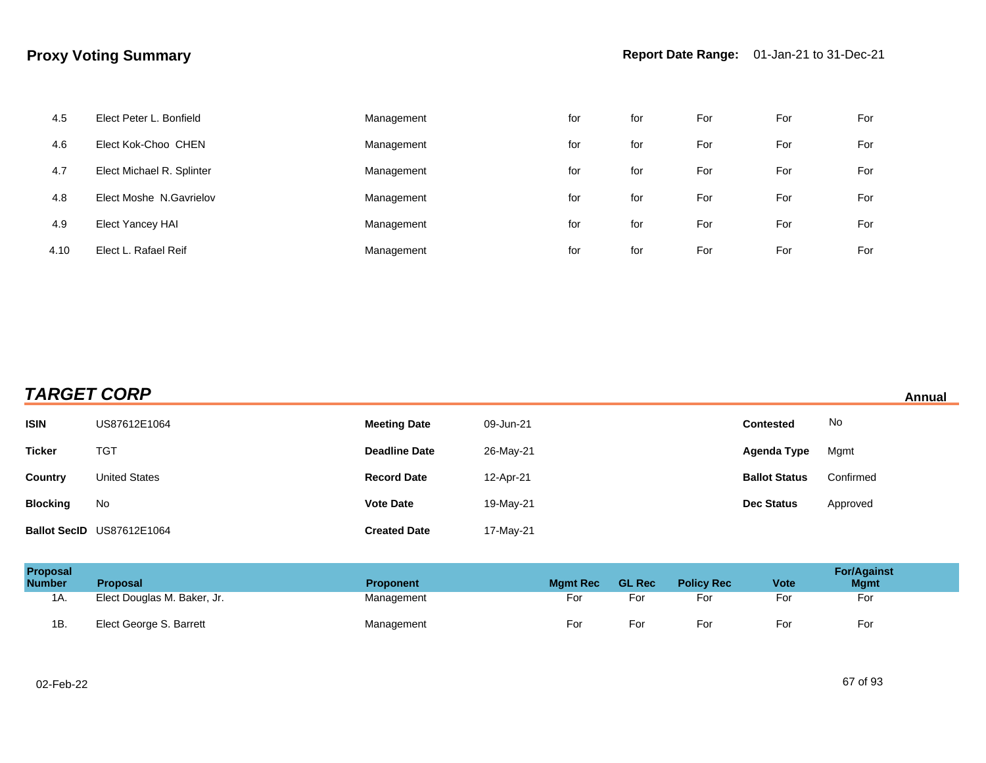| 4.5  | Elect Peter L. Bonfield   | Management | for | for | For | For | For |
|------|---------------------------|------------|-----|-----|-----|-----|-----|
| 4.6  | Elect Kok-Choo CHEN       | Management | for | for | For | For | For |
| 4.7  | Elect Michael R. Splinter | Management | for | for | For | For | For |
| 4.8  | Elect Moshe N.Gavrielov   | Management | for | for | For | For | For |
| 4.9  | Elect Yancey HAI          | Management | for | for | For | For | For |
| 4.10 | Elect L. Rafael Reif      | Management | for | for | For | For | For |

| <b>TARGET CORP</b> | Annual |
|--------------------|--------|
|                    |        |

| <b>ISIN</b>     | US87612E1064              | <b>Meeting Date</b>  | 09-Jun-21 | <b>Contested</b>     | No        |
|-----------------|---------------------------|----------------------|-----------|----------------------|-----------|
| <b>Ticker</b>   | <b>TGT</b>                | <b>Deadline Date</b> | 26-May-21 | <b>Agenda Type</b>   | Mgmt      |
| Country         | <b>United States</b>      | <b>Record Date</b>   | 12-Apr-21 | <b>Ballot Status</b> | Confirmed |
| <b>Blocking</b> | No                        | <b>Vote Date</b>     | 19-May-21 | <b>Dec Status</b>    | Approved  |
|                 | Ballot SecID US87612E1064 | <b>Created Date</b>  | 17-May-21 |                      |           |

| <b>Proposal</b><br><b>Number</b> | <b>Proposal</b>             | <b>Proponent</b> | <b>Mamt Rec</b> | <b>GL Rec</b> | <b>Policy Rec</b> | <b>Vote</b> | <b>For/Against</b><br><b>Mgmt</b> |
|----------------------------------|-----------------------------|------------------|-----------------|---------------|-------------------|-------------|-----------------------------------|
| 1A.                              | Elect Douglas M. Baker, Jr. | Management       | For             | For           | For               | For         | For                               |
| 1B                               | Elect George S. Barrett     | Management       | For             | For           | For               | For         | For                               |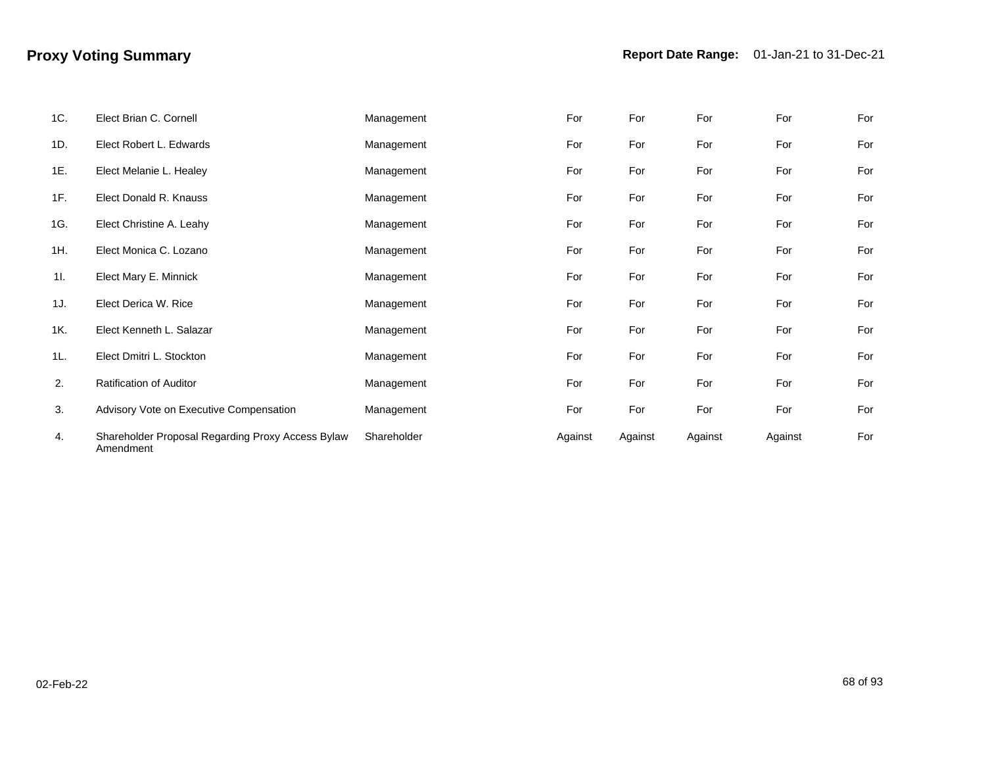| 1C. | Elect Brian C. Cornell                                         | Management  | For     | For     | For     | For     | For |
|-----|----------------------------------------------------------------|-------------|---------|---------|---------|---------|-----|
| 1D. | Elect Robert L. Edwards                                        | Management  | For     | For     | For     | For     | For |
| 1E. | Elect Melanie L. Healey                                        | Management  | For     | For     | For     | For     | For |
| 1F. | Elect Donald R. Knauss                                         | Management  | For     | For     | For     | For     | For |
| 1G. | Elect Christine A. Leahy                                       | Management  | For     | For     | For     | For     | For |
| 1H. | Elect Monica C. Lozano                                         | Management  | For     | For     | For     | For     | For |
| 11. | Elect Mary E. Minnick                                          | Management  | For     | For     | For     | For     | For |
| 1J. | Elect Derica W. Rice                                           | Management  | For     | For     | For     | For     | For |
| 1K. | Elect Kenneth L. Salazar                                       | Management  | For     | For     | For     | For     | For |
| 1L. | Elect Dmitri L. Stockton                                       | Management  | For     | For     | For     | For     | For |
| 2.  | <b>Ratification of Auditor</b>                                 | Management  | For     | For     | For     | For     | For |
| 3.  | Advisory Vote on Executive Compensation                        | Management  | For     | For     | For     | For     | For |
| 4.  | Shareholder Proposal Regarding Proxy Access Bylaw<br>Amendment | Shareholder | Against | Against | Against | Against | For |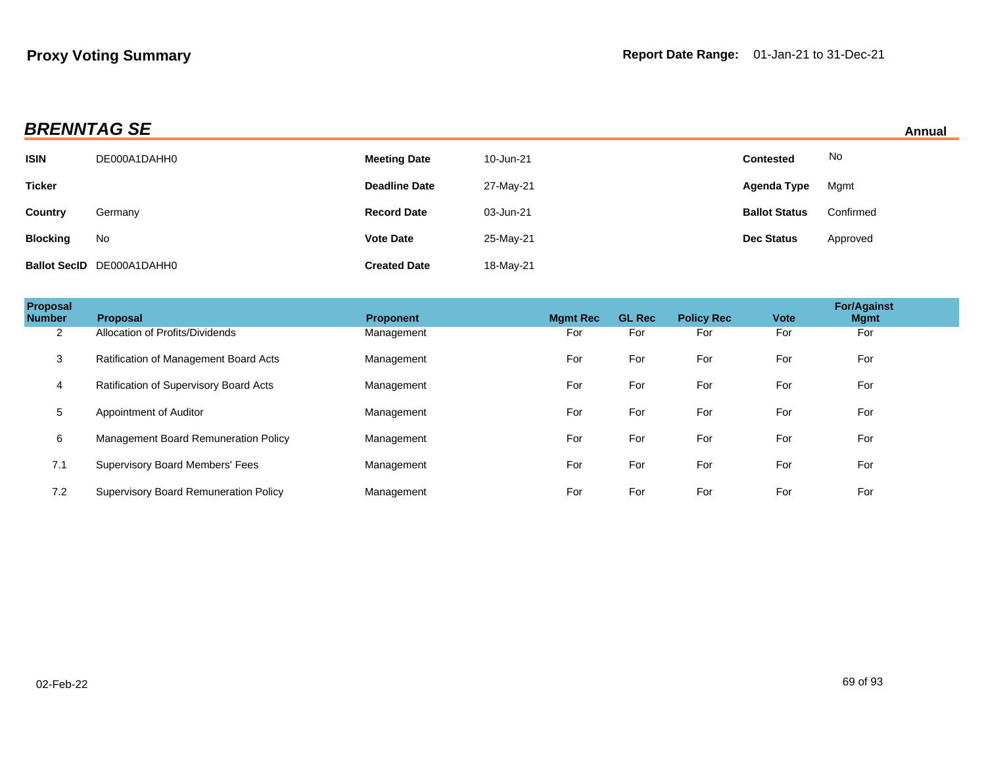| <b>BRENNTAG SE</b> | Annual |
|--------------------|--------|
|                    |        |

|  | Annual |  |
|--|--------|--|
|  |        |  |

| ______________  |                                  |                      |           |                      | <u>AUTOMO</u> |  |
|-----------------|----------------------------------|----------------------|-----------|----------------------|---------------|--|
| <b>ISIN</b>     | DE000A1DAHH0                     | <b>Meeting Date</b>  | 10-Jun-21 | <b>Contested</b>     | No            |  |
| <b>Ticker</b>   |                                  | <b>Deadline Date</b> | 27-May-21 | Agenda Type          | Mgmt          |  |
| Country         | Germany                          | <b>Record Date</b>   | 03-Jun-21 | <b>Ballot Status</b> | Confirmed     |  |
| <b>Blocking</b> | No                               | <b>Vote Date</b>     | 25-May-21 | <b>Dec Status</b>    | Approved      |  |
|                 | <b>Ballot SecID DE000A1DAHH0</b> | <b>Created Date</b>  | 18-May-21 |                      |               |  |

| Proposal<br><b>Number</b> | <b>Proposal</b>                              | <b>Proponent</b> | <b>Mgmt Rec</b> | <b>GL Rec</b> | <b>Policy Rec</b> | Vote | <b>For/Against</b><br><b>Mgmt</b> |  |
|---------------------------|----------------------------------------------|------------------|-----------------|---------------|-------------------|------|-----------------------------------|--|
| 2                         | Allocation of Profits/Dividends              | Management       | For             | For           | For               | For  | For                               |  |
| 3                         | Ratification of Management Board Acts        | Management       | For             | For           | For               | For  | For                               |  |
| 4                         | Ratification of Supervisory Board Acts       | Management       | For             | For           | For               | For  | For                               |  |
| 5                         | Appointment of Auditor                       | Management       | For             | For           | For               | For  | For                               |  |
| 6                         | Management Board Remuneration Policy         | Management       | For             | For           | For               | For  | For                               |  |
| 7.1                       | <b>Supervisory Board Members' Fees</b>       | Management       | For             | For           | For               | For  | For                               |  |
| 7.2                       | <b>Supervisory Board Remuneration Policy</b> | Management       | For             | For           | For               | For  | For                               |  |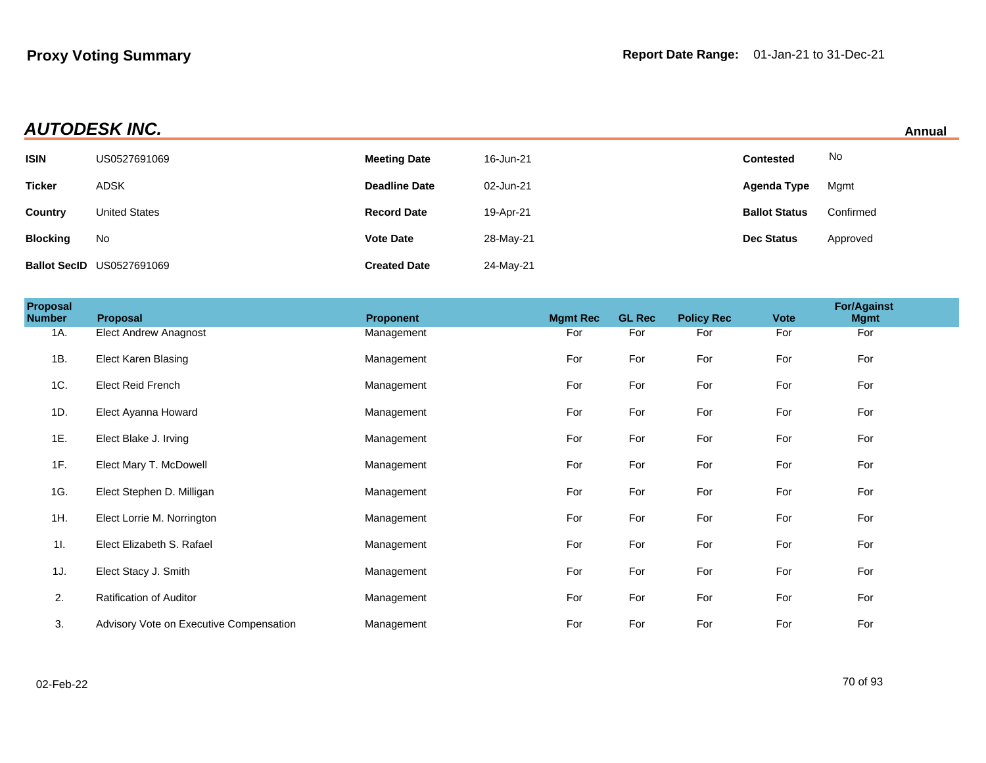| <b>AUTODESK INC.</b> | Annual |
|----------------------|--------|
|                      |        |

|  | Annual |  |
|--|--------|--|
|  |        |  |

|                 |                                  |                      |           |                      | .         |
|-----------------|----------------------------------|----------------------|-----------|----------------------|-----------|
| <b>ISIN</b>     | US0527691069                     | <b>Meeting Date</b>  | 16-Jun-21 | <b>Contested</b>     | No        |
| <b>Ticker</b>   | <b>ADSK</b>                      | <b>Deadline Date</b> | 02-Jun-21 | Agenda Type          | Mgmt      |
| Country         | <b>United States</b>             | <b>Record Date</b>   | 19-Apr-21 | <b>Ballot Status</b> | Confirmed |
| <b>Blocking</b> | No                               | <b>Vote Date</b>     | 28-May-21 | <b>Dec Status</b>    | Approved  |
|                 | <b>Ballot SecID US0527691069</b> | <b>Created Date</b>  | 24-May-21 |                      |           |

| Proposal<br><b>Number</b> | Proposal                                | Proponent  | <b>Mgmt Rec</b> | <b>GL Rec</b> | <b>Policy Rec</b> | <b>Vote</b> | <b>For/Against</b><br><b>Mgmt</b> |  |
|---------------------------|-----------------------------------------|------------|-----------------|---------------|-------------------|-------------|-----------------------------------|--|
| 1A.                       | <b>Elect Andrew Anagnost</b>            | Management | For             | For           | For               | For         | For                               |  |
| 1B.                       | <b>Elect Karen Blasing</b>              | Management | For             | For           | For               | For         | For                               |  |
| 1C.                       | Elect Reid French                       | Management | For             | For           | For               | For         | For                               |  |
| 1D.                       | Elect Ayanna Howard                     | Management | For             | For           | For               | For         | For                               |  |
| 1E.                       | Elect Blake J. Irving                   | Management | For             | For           | For               | For         | For                               |  |
| 1F.                       | Elect Mary T. McDowell                  | Management | For             | For           | For               | For         | For                               |  |
| 1G.                       | Elect Stephen D. Milligan               | Management | For             | For           | For               | For         | For                               |  |
| 1H.                       | Elect Lorrie M. Norrington              | Management | For             | For           | For               | For         | For                               |  |
| 11.                       | Elect Elizabeth S. Rafael               | Management | For             | For           | For               | For         | For                               |  |
| 1J.                       | Elect Stacy J. Smith                    | Management | For             | For           | For               | For         | For                               |  |
| 2.                        | <b>Ratification of Auditor</b>          | Management | For             | For           | For               | For         | For                               |  |
| 3.                        | Advisory Vote on Executive Compensation | Management | For             | For           | For               | For         | For                               |  |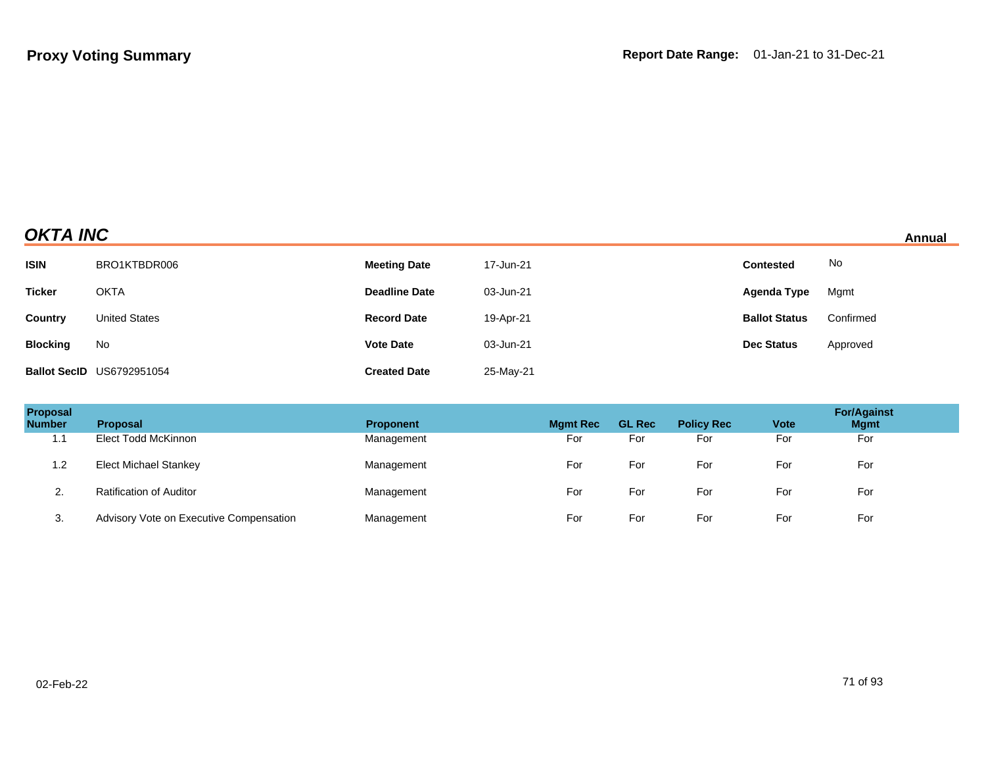## **OKTA INC** Annual

| <b>ISIN</b>     | BRO1KTBDR006                     | <b>Meeting Date</b>  | 17-Jun-21 | <b>Contested</b>     | No        |
|-----------------|----------------------------------|----------------------|-----------|----------------------|-----------|
| <b>Ticker</b>   | <b>OKTA</b>                      | <b>Deadline Date</b> | 03-Jun-21 | Agenda Type          | Mgmt      |
| <b>Country</b>  | <b>United States</b>             | <b>Record Date</b>   | 19-Apr-21 | <b>Ballot Status</b> | Confirmed |
| <b>Blocking</b> | No                               | <b>Vote Date</b>     | 03-Jun-21 | <b>Dec Status</b>    | Approved  |
|                 | <b>Ballot SecID US6792951054</b> | <b>Created Date</b>  | 25-May-21 |                      |           |

| Proposal<br><b>Number</b> | <b>Proposal</b>                         | <b>Proponent</b> | <b>Mamt Rec</b> | <b>GL Rec</b> | <b>Policy Rec</b> | <b>Vote</b> | <b>For/Against</b><br><b>Mgmt</b> |
|---------------------------|-----------------------------------------|------------------|-----------------|---------------|-------------------|-------------|-----------------------------------|
| 1.1                       | Elect Todd McKinnon                     | Management       | For             | For           | For               | For         | For                               |
| 1.2                       | <b>Elect Michael Stankey</b>            | Management       | For             | For           | For               | For         | For                               |
| ۷.                        | <b>Ratification of Auditor</b>          | Management       | For             | For           | For               | For         | For                               |
| 3.                        | Advisory Vote on Executive Compensation | Management       | For             | For           | For               | For         | For                               |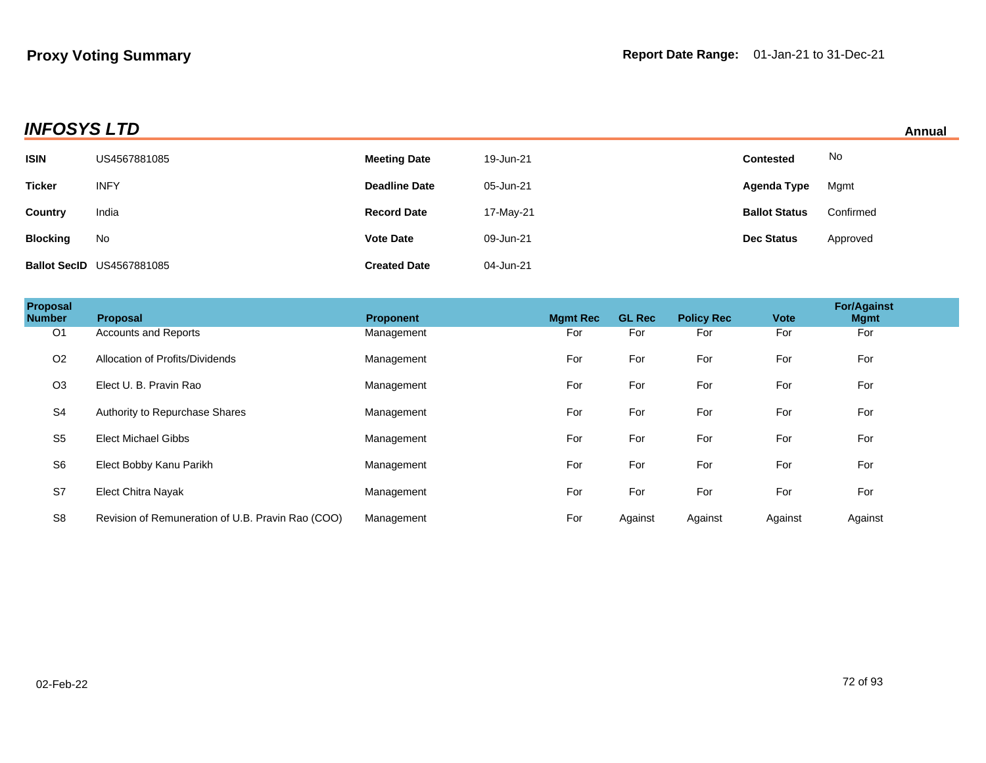## **INFOSYS LTD**

|  | Annual |  |
|--|--------|--|
|  |        |  |

|                 |                                  |                      |           |                      | .         |
|-----------------|----------------------------------|----------------------|-----------|----------------------|-----------|
| <b>ISIN</b>     | US4567881085                     | <b>Meeting Date</b>  | 19-Jun-21 | <b>Contested</b>     | No        |
| <b>Ticker</b>   | <b>INFY</b>                      | <b>Deadline Date</b> | 05-Jun-21 | Agenda Type          | Mgmt      |
| Country         | India                            | <b>Record Date</b>   | 17-May-21 | <b>Ballot Status</b> | Confirmed |
| <b>Blocking</b> | No                               | <b>Vote Date</b>     | 09-Jun-21 | <b>Dec Status</b>    | Approved  |
|                 | <b>Ballot SecID US4567881085</b> | <b>Created Date</b>  | 04-Jun-21 |                      |           |

| Proposal<br><b>Number</b> | <b>Proposal</b>                                   | <b>Proponent</b> | <b>Mgmt Rec</b> | <b>GL Rec</b> | <b>Policy Rec</b> | <b>Vote</b> | <b>For/Against</b><br><b>Mgmt</b> |  |
|---------------------------|---------------------------------------------------|------------------|-----------------|---------------|-------------------|-------------|-----------------------------------|--|
| O <sub>1</sub>            | <b>Accounts and Reports</b>                       | Management       | For             | For           | For               | For         | For                               |  |
| O <sub>2</sub>            | Allocation of Profits/Dividends                   | Management       | For             | For           | For               | For         | For                               |  |
| O <sub>3</sub>            | Elect U. B. Pravin Rao                            | Management       | For             | For           | For               | For         | For                               |  |
| S <sub>4</sub>            | Authority to Repurchase Shares                    | Management       | For             | For           | For               | For         | For                               |  |
| S <sub>5</sub>            | <b>Elect Michael Gibbs</b>                        | Management       | For             | For           | For               | For         | For                               |  |
| S <sub>6</sub>            | Elect Bobby Kanu Parikh                           | Management       | For             | For           | For               | For         | For                               |  |
| S7                        | <b>Elect Chitra Nayak</b>                         | Management       | For             | For           | For               | For         | For                               |  |
| S <sub>8</sub>            | Revision of Remuneration of U.B. Pravin Rao (COO) | Management       | For             | Against       | Against           | Against     | Against                           |  |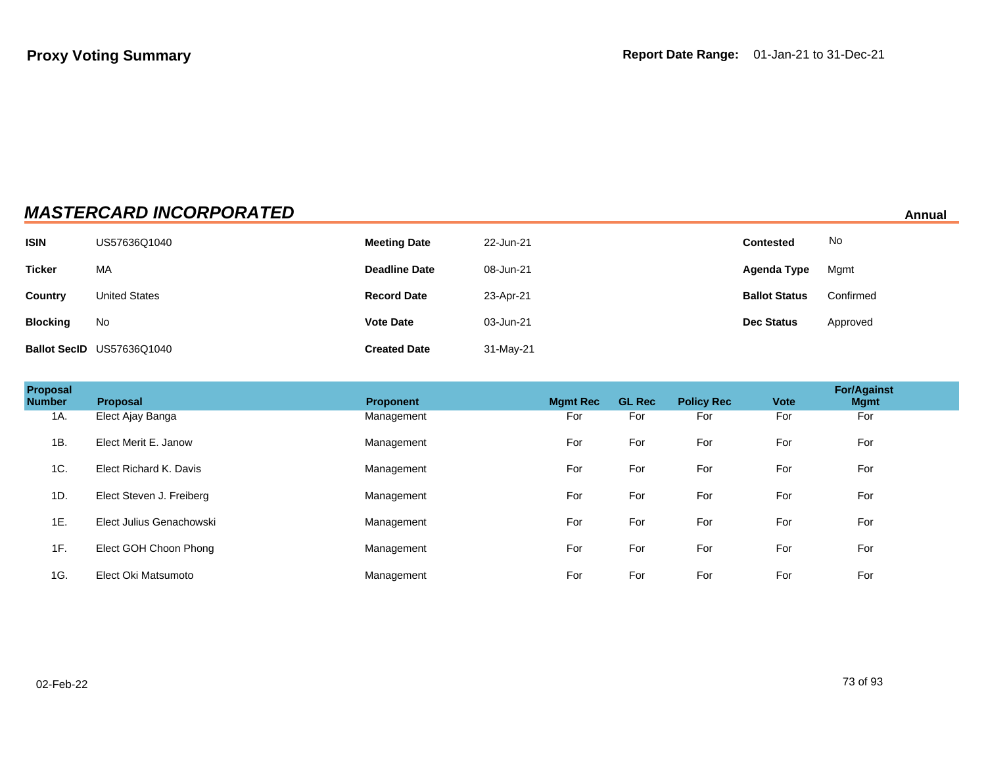| <b>MASTERCARD INCORPORATED</b><br>Annual |                           |                      |           |                      |           |  |  |
|------------------------------------------|---------------------------|----------------------|-----------|----------------------|-----------|--|--|
| <b>ISIN</b>                              | US57636Q1040              | <b>Meeting Date</b>  | 22-Jun-21 | <b>Contested</b>     | No        |  |  |
| <b>Ticker</b>                            | МA                        | <b>Deadline Date</b> | 08-Jun-21 | Agenda Type          | Mgmt      |  |  |
| Country                                  | <b>United States</b>      | <b>Record Date</b>   | 23-Apr-21 | <b>Ballot Status</b> | Confirmed |  |  |
| <b>Blocking</b>                          | No                        | <b>Vote Date</b>     | 03-Jun-21 | <b>Dec Status</b>    | Approved  |  |  |
|                                          | Ballot SecID US57636Q1040 | <b>Created Date</b>  | 31-May-21 |                      |           |  |  |

| Proposal<br><b>Number</b> | <b>Proposal</b>          | <b>Proponent</b> | <b>Mamt Rec</b> | <b>GL Rec</b> | <b>Policy Rec</b> | <b>Vote</b> | <b>For/Against</b><br><b>Mgmt</b> |  |
|---------------------------|--------------------------|------------------|-----------------|---------------|-------------------|-------------|-----------------------------------|--|
| 1A.                       | Elect Ajay Banga         | Management       | For             | For           | For               | For         | For                               |  |
| 1B.                       | Elect Merit E. Janow     | Management       | For             | For           | For               | For         | For                               |  |
| 1C.                       | Elect Richard K. Davis   | Management       | For             | For           | For               | For         | For                               |  |
| 1D.                       | Elect Steven J. Freiberg | Management       | For             | For           | For               | For         | For                               |  |
| 1E.                       | Elect Julius Genachowski | Management       | For             | For           | For               | For         | For                               |  |
| 1F.                       | Elect GOH Choon Phong    | Management       | For             | For           | For               | For         | For                               |  |
| 1G.                       | Elect Oki Matsumoto      | Management       | For             | For           | For               | For         | For                               |  |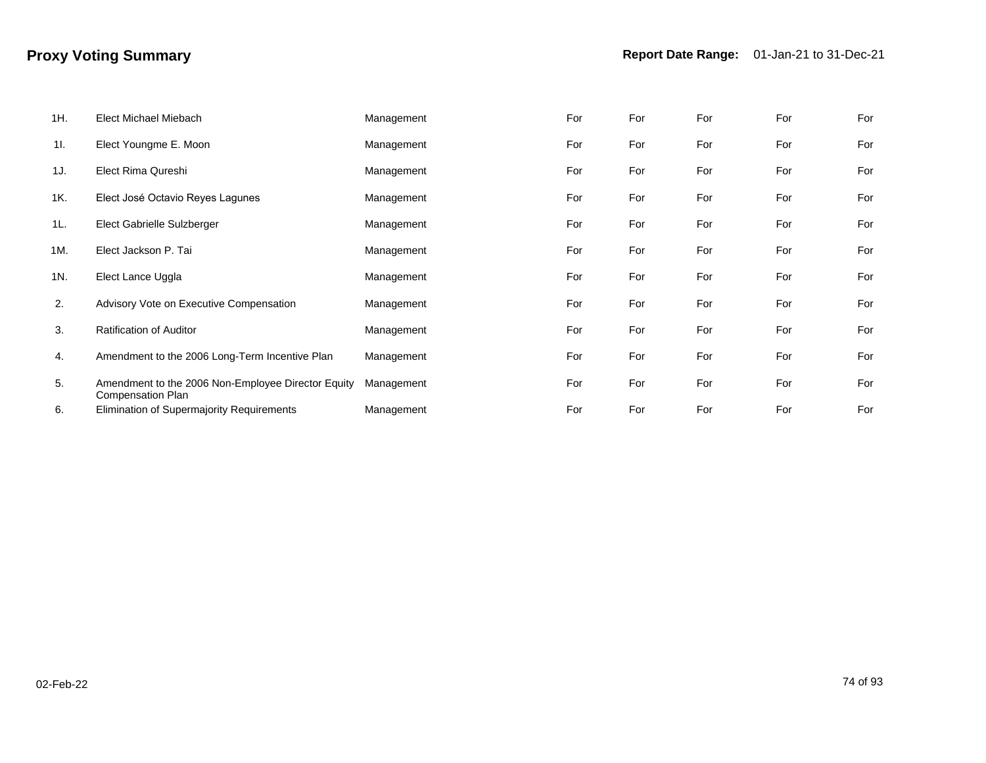| 1H. | Elect Michael Miebach                                                   | Management | For | For | For | For | For |
|-----|-------------------------------------------------------------------------|------------|-----|-----|-----|-----|-----|
| 11. | Elect Youngme E. Moon                                                   | Management | For | For | For | For | For |
| 1J. | Elect Rima Qureshi                                                      | Management | For | For | For | For | For |
| 1K. | Elect José Octavio Reyes Lagunes                                        | Management | For | For | For | For | For |
| 1L. | Elect Gabrielle Sulzberger                                              | Management | For | For | For | For | For |
| 1M. | Elect Jackson P. Tai                                                    | Management | For | For | For | For | For |
| 1N. | Elect Lance Uggla                                                       | Management | For | For | For | For | For |
| 2.  | Advisory Vote on Executive Compensation                                 | Management | For | For | For | For | For |
| 3.  | <b>Ratification of Auditor</b>                                          | Management | For | For | For | For | For |
| 4.  | Amendment to the 2006 Long-Term Incentive Plan                          | Management | For | For | For | For | For |
| 5.  | Amendment to the 2006 Non-Employee Director Equity<br>Compensation Plan | Management | For | For | For | For | For |
| 6.  | Elimination of Supermajority Requirements                               | Management | For | For | For | For | For |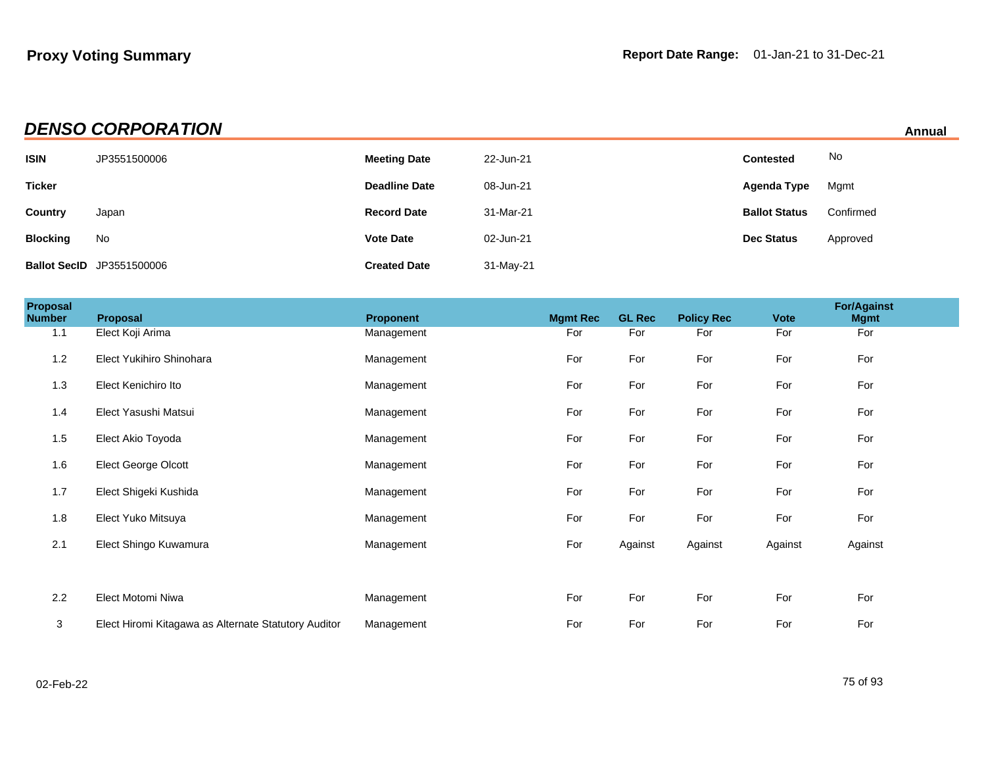## **DENSO CORPORATION Annual**

| <b>ISIN</b>     | JP3551500006                     | <b>Meeting Date</b>  | 22-Jun-21 | <b>Contested</b>     | No        |
|-----------------|----------------------------------|----------------------|-----------|----------------------|-----------|
| <b>Ticker</b>   |                                  | <b>Deadline Date</b> | 08-Jun-21 | Agenda Type          | Mgmt      |
| Country         | Japan                            | <b>Record Date</b>   | 31-Mar-21 | <b>Ballot Status</b> | Confirmed |
| <b>Blocking</b> | No                               | <b>Vote Date</b>     | 02-Jun-21 | <b>Dec Status</b>    | Approved  |
|                 | <b>Ballot SecID</b> JP3551500006 | <b>Created Date</b>  | 31-May-21 |                      |           |

| <b>Proposal</b><br><b>Number</b> | Proposal                                             | Proponent  | <b>Mgmt Rec</b> | <b>GL Rec</b> | <b>Policy Rec</b> | <b>Vote</b> | <b>For/Against</b><br><b>Mgmt</b> |  |
|----------------------------------|------------------------------------------------------|------------|-----------------|---------------|-------------------|-------------|-----------------------------------|--|
| 1.1                              | Elect Koji Arima                                     | Management | For             | For           | For               | For         | For                               |  |
| 1.2                              | Elect Yukihiro Shinohara                             | Management | For             | For           | For               | For         | For                               |  |
| 1.3                              | Elect Kenichiro Ito                                  | Management | For             | For           | For               | For         | For                               |  |
| 1.4                              | Elect Yasushi Matsui                                 | Management | For             | For           | For               | For         | For                               |  |
| 1.5                              | Elect Akio Toyoda                                    | Management | For             | For           | For               | For         | For                               |  |
| 1.6                              | Elect George Olcott                                  | Management | For             | For           | For               | For         | For                               |  |
| 1.7                              | Elect Shigeki Kushida                                | Management | For             | For           | For               | For         | For                               |  |
| 1.8                              | Elect Yuko Mitsuya                                   | Management | For             | For           | For               | For         | For                               |  |
| 2.1                              | Elect Shingo Kuwamura                                | Management | For             | Against       | Against           | Against     | Against                           |  |
|                                  |                                                      |            |                 |               |                   |             |                                   |  |
| 2.2                              | Elect Motomi Niwa                                    | Management | For             | For           | For               | For         | For                               |  |
| $\mathbf{3}$                     | Elect Hiromi Kitagawa as Alternate Statutory Auditor | Management | For             | For           | For               | For         | For                               |  |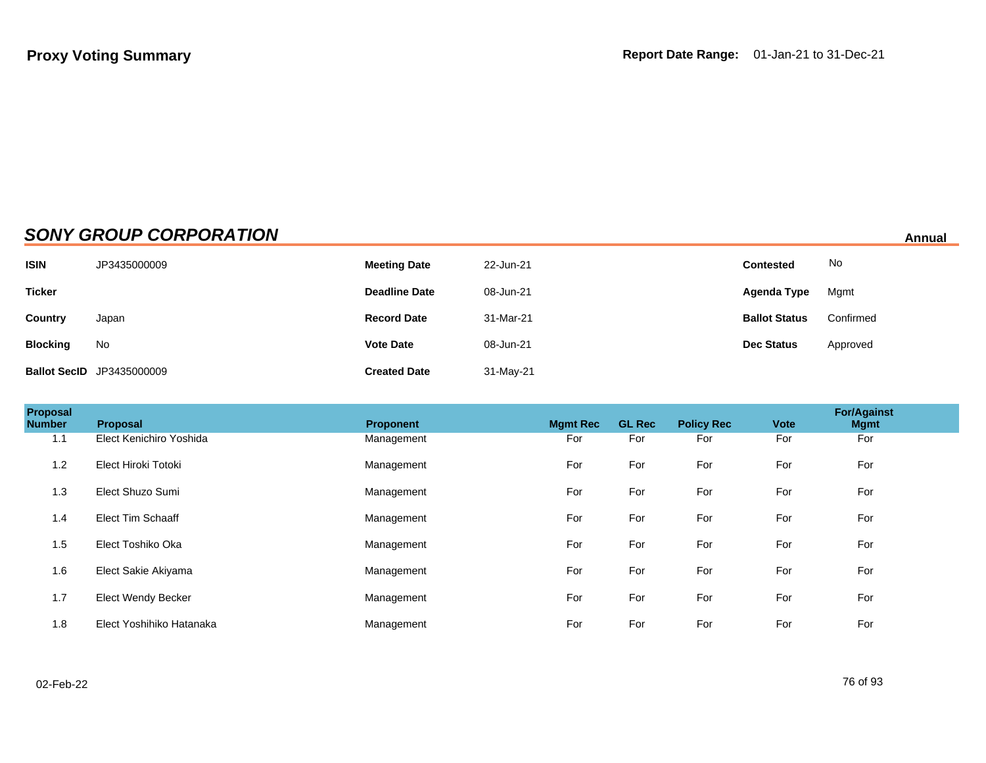## **SONY GROUP CORPORATION Annual**

| <b>ISIN</b>     | JP3435000009                     | <b>Meeting Date</b>  | 22-Jun-21 | Contested            | No        |
|-----------------|----------------------------------|----------------------|-----------|----------------------|-----------|
| <b>Ticker</b>   |                                  | <b>Deadline Date</b> | 08-Jun-21 | Agenda Type          | Mgmt      |
| Country         | Japan                            | <b>Record Date</b>   | 31-Mar-21 | <b>Ballot Status</b> | Confirmed |
| <b>Blocking</b> | No                               | <b>Vote Date</b>     | 08-Jun-21 | <b>Dec Status</b>    | Approved  |
|                 | <b>Ballot SecID</b> JP3435000009 | <b>Created Date</b>  | 31-May-21 |                      |           |

| Proposal<br><b>Number</b> | Proposal                  | <b>Proponent</b> | <b>Mgmt Rec</b> | <b>GL Rec</b> | <b>Policy Rec</b> | <b>Vote</b> | <b>For/Against</b><br><b>Mgmt</b> |
|---------------------------|---------------------------|------------------|-----------------|---------------|-------------------|-------------|-----------------------------------|
| 1.1                       | Elect Kenichiro Yoshida   | Management       | For             | For           | For               | For         | For                               |
| 1.2                       | Elect Hiroki Totoki       | Management       | For             | For           | For               | For         | For                               |
| 1.3                       | Elect Shuzo Sumi          | Management       | For             | For           | For               | For         | For                               |
| 1.4                       | <b>Elect Tim Schaaff</b>  | Management       | For             | For           | For               | For         | For                               |
| 1.5                       | Elect Toshiko Oka         | Management       | For             | For           | For               | For         | For                               |
| 1.6                       | Elect Sakie Akiyama       | Management       | For             | For           | For               | For         | For                               |
| 1.7                       | <b>Elect Wendy Becker</b> | Management       | For             | For           | For               | For         | For                               |
| 1.8                       | Elect Yoshihiko Hatanaka  | Management       | For             | For           | For               | For         | For                               |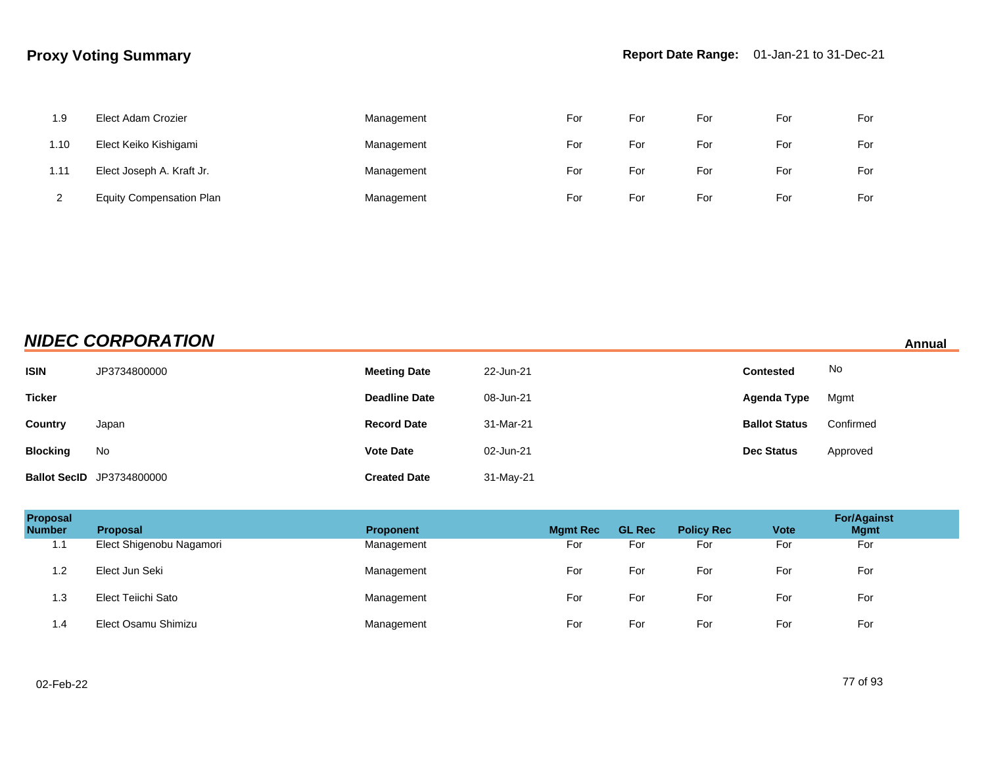| 1.9  | Elect Adam Crozier              | Management | For | For | For | For | For |
|------|---------------------------------|------------|-----|-----|-----|-----|-----|
| 1.10 | Elect Keiko Kishigami           | Management | For | For | For | For | For |
| 1.11 | Elect Joseph A. Kraft Jr.       | Management | For | For | For | For | For |
|      | <b>Equity Compensation Plan</b> | Management | For | For | For | For | For |

## **NIDEC CORPORATION Annual**

| <b>ISIN</b>     | JP3734800000                     | <b>Meeting Date</b>  | 22-Jun-21 | <b>Contested</b>     | No        |
|-----------------|----------------------------------|----------------------|-----------|----------------------|-----------|
| <b>Ticker</b>   |                                  | <b>Deadline Date</b> | 08-Jun-21 | Agenda Type          | Mgmt      |
| Country         | Japan                            | <b>Record Date</b>   | 31-Mar-21 | <b>Ballot Status</b> | Confirmed |
| <b>Blocking</b> | No                               | <b>Vote Date</b>     | 02-Jun-21 | <b>Dec Status</b>    | Approved  |
|                 | <b>Ballot SecID</b> JP3734800000 | <b>Created Date</b>  | 31-May-21 |                      |           |

| Proposal<br><b>Number</b> | <b>Proposal</b>          | <b>Proponent</b> | <b>Mgmt Rec</b> | <b>GL Rec</b> | <b>Policy Rec</b> | <b>Vote</b> | <b>For/Against</b><br><b>Mgmt</b> |
|---------------------------|--------------------------|------------------|-----------------|---------------|-------------------|-------------|-----------------------------------|
| 1.1                       | Elect Shigenobu Nagamori | Management       | For             | For           | For               | For         | For                               |
| 1.2                       | Elect Jun Seki           | Management       | For             | For           | For               | For         | For                               |
| 1.3                       | Elect Teiichi Sato       | Management       | For             | For           | For               | For         | For                               |
| 1.4                       | Elect Osamu Shimizu      | Management       | For             | For           | For               | For         | For                               |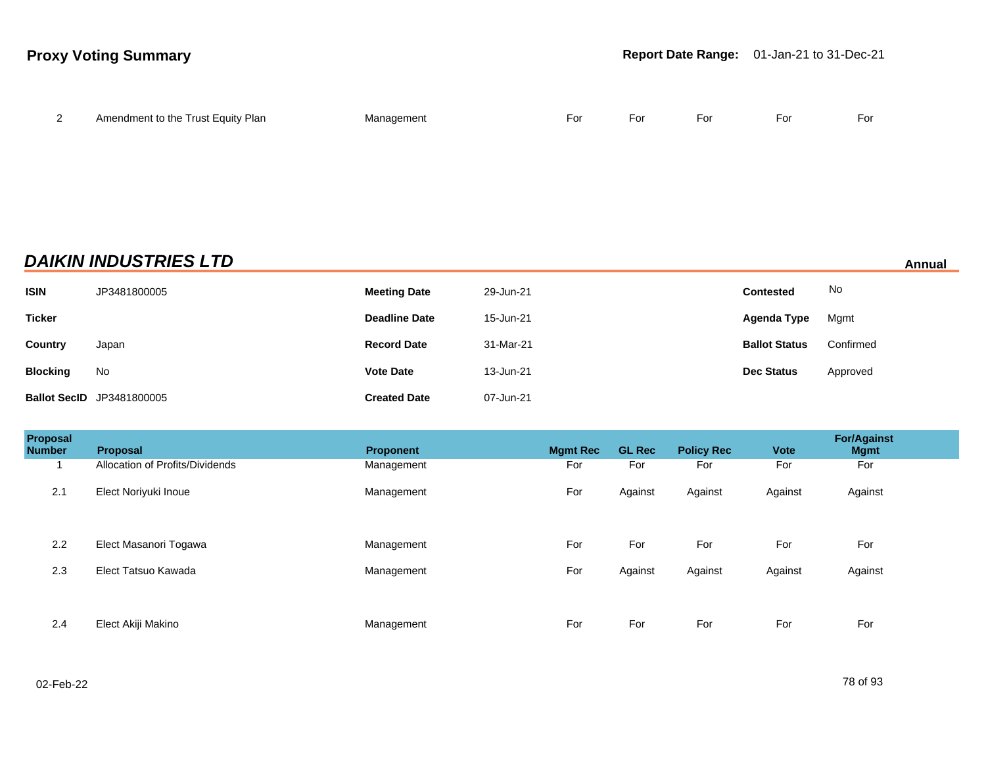| <u>_</u> | Amendment to the Trust Equity Plan | Management | For | For | For | For | For |
|----------|------------------------------------|------------|-----|-----|-----|-----|-----|
|          |                                    |            |     |     |     |     |     |

## **DAIKIN INDUSTRIES LTD Annual**

| <b>ISIN</b>     | JP3481800005                     | <b>Meeting Date</b>  | 29-Jun-21 | <b>Contested</b>     | No        |
|-----------------|----------------------------------|----------------------|-----------|----------------------|-----------|
| <b>Ticker</b>   |                                  | <b>Deadline Date</b> | 15-Jun-21 | Agenda Type          | Mgmt      |
| Country         | Japan                            | <b>Record Date</b>   | 31-Mar-21 | <b>Ballot Status</b> | Confirmed |
| <b>Blocking</b> | No                               | <b>Vote Date</b>     | 13-Jun-21 | <b>Dec Status</b>    | Approved  |
|                 | <b>Ballot SecID</b> JP3481800005 | <b>Created Date</b>  | 07-Jun-21 |                      |           |

| Proposal<br><b>Number</b> | <b>Proposal</b>                 | <b>Proponent</b> | <b>Mgmt Rec</b> | <b>GL Rec</b> | <b>Policy Rec</b> | <b>Vote</b> | <b>For/Against</b><br><b>Mgmt</b> |
|---------------------------|---------------------------------|------------------|-----------------|---------------|-------------------|-------------|-----------------------------------|
|                           | Allocation of Profits/Dividends | Management       | For             | For           | For               | For         | For                               |
| 2.1                       | Elect Noriyuki Inoue            | Management       | For             | Against       | Against           | Against     | Against                           |
| 2.2                       | Elect Masanori Togawa           | Management       | For             | For           | For               | For         | For                               |
| 2.3                       | Elect Tatsuo Kawada             | Management       | For             | Against       | Against           | Against     | Against                           |
| 2.4                       | Elect Akiji Makino              | Management       | For             | For           | For               | For         | For                               |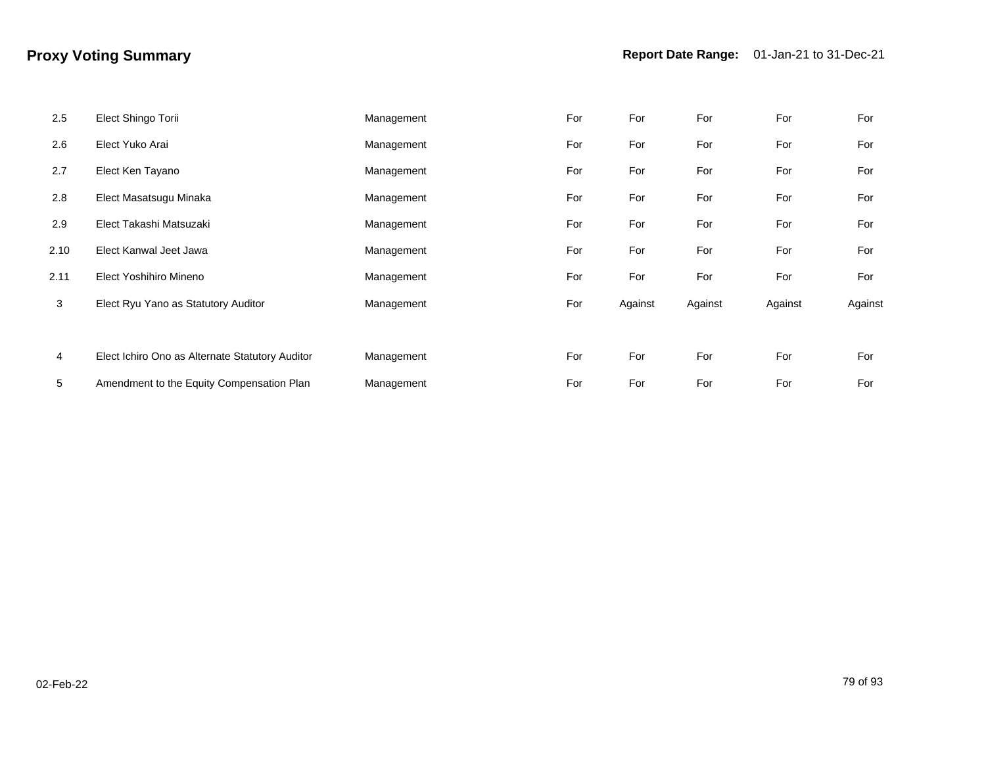| 2.5  | Elect Shingo Torii                              | Management | For | For     | For     | For     | For     |
|------|-------------------------------------------------|------------|-----|---------|---------|---------|---------|
| 2.6  | Elect Yuko Arai                                 | Management | For | For     | For     | For     | For     |
| 2.7  | Elect Ken Tayano                                | Management | For | For     | For     | For     | For     |
| 2.8  | Elect Masatsugu Minaka                          | Management | For | For     | For     | For     | For     |
| 2.9  | Elect Takashi Matsuzaki                         | Management | For | For     | For     | For     | For     |
| 2.10 | Elect Kanwal Jeet Jawa                          | Management | For | For     | For     | For     | For     |
| 2.11 | Elect Yoshihiro Mineno                          | Management | For | For     | For     | For     | For     |
| 3    | Elect Ryu Yano as Statutory Auditor             | Management | For | Against | Against | Against | Against |
|      |                                                 |            |     |         |         |         |         |
| 4    | Elect Ichiro Ono as Alternate Statutory Auditor | Management | For | For     | For     | For     | For     |
| 5    | Amendment to the Equity Compensation Plan       | Management | For | For     | For     | For     | For     |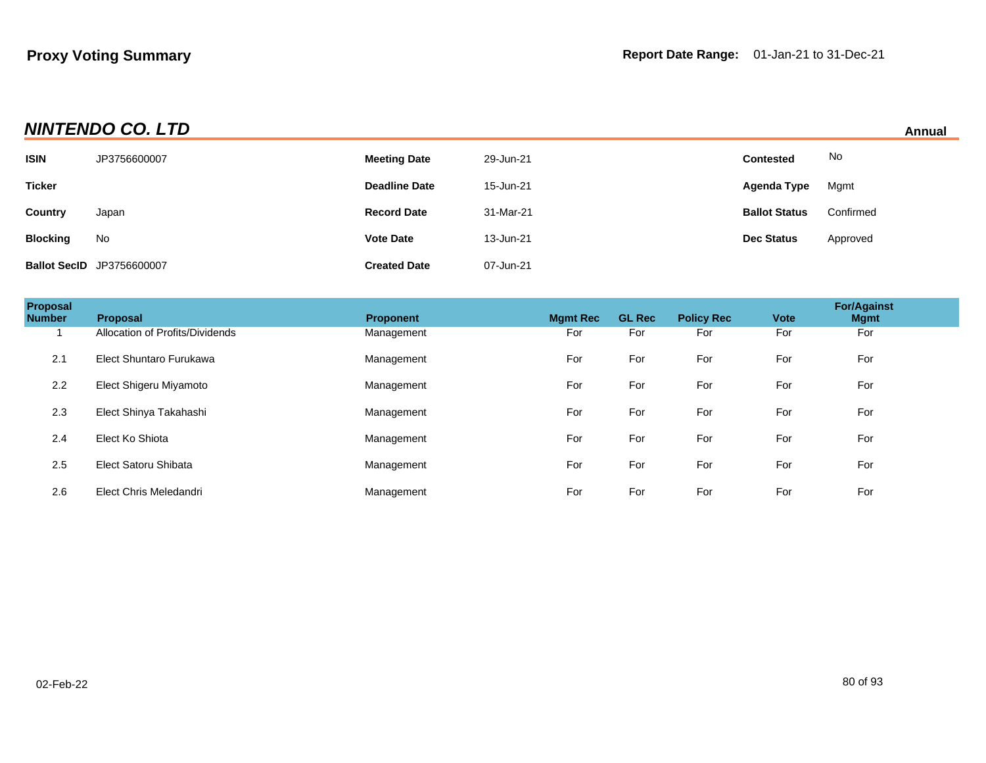## **NINTENDO CO. LTD Annual**

|                 |                                  |                      |           |                      | --------- |
|-----------------|----------------------------------|----------------------|-----------|----------------------|-----------|
| ISIN            | JP3756600007                     | <b>Meeting Date</b>  | 29-Jun-21 | <b>Contested</b>     | No        |
| <b>Ticker</b>   |                                  | <b>Deadline Date</b> | 15-Jun-21 | Agenda Type          | Mgmt      |
| Country         | Japan                            | <b>Record Date</b>   | 31-Mar-21 | <b>Ballot Status</b> | Confirmed |
| <b>Blocking</b> | No                               | <b>Vote Date</b>     | 13-Jun-21 | <b>Dec Status</b>    | Approved  |
|                 | <b>Ballot SecID JP3756600007</b> | <b>Created Date</b>  | 07-Jun-21 |                      |           |

| Proposal<br><b>Number</b> | <b>Proposal</b>                 | <b>Proponent</b> | <b>Mgmt Rec</b> | <b>GL Rec</b> | <b>Policy Rec</b> | <b>Vote</b> | <b>For/Against</b><br><b>Mgmt</b> |  |
|---------------------------|---------------------------------|------------------|-----------------|---------------|-------------------|-------------|-----------------------------------|--|
|                           | Allocation of Profits/Dividends | Management       | For             | For           | For               | For         | For                               |  |
| 2.1                       | Elect Shuntaro Furukawa         | Management       | For             | For           | For               | For         | For                               |  |
| 2.2                       | Elect Shigeru Miyamoto          | Management       | For             | For           | For               | For         | For                               |  |
| 2.3                       | Elect Shinya Takahashi          | Management       | For             | For           | For               | For         | For                               |  |
| 2.4                       | Elect Ko Shiota                 | Management       | For             | For           | For               | For         | For                               |  |
| 2.5                       | Elect Satoru Shibata            | Management       | For             | For           | For               | For         | For                               |  |
| 2.6                       | Elect Chris Meledandri          | Management       | For             | For           | For               | For         | For                               |  |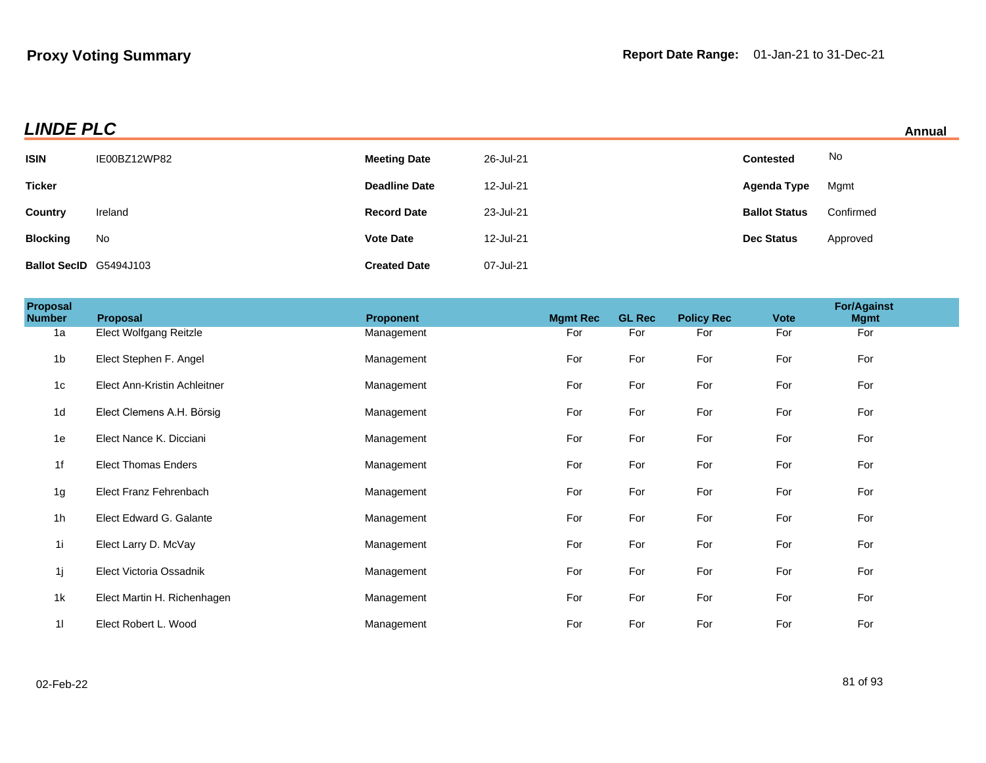|  |  | Annual |  |
|--|--|--------|--|
|  |  |        |  |

| <b>LINDE PLC</b><br>Annual |              |                      |           |                      |           |  |
|----------------------------|--------------|----------------------|-----------|----------------------|-----------|--|
| <b>ISIN</b>                | IE00BZ12WP82 | <b>Meeting Date</b>  | 26-Jul-21 | <b>Contested</b>     | No        |  |
| <b>Ticker</b>              |              | <b>Deadline Date</b> | 12-Jul-21 | Agenda Type          | Mgmt      |  |
| Country                    | Ireland      | <b>Record Date</b>   | 23-Jul-21 | <b>Ballot Status</b> | Confirmed |  |
| <b>Blocking</b>            | No           | <b>Vote Date</b>     | 12-Jul-21 | <b>Dec Status</b>    | Approved  |  |
| Ballot SecID G5494J103     |              | <b>Created Date</b>  | 07-Jul-21 |                      |           |  |

| Proposal<br><b>Number</b> | Proposal                     | <b>Proponent</b> | <b>Mgmt Rec</b> | <b>GL Rec</b> | <b>Policy Rec</b> | <b>Vote</b> | <b>For/Against</b><br><b>Mgmt</b> |  |
|---------------------------|------------------------------|------------------|-----------------|---------------|-------------------|-------------|-----------------------------------|--|
| 1a                        | Elect Wolfgang Reitzle       | Management       | For             | For           | For               | For         | For                               |  |
| 1 <sub>b</sub>            | Elect Stephen F. Angel       | Management       | For             | For           | For               | For         | For                               |  |
| 1 <sub>c</sub>            | Elect Ann-Kristin Achleitner | Management       | For             | For           | For               | For         | For                               |  |
| 1 <sub>d</sub>            | Elect Clemens A.H. Börsig    | Management       | For             | For           | For               | For         | For                               |  |
| 1e                        | Elect Nance K. Dicciani      | Management       | For             | For           | For               | For         | For                               |  |
| 1f                        | <b>Elect Thomas Enders</b>   | Management       | For             | For           | For               | For         | For                               |  |
| 1g                        | Elect Franz Fehrenbach       | Management       | For             | For           | For               | For         | For                               |  |
| 1 <sub>h</sub>            | Elect Edward G. Galante      | Management       | For             | For           | For               | For         | For                               |  |
| 11                        | Elect Larry D. McVay         | Management       | For             | For           | For               | For         | For                               |  |
| 1j                        | Elect Victoria Ossadnik      | Management       | For             | For           | For               | For         | For                               |  |
| 1k                        | Elect Martin H. Richenhagen  | Management       | For             | For           | For               | For         | For                               |  |
| 11                        | Elect Robert L. Wood         | Management       | For             | For           | For               | For         | For                               |  |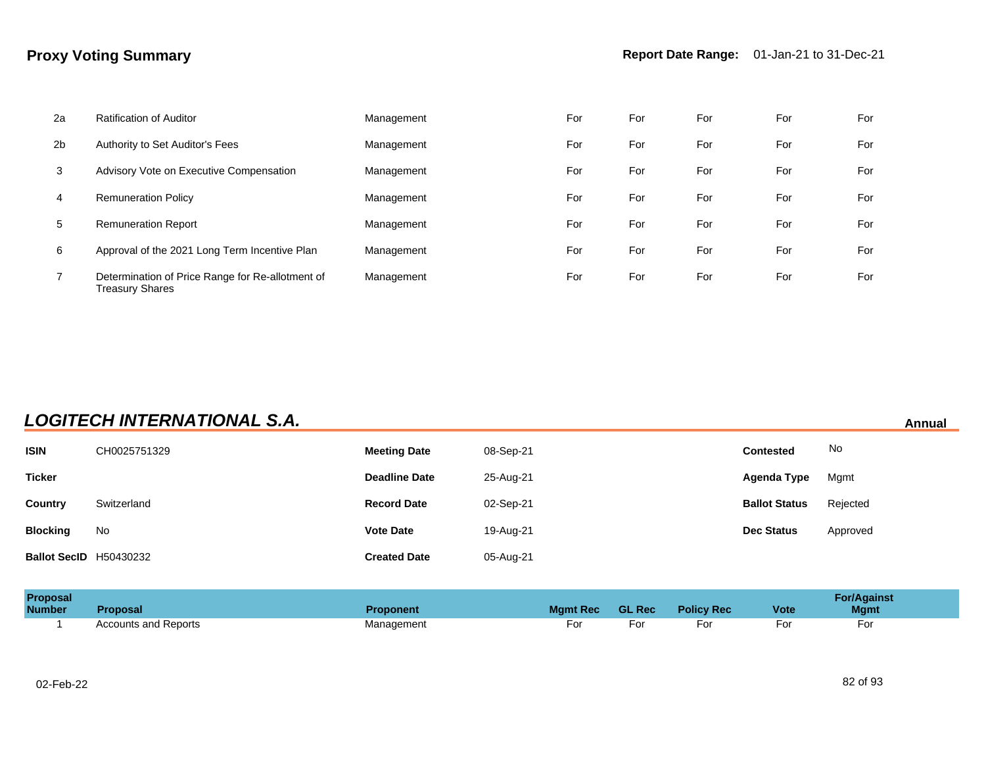| 2a             | <b>Ratification of Auditor</b>                                      | Management | For | For | For | For | For |
|----------------|---------------------------------------------------------------------|------------|-----|-----|-----|-----|-----|
| 2 <sub>b</sub> | Authority to Set Auditor's Fees                                     | Management | For | For | For | For | For |
| 3              | Advisory Vote on Executive Compensation                             | Management | For | For | For | For | For |
| 4              | <b>Remuneration Policy</b>                                          | Management | For | For | For | For | For |
| 5              | <b>Remuneration Report</b>                                          | Management | For | For | For | For | For |
| 6              | Approval of the 2021 Long Term Incentive Plan                       | Management | For | For | For | For | For |
| $\overline{7}$ | Determination of Price Range for Re-allotment of<br>Treasury Shares | Management | For | For | For | For | For |

## **LOGITECH INTERNATIONAL S.A. Annual**

| <b>ISIN</b>            | CH0025751329 | <b>Meeting Date</b>  | 08-Sep-21 | <b>Contested</b>     | No       |
|------------------------|--------------|----------------------|-----------|----------------------|----------|
| <b>Ticker</b>          |              | <b>Deadline Date</b> | 25-Aug-21 | Agenda Type          | Mgmt     |
| Country                | Switzerland  | <b>Record Date</b>   | 02-Sep-21 | <b>Ballot Status</b> | Rejected |
| <b>Blocking</b>        | No           | <b>Vote Date</b>     | 19-Aug-21 | <b>Dec Status</b>    | Approved |
| Ballot SecID H50430232 |              | <b>Created Date</b>  | 05-Aug-21 |                      |          |

| Proposal      |                      |            |                 |               |                   |             | For/Against |
|---------------|----------------------|------------|-----------------|---------------|-------------------|-------------|-------------|
| <b>Number</b> | <b>Proposal</b>      | Proponent  | <b>Mamt Rec</b> | <b>GL Rec</b> | <b>Policy Rec</b> | <b>Vote</b> | <b>Mgmt</b> |
|               | Accounts and Reports | Management | For             | ⊦or           | Fol               | For         | For         |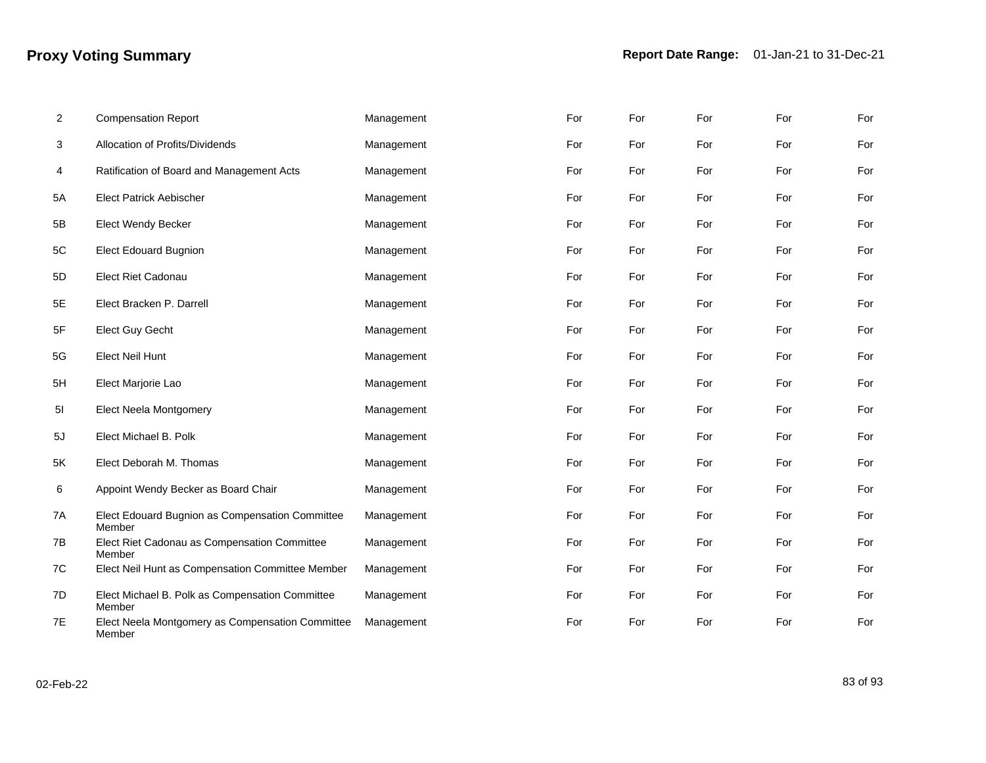| 2  | <b>Compensation Report</b>                                 | Management | For | For | For | For | For |
|----|------------------------------------------------------------|------------|-----|-----|-----|-----|-----|
| 3  | Allocation of Profits/Dividends                            | Management | For | For | For | For | For |
| 4  | Ratification of Board and Management Acts                  | Management | For | For | For | For | For |
| 5A | <b>Elect Patrick Aebischer</b>                             | Management | For | For | For | For | For |
| 5B | <b>Elect Wendy Becker</b>                                  | Management | For | For | For | For | For |
| 5C | <b>Elect Edouard Bugnion</b>                               | Management | For | For | For | For | For |
| 5D | Elect Riet Cadonau                                         | Management | For | For | For | For | For |
| 5E | Elect Bracken P. Darrell                                   | Management | For | For | For | For | For |
| 5F | <b>Elect Guy Gecht</b>                                     | Management | For | For | For | For | For |
| 5G | <b>Elect Neil Hunt</b>                                     | Management | For | For | For | For | For |
| 5H | Elect Marjorie Lao                                         | Management | For | For | For | For | For |
| 5I | Elect Neela Montgomery                                     | Management | For | For | For | For | For |
| 5J | Elect Michael B. Polk                                      | Management | For | For | For | For | For |
| 5K | Elect Deborah M. Thomas                                    | Management | For | For | For | For | For |
| 6  | Appoint Wendy Becker as Board Chair                        | Management | For | For | For | For | For |
| 7A | Elect Edouard Bugnion as Compensation Committee<br>Member  | Management | For | For | For | For | For |
| 7В | Elect Riet Cadonau as Compensation Committee<br>Member     | Management | For | For | For | For | For |
| 7C | Elect Neil Hunt as Compensation Committee Member           | Management | For | For | For | For | For |
| 7D | Elect Michael B. Polk as Compensation Committee<br>Member  | Management | For | For | For | For | For |
| 7E | Elect Neela Montgomery as Compensation Committee<br>Member | Management | For | For | For | For | For |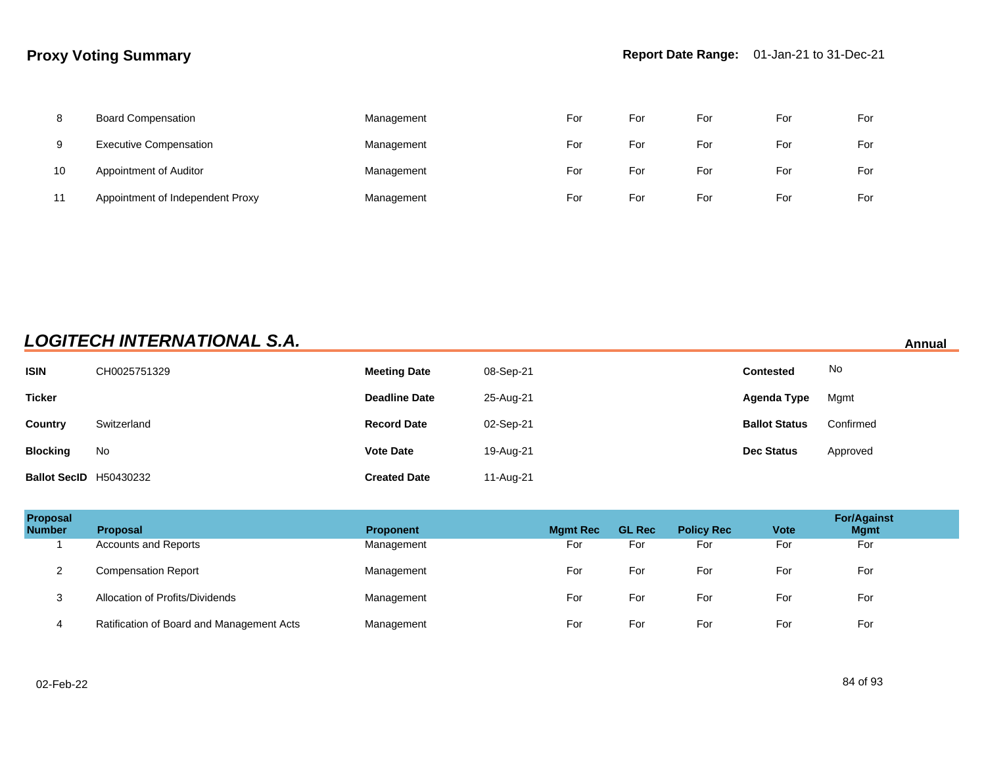| 8  | <b>Board Compensation</b>        | Management | For | For | For | For | For |
|----|----------------------------------|------------|-----|-----|-----|-----|-----|
| 9  | <b>Executive Compensation</b>    | Management | For | For | For | For | For |
| 10 | Appointment of Auditor           | Management | For | For | For | For | For |
| 11 | Appointment of Independent Proxy | Management | For | For | For | For | For |

## **LOGITECH INTERNATIONAL S.A. Annual**

| <b>ISIN</b>                   | CH0025751329 | <b>Meeting Date</b>  | 08-Sep-21 | <b>Contested</b>     | No        |
|-------------------------------|--------------|----------------------|-----------|----------------------|-----------|
| <b>Ticker</b>                 |              | <b>Deadline Date</b> | 25-Aug-21 | Agenda Type          | Mgmt      |
| Country                       | Switzerland  | <b>Record Date</b>   | 02-Sep-21 | <b>Ballot Status</b> | Confirmed |
| <b>Blocking</b>               | No           | <b>Vote Date</b>     | 19-Aug-21 | <b>Dec Status</b>    | Approved  |
| <b>Ballot SecID H50430232</b> |              | <b>Created Date</b>  | 11-Aug-21 |                      |           |

| Proposal<br><b>Number</b> | <b>Proposal</b>                           | <b>Proponent</b> | <b>Mgmt Rec</b> | <b>GL Rec</b> | <b>Policy Rec</b> | <b>Vote</b> | <b>For/Against</b><br><b>Mgmt</b> |
|---------------------------|-------------------------------------------|------------------|-----------------|---------------|-------------------|-------------|-----------------------------------|
|                           | Accounts and Reports                      | Management       | For             | For           | For               | For         | For                               |
| ∠                         | <b>Compensation Report</b>                | Management       | For             | For           | For               | For         | For                               |
| 3                         | Allocation of Profits/Dividends           | Management       | For             | For           | For               | For         | For                               |
|                           | Ratification of Board and Management Acts | Management       | For             | For           | For               | For         | For                               |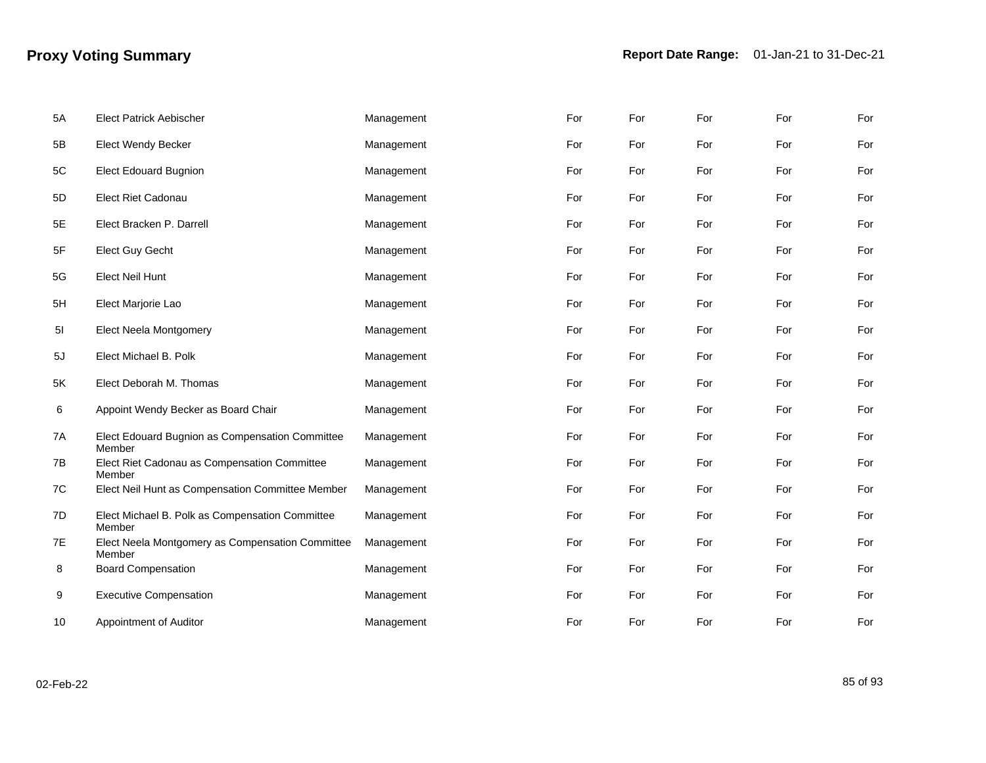| 5A | <b>Elect Patrick Aebischer</b>                             | Management | For | For | For | For | For |
|----|------------------------------------------------------------|------------|-----|-----|-----|-----|-----|
| 5B | <b>Elect Wendy Becker</b>                                  | Management | For | For | For | For | For |
| 5C | <b>Elect Edouard Bugnion</b>                               | Management | For | For | For | For | For |
| 5D | <b>Elect Riet Cadonau</b>                                  | Management | For | For | For | For | For |
| 5E | Elect Bracken P. Darrell                                   | Management | For | For | For | For | For |
| 5F | Elect Guy Gecht                                            | Management | For | For | For | For | For |
| 5G | <b>Elect Neil Hunt</b>                                     | Management | For | For | For | For | For |
| 5H | Elect Marjorie Lao                                         | Management | For | For | For | For | For |
| 51 | Elect Neela Montgomery                                     | Management | For | For | For | For | For |
| 5J | Elect Michael B. Polk                                      | Management | For | For | For | For | For |
| 5K | Elect Deborah M. Thomas                                    | Management | For | For | For | For | For |
| 6  | Appoint Wendy Becker as Board Chair                        | Management | For | For | For | For | For |
| 7A | Elect Edouard Bugnion as Compensation Committee<br>Member  | Management | For | For | For | For | For |
| 7B | Elect Riet Cadonau as Compensation Committee<br>Member     | Management | For | For | For | For | For |
| 7C | Elect Neil Hunt as Compensation Committee Member           | Management | For | For | For | For | For |
| 7D | Elect Michael B. Polk as Compensation Committee<br>Member  | Management | For | For | For | For | For |
| 7E | Elect Neela Montgomery as Compensation Committee<br>Member | Management | For | For | For | For | For |
| 8  | <b>Board Compensation</b>                                  | Management | For | For | For | For | For |
| 9  | <b>Executive Compensation</b>                              | Management | For | For | For | For | For |
| 10 | Appointment of Auditor                                     | Management | For | For | For | For | For |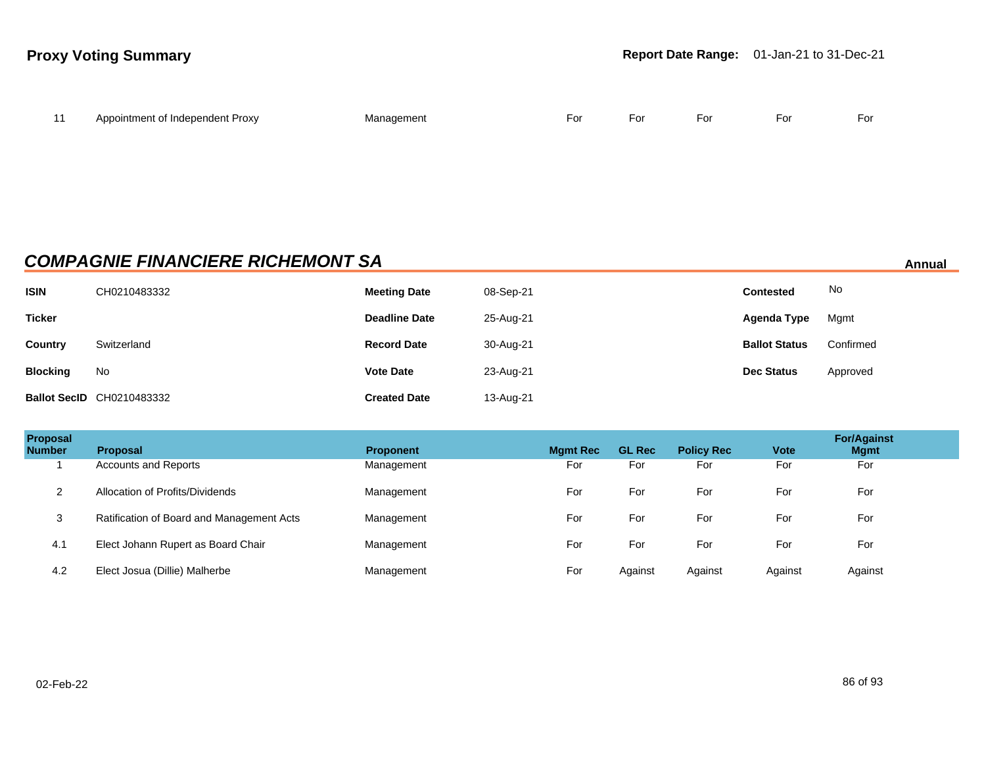| $\overline{11}$ | Appointment of Independent Proxy | Management | For | For | For | For | For |
|-----------------|----------------------------------|------------|-----|-----|-----|-----|-----|
|                 |                                  |            |     |     |     |     |     |

### **COMPAGNIE FINANCIERE RICHEMONT SA Annual**

**ISIN** CH0210483332 **Meeting Date** 08-Sep-21 **Contested** No **Ticker Deadline Date** 25-Aug-21 **Agenda Type** Mgmt **Country** Switzerland **Record Date** 30-Aug-21 **Ballot Status** Confirmed **Blocking** No **Vote Date** 23-Aug-21 **Dec Status** Approved **Ballot SecID** CH0210483332 **Created Date** 13-Aug-21

| Proposal<br><b>Number</b> | <b>Proposal</b>                           | <b>Proponent</b> | <b>Mamt Rec</b> | <b>GL Rec</b> | <b>Policy Rec</b> | <b>Vote</b> | <b>For/Against</b><br><b>Mgmt</b> |  |
|---------------------------|-------------------------------------------|------------------|-----------------|---------------|-------------------|-------------|-----------------------------------|--|
|                           | <b>Accounts and Reports</b>               | Management       | For             | For           | For               | For         | For                               |  |
| 2                         | Allocation of Profits/Dividends           | Management       | For             | For           | For               | For         | For                               |  |
| 3                         | Ratification of Board and Management Acts | Management       | For             | For           | For               | For         | For                               |  |
| 4.1                       | Elect Johann Rupert as Board Chair        | Management       | For             | For           | For               | For         | For                               |  |
| 4.2                       | Elect Josua (Dillie) Malherbe             | Management       | For             | Against       | Against           | Against     | Against                           |  |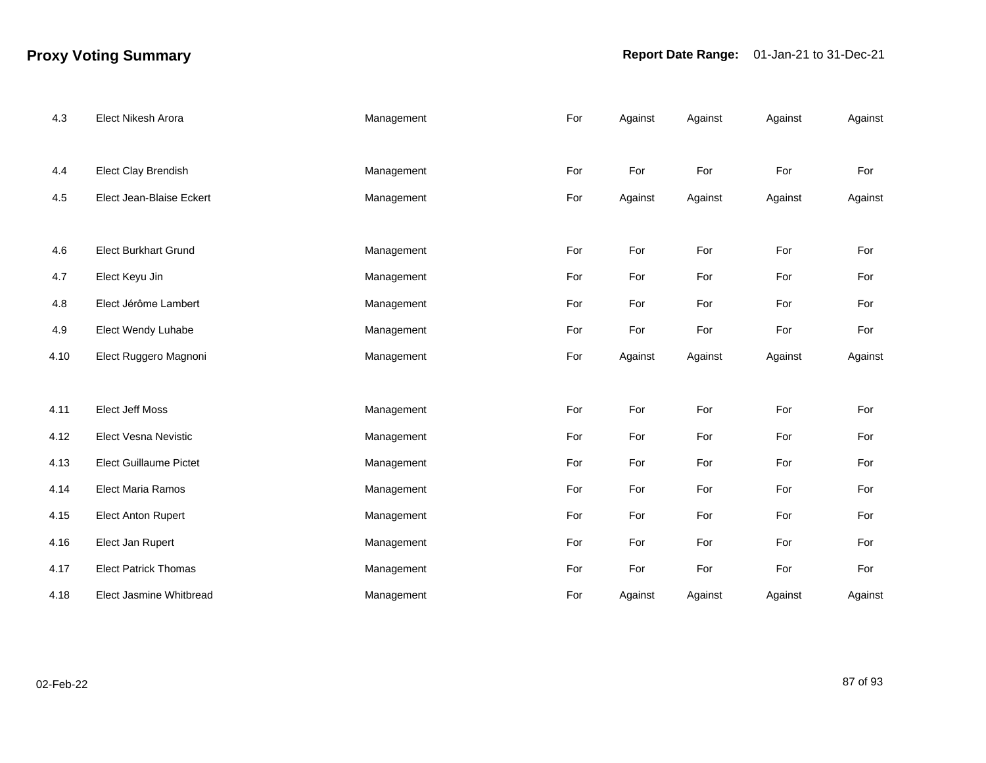## **Proxy Voting Summary Report Date Range:** 01-Jan-21 to 31-Dec-21

| 4.3  | Elect Nikesh Arora            | Management | For | Against | Against | Against | Against |
|------|-------------------------------|------------|-----|---------|---------|---------|---------|
|      |                               |            |     |         |         |         |         |
| 4.4  | <b>Elect Clay Brendish</b>    | Management | For | For     | For     | For     | For     |
| 4.5  | Elect Jean-Blaise Eckert      | Management | For | Against | Against | Against | Against |
|      |                               |            |     |         |         |         |         |
| 4.6  | <b>Elect Burkhart Grund</b>   | Management | For | For     | For     | For     | For     |
| 4.7  | Elect Keyu Jin                | Management | For | For     | For     | For     | For     |
| 4.8  | Elect Jérôme Lambert          | Management | For | For     | For     | For     | For     |
| 4.9  | Elect Wendy Luhabe            | Management | For | For     | For     | For     | For     |
| 4.10 | Elect Ruggero Magnoni         | Management | For | Against | Against | Against | Against |
|      |                               |            |     |         |         |         |         |
| 4.11 | <b>Elect Jeff Moss</b>        | Management | For | For     | For     | For     | For     |
| 4.12 | Elect Vesna Nevistic          | Management | For | For     | For     | For     | For     |
| 4.13 | <b>Elect Guillaume Pictet</b> | Management | For | For     | For     | For     | For     |
| 4.14 | Elect Maria Ramos             | Management | For | For     | For     | For     | For     |
| 4.15 | <b>Elect Anton Rupert</b>     | Management | For | For     | For     | For     | For     |
| 4.16 | Elect Jan Rupert              | Management | For | For     | For     | For     | For     |
| 4.17 | <b>Elect Patrick Thomas</b>   | Management | For | For     | For     | For     | For     |
| 4.18 | Elect Jasmine Whitbread       | Management | For | Against | Against | Against | Against |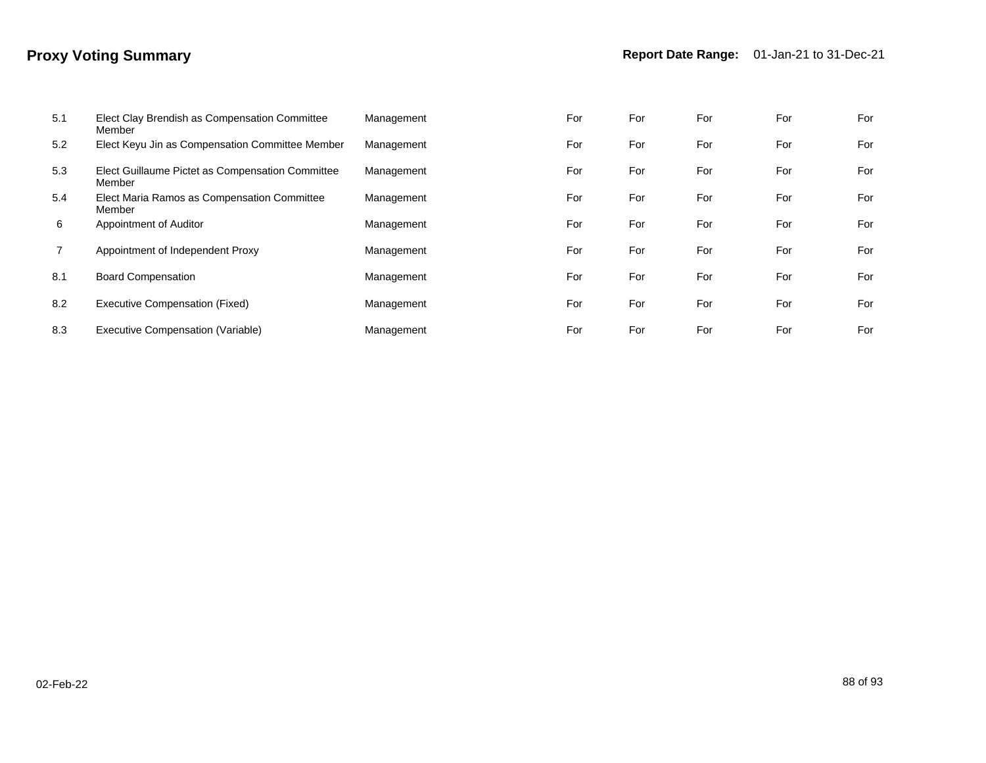| 5.1 | Elect Clay Brendish as Compensation Committee<br>Member    | Management | For | For | For | For | For |
|-----|------------------------------------------------------------|------------|-----|-----|-----|-----|-----|
| 5.2 | Elect Keyu Jin as Compensation Committee Member            | Management | For | For | For | For | For |
| 5.3 | Elect Guillaume Pictet as Compensation Committee<br>Member | Management | For | For | For | For | For |
| 5.4 | Elect Maria Ramos as Compensation Committee<br>Member      | Management | For | For | For | For | For |
| 6   | Appointment of Auditor                                     | Management | For | For | For | For | For |
|     | Appointment of Independent Proxy                           | Management | For | For | For | For | For |
| 8.1 | <b>Board Compensation</b>                                  | Management | For | For | For | For | For |
| 8.2 | Executive Compensation (Fixed)                             | Management | For | For | For | For | For |
| 8.3 | Executive Compensation (Variable)                          | Management | For | For | For | For | For |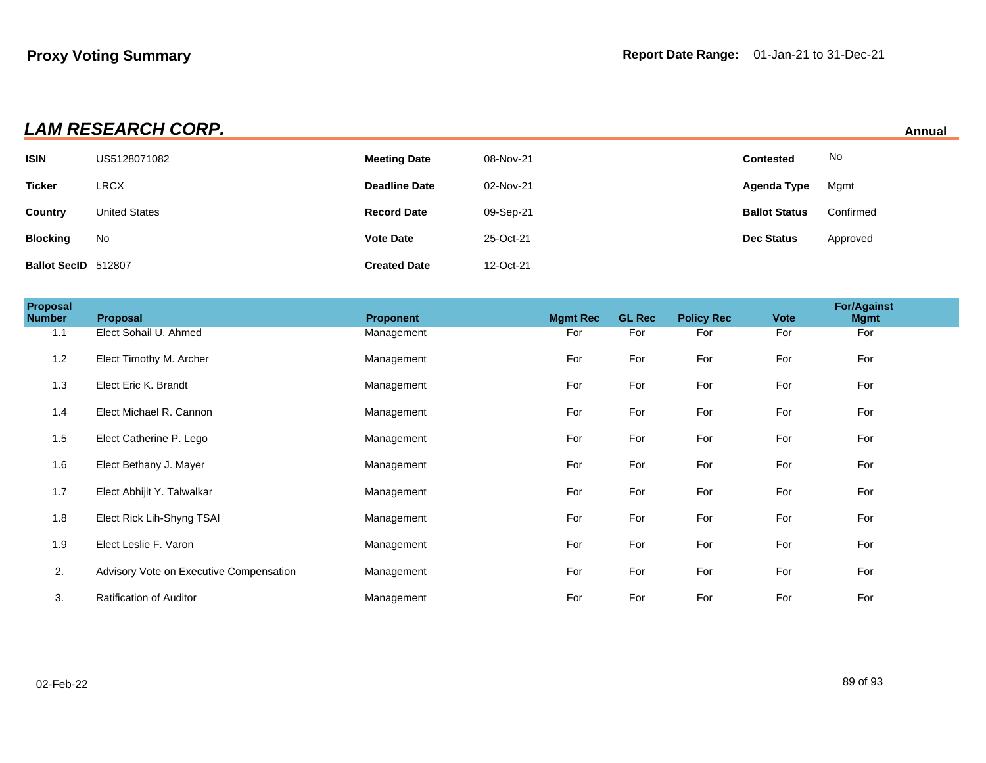| LAM RESEARCH CORP.<br>Annual |                      |                      |           |                      |           |  |  |
|------------------------------|----------------------|----------------------|-----------|----------------------|-----------|--|--|
| <b>ISIN</b>                  | US5128071082         | <b>Meeting Date</b>  | 08-Nov-21 | <b>Contested</b>     | No        |  |  |
| <b>Ticker</b>                | <b>LRCX</b>          | <b>Deadline Date</b> | 02-Nov-21 | Agenda Type          | Mgmt      |  |  |
| Country                      | <b>United States</b> | <b>Record Date</b>   | 09-Sep-21 | <b>Ballot Status</b> | Confirmed |  |  |
| <b>Blocking</b>              | No                   | <b>Vote Date</b>     | 25-Oct-21 | <b>Dec Status</b>    | Approved  |  |  |
| Ballot SecID 512807          |                      | <b>Created Date</b>  | 12-Oct-21 |                      |           |  |  |

| <b>Proposal</b><br>Number | Proposal                                | <b>Proponent</b> | <b>Mgmt Rec</b> | <b>GL Rec</b> | <b>Policy Rec</b> | <b>Vote</b> | <b>For/Against</b><br><b>Mgmt</b> |  |
|---------------------------|-----------------------------------------|------------------|-----------------|---------------|-------------------|-------------|-----------------------------------|--|
| 1.1                       | Elect Sohail U. Ahmed                   | Management       | For             | For           | For               | For         | For                               |  |
| 1.2                       | Elect Timothy M. Archer                 | Management       | For             | For           | For               | For         | For                               |  |
| 1.3                       | Elect Eric K. Brandt                    | Management       | For             | For           | For               | For         | For                               |  |
| 1.4                       | Elect Michael R. Cannon                 | Management       | For             | For           | For               | For         | For                               |  |
| 1.5                       | Elect Catherine P. Lego                 | Management       | For             | For           | For               | For         | For                               |  |
| 1.6                       | Elect Bethany J. Mayer                  | Management       | For             | For           | For               | For         | For                               |  |
| 1.7                       | Elect Abhijit Y. Talwalkar              | Management       | For             | For           | For               | For         | For                               |  |
| 1.8                       | Elect Rick Lih-Shyng TSAI               | Management       | For             | For           | For               | For         | For                               |  |
| 1.9                       | Elect Leslie F. Varon                   | Management       | For             | For           | For               | For         | For                               |  |
| 2.                        | Advisory Vote on Executive Compensation | Management       | For             | For           | For               | For         | For                               |  |
| 3.                        | <b>Ratification of Auditor</b>          | Management       | For             | For           | For               | For         | For                               |  |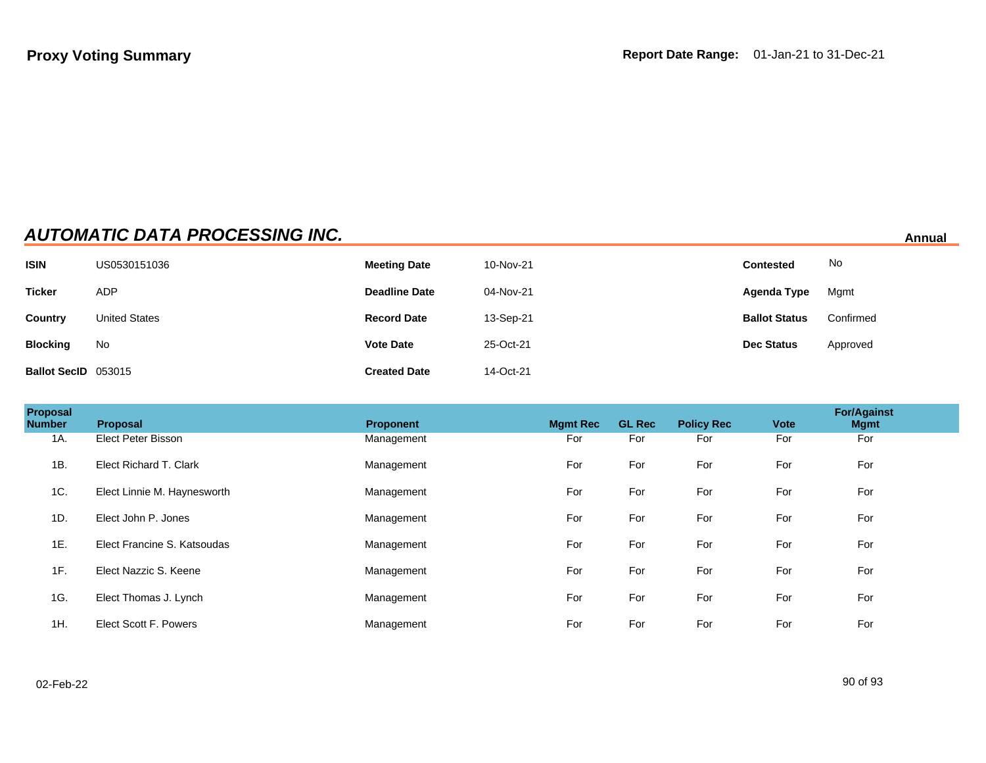# **AUTOMATIC DATA PROCESSING INC. Annual**

| <b>ISIN</b>         | US0530151036         | <b>Meeting Date</b>  | 10-Nov-21 | <b>Contested</b>     | No        |
|---------------------|----------------------|----------------------|-----------|----------------------|-----------|
| <b>Ticker</b>       | <b>ADP</b>           | <b>Deadline Date</b> | 04-Nov-21 | <b>Agenda Type</b>   | Mgmt      |
| Country             | <b>United States</b> | <b>Record Date</b>   | 13-Sep-21 | <b>Ballot Status</b> | Confirmed |
| <b>Blocking</b>     | No                   | <b>Vote Date</b>     | 25-Oct-21 | <b>Dec Status</b>    | Approved  |
| Ballot SecID 053015 |                      | <b>Created Date</b>  | 14-Oct-21 |                      |           |

| <b>Proposal</b><br><b>Number</b> | Proposal                    | <b>Proponent</b> | <b>Mgmt Rec</b> | <b>GL Rec</b> | <b>Policy Rec</b> | <b>Vote</b> | <b>For/Against</b><br><b>Mgmt</b> |
|----------------------------------|-----------------------------|------------------|-----------------|---------------|-------------------|-------------|-----------------------------------|
| 1A.                              | Elect Peter Bisson          | Management       | For             | For           | For               | For         | For                               |
| 1B.                              | Elect Richard T. Clark      | Management       | For             | For           | For               | For         | For                               |
| 1C.                              | Elect Linnie M. Haynesworth | Management       | For             | For           | For               | For         | For                               |
| 1D.                              | Elect John P. Jones         | Management       | For             | For           | For               | For         | For                               |
| 1E.                              | Elect Francine S. Katsoudas | Management       | For             | For           | For               | For         | For                               |
| 1F.                              | Elect Nazzic S. Keene       | Management       | For             | For           | For               | For         | For                               |
| 1G.                              | Elect Thomas J. Lynch       | Management       | For             | For           | For               | For         | For                               |
| 1H.                              | Elect Scott F. Powers       | Management       | For             | For           | For               | For         | For                               |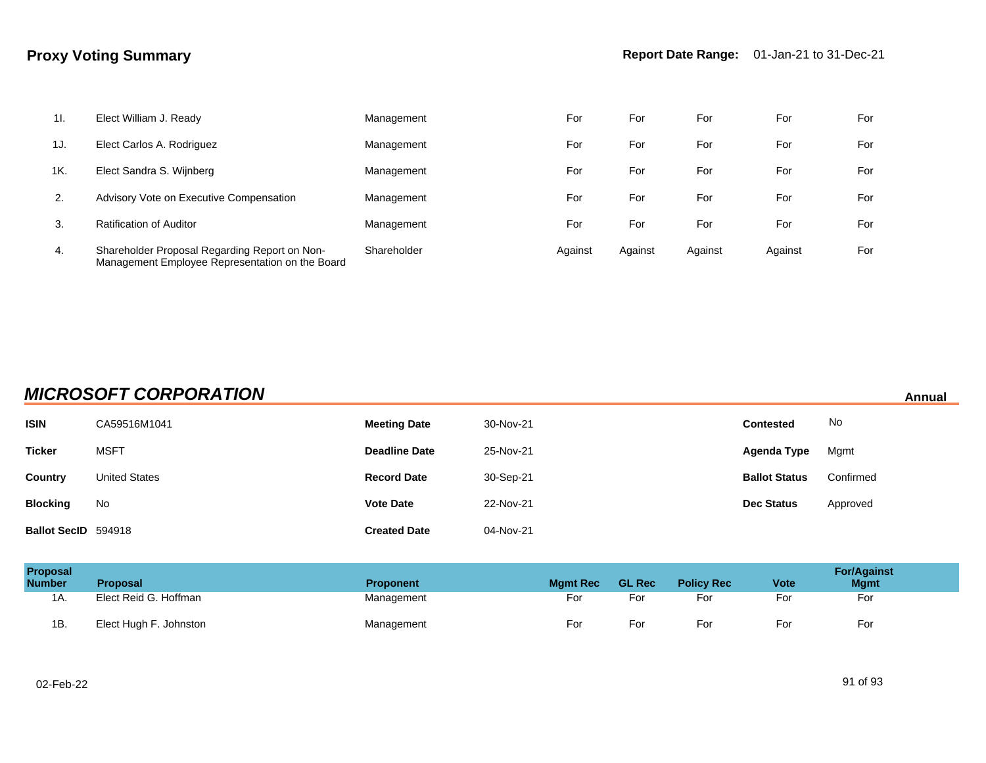| 11. | Elect William J. Ready                                                                           | Management  | For     | For     | For     | For     | For |
|-----|--------------------------------------------------------------------------------------------------|-------------|---------|---------|---------|---------|-----|
| 1J. | Elect Carlos A. Rodriguez                                                                        | Management  | For     | For     | For     | For     | For |
| 1K. | Elect Sandra S. Wijnberg                                                                         | Management  | For     | For     | For     | For     | For |
| 2.  | Advisory Vote on Executive Compensation                                                          | Management  | For     | For     | For     | For     | For |
| 3.  | <b>Ratification of Auditor</b>                                                                   | Management  | For     | For     | For     | For     | For |
| 4.  | Shareholder Proposal Regarding Report on Non-<br>Management Employee Representation on the Board | Shareholder | Against | Against | Against | Against | For |

## **MICROSOFT CORPORATION Annual**

| <b>ISIN</b>         | CA59516M1041         | <b>Meeting Date</b>  | 30-Nov-21 | <b>Contested</b>     | No        |
|---------------------|----------------------|----------------------|-----------|----------------------|-----------|
| <b>Ticker</b>       | <b>MSFT</b>          | <b>Deadline Date</b> | 25-Nov-21 | Agenda Type          | Mgmt      |
| <b>Country</b>      | <b>United States</b> | <b>Record Date</b>   | 30-Sep-21 | <b>Ballot Status</b> | Confirmed |
| <b>Blocking</b>     | No                   | <b>Vote Date</b>     | 22-Nov-21 | <b>Dec Status</b>    | Approved  |
| Ballot SecID 594918 |                      | <b>Created Date</b>  | 04-Nov-21 |                      |           |

| Proposal<br><b>Number</b> | Proposal               | <b>Proponent</b> | <b>Mamt Rec</b> | <b>GL Rec</b> | <b>Policy Rec</b> | <b>Vote</b> | <b>For/Against</b><br><b>Mgmt</b> |
|---------------------------|------------------------|------------------|-----------------|---------------|-------------------|-------------|-----------------------------------|
| 1A.                       | Elect Reid G. Hoffman  | Management       | For             | For           | For               | Foi         | For                               |
| 1B.                       | Elect Hugh F. Johnston | Management       | For             | For           | For               | Fo          | For                               |